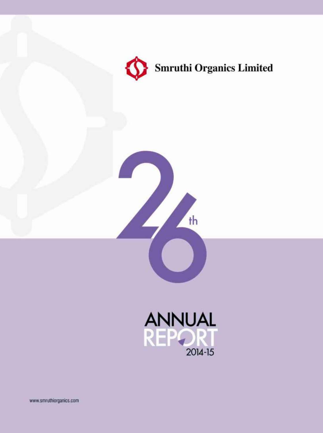



www.smruthiorganics.com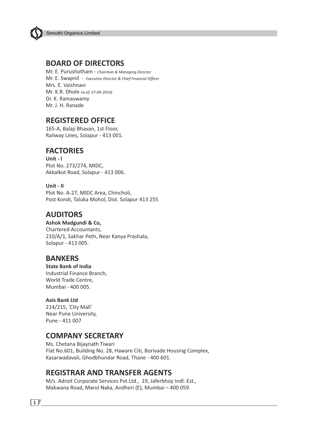### **BOARD OF DIRECTORS**

Mr. E. Purushotham - *Chairman & Managing Director* Mr. E. Swapnil - *Executive Director & Chief Financial Officer* Mrs. E. Vaishnavi Mr. K.R. Dhole *(w.ef. 27-09-2014)* Dr. K. Ramaswamy Mr. J. H. Ranade

### **REGISTERED OFFICE**

165-A, Balaji Bhavan, 1st Floor, Railway Lines, Solapur - 413 001.

### **FACTORIES**

**Unit - I** Plot No. 273/274, MIDC, Akkalkot Road, Solapur - 413 006.

**Unit - II** Plot No. A-27, MIDC Area, Chincholi, Post Kondi, Taluka Mohol, Dist. Solapur 413 255

## **AUDITORS**

**Ashok Madgundi & Co,**  Chartered Accountants, 210/A/1, Sakhar Peth, Near Kanya Prashala, Solapur - 413 005.

### **BANKERS**

**State Bank of India** Industrial Finance Branch, World Trade Centre, Mumbai - 400 005.

#### **Axis Bank Ltd**

214/215, 'City Mall' Near Pune University, Pune - 411 007

## **COMPANY SECRETARY**

Ms. Chetana Bijaynath Tiwari Flat No.601, Building No. 28, Haware Citi, Borivade Housing Complex, Kasarwadavali, Ghodbhundar Road, Thane - 400 601.

### **REGISTRAR AND TRANSFER AGENTS**

M/s. Adroit Corporate Services Pvt.Ltd., 19, Jaferbhoy Indl. Est., Makwana Road, Marol Naka, Andheri (E), Mumbai – 400 059.

 $\boxed{1}$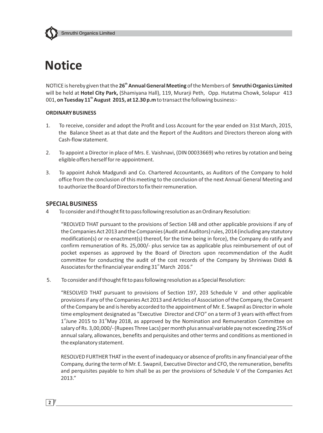# **Notice**

**th** NOTICE is hereby given that the **26 Annual General Meeting** of the Members of **Smruthi Organics Limited** will be held at **Hotel City Park,** (Shamiyana Hall), 119, Murarji Peth, Opp. Hutatma Chowk, Solapur 413 **th** 001, **on Tuesday 11 August 2015, at 12.30 p.m** to transact the following business:-

#### **ORDINARY BUSINESS**

- 1. To receive, consider and adopt the Profit and Loss Account for the year ended on 31st March, 2015, the Balance Sheet as at that date and the Report of the Auditors and Directors thereon along with Cash-flow statement.
- 2. To appoint a Director in place of Mrs. E. Vaishnavi, (DIN 00033669) who retires by rotation and being eligible offers herself for re-appointment.
- 3. To appoint Ashok Madgundi and Co. Chartered Accountants, as Auditors of the Company to hold office from the conclusion of this meeting to the conclusion of the next Annual General Meeting and to authorize the Board of Directors to fix their remuneration.

### **SPECIAL BUSINESS**

4 To consider and if thought fit to pass following resolution as an Ordinary Resolution:

"REOLVED THAT pursuant to the provisions of Section 148 and other applicable provisions if any of the Companies Act 2013 and the Companies (Audit and Auditors) rules, 2014 (including any statutory modification(s) or re-enactment(s) thereof, for the time being in force), the Company do ratify and confirm remuneration of Rs. 25,000/- plus service tax as applicable plus reimbursement of out of pocket expenses as approved by the Board of Directors upon recommendation of the Audit committee for conducting the audit of the cost records of the Company by Shriniwas Diddi & Associates for the financial year ending 31 $^{\rm st}$  March 2016."

5. To consider and if thought fit to pass following resolution as a Special Resolution:

"RESOLVED THAT pursuant to provisions of Section 197, 203 Schedule V and other applicable provisions if any of the Companies Act 2013 and Articles of Association of the Company, the Consent of the Company be and is hereby accorded to the appointment of Mr. E. Swapnil as Director in whole time employment designated as "Executive Director and CFO" on a term of 3 years with effect from  $1<sup>st</sup>$  June 2015 to 31<sup>st</sup>May 2018, as approved by the Nomination and Remuneration Committee on salary of Rs. 3,00,000/- (Rupees Three Lacs) per month plus annual variable pay not exceeding 25% of annual salary, allowances, benefits and perquisites and other terms and conditions as mentioned in the explanatory statement.

RESOLVED FURTHER THAT in the event of inadequacy or absence of profits in any financial year of the Company, during the term of Mr. E. Swapnil, Executive Director and CFO, the remuneration, benefits and perquisites payable to him shall be as per the provisions of Schedule V of the Companies Act 2013."

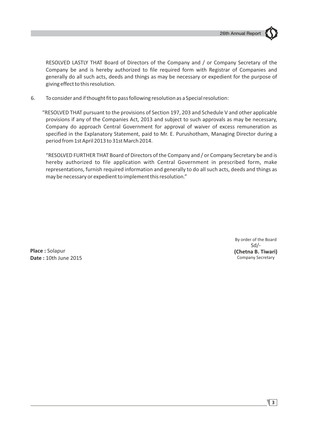RESOLVED LASTLY THAT Board of Directors of the Company and / or Company Secretary of the Company be and is hereby authorized to file required form with Registrar of Companies and generally do all such acts, deeds and things as may be necessary or expedient for the purpose of giving effect to this resolution.

6. To consider and if thought fit to pass following resolution as a Special resolution:

"RESOLVED THAT pursuant to the provisions of Section 197, 203 and Schedule V and other applicable provisions if any of the Companies Act, 2013 and subject to such approvals as may be necessary, Company do approach Central Government for approval of waiver of excess remuneration as specified in the Explanatory Statement, paid to Mr. E. Purushotham, Managing Director during a period from 1st April 2013 to 31st March 2014.

"RESOLVED FURTHER THAT Board of Directors of the Company and / or Company Secretary be and is hereby authorized to file application with Central Government in prescribed form, make representations, furnish required information and generally to do all such acts, deeds and things as may be necessary or expedient to implement this resolution."

**Place :** Solapur **Date :** 10th June 2015

By order of the Board Sd/- **(Chetna B. Tiwari)** Company Secretary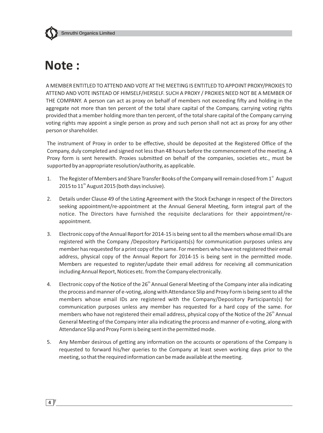# **Note :**

A MEMBER ENTITLED TO ATTEND AND VOTE AT THE MEETING IS ENTITLED TO APPOINT PROXY/PROXIES TO ATTEND AND VOTE INSTEAD OF HIMSELF/HERSELF. SUCH A PROXY / PROXIES NEED NOT BE A MEMBER OF THE COMPANY. A person can act as proxy on behalf of members not exceeding fifty and holding in the aggregate not more than ten percent of the total share capital of the Company, carrying voting rights provided that a member holding more than ten percent, of the total share capital of the Company carrying voting rights may appoint a single person as proxy and such person shall not act as proxy for any other person or shareholder.

The instrument of Proxy in order to be effective, should be deposited at the Registered Office of the Company, duly completed and signed not less than 48 hours before the commencement of the meeting. A Proxy form is sent herewith. Proxies submitted on behalf of the companies, societies etc., must be supported by an appropriate resolution/authority, as applicable.

- 1. The Register of Members and Share Transfer Books of the Company will remain closed from  $1<sup>st</sup>$  August  $2015$  to  $11<sup>th</sup>$  August 2015 (both days inclusive).
- 2. Details under Clause 49 of the Listing Agreement with the Stock Exchange in respect of the Directors seeking appointment/re-appointment at the Annual General Meeting, form integral part of the notice. The Directors have furnished the requisite declarations for their appointment/reappointment.
- 3. Electronic copy of the Annual Report for 2014-15 is being sent to all the members whose email IDs are registered with the Company /Depository Participants(s) for communication purposes unless any member has requested for a print copy of the same. For members who have not registered their email address, physical copy of the Annual Report for 2014-15 is being sent in the permitted mode. Members are requested to register/update their email address for receiving all communication including Annual Report, Notices etc. from the Company electronically.
- 4. Electronic copy of the Notice of the  $26<sup>th</sup>$  Annual General Meeting of the Company inter alia indicating the process and manner of e-voting, along with Attendance Slip and Proxy Form is being sent to all the members whose email IDs are registered with the Company/Depository Participants(s) for communication purposes unless any member has requested for a hard copy of the same. For members who have not registered their email address, physical copy of the Notice of the  $26<sup>th</sup>$  Annual General Meeting of the Company inter alia indicating the process and manner of e-voting, along with Attendance Slip and Proxy Form is being sent in the permitted mode.
- 5. Any Member desirous of getting any information on the accounts or operations of the Company is requested to forward his/her queries to the Company at least seven working days prior to the meeting, so that the required information can be made available at the meeting.

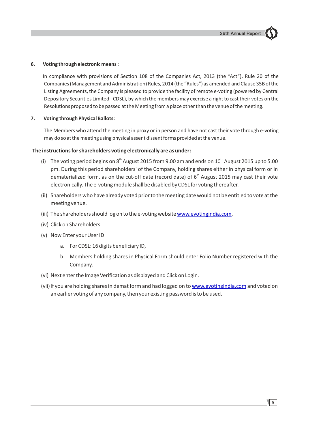#### **6. Voting through electronic means :**

In compliance with provisions of Section 108 of the Companies Act, 2013 (the "Act"), Rule 20 of the Companies (Management and Administration) Rules, 2014 (the "Rules") as amended and Clause 35B of the Listing Agreements, the Company is pleased to provide the facility of remote e-voting (powered by Central Depository Securities Limited –CDSL), by which the members may exercise a right to cast their votes on the Resolutions proposed to be passed at the Meeting from a place other than the venue of the meeting.

#### **7. Voting through Physical Ballots:**

The Members who attend the meeting in proxy or in person and have not cast their vote through e-voting may do so at the meeting using physical assent dissent forms provided at the venue.

#### **The instructions for shareholders voting electronically are as under:**

- (i) The voting period begins on  $8<sup>th</sup>$  August 2015 from 9.00 am and ends on 10 $<sup>th</sup>$  August 2015 up to 5.00</sup> pm. During this period shareholders' of the Company, holding shares either in physical form or in dematerialized form, as on the cut-off date (record date) of  $6<sup>th</sup>$  August 2015 may cast their vote electronically. The e-voting module shall be disabled by CDSL for voting thereafter.
- (ii) Shareholders who have already voted prior to the meeting date would not be entitled to vote at the meeting venue.
- (iii) The shareholders should log on to the e-voting website [www.evotingindia.com](http://www.evotingindia.com).
- (iv) Click on Shareholders.
- (v) Now Enter your User ID
	- a. For CDSL: 16 digits beneficiary ID,
	- b. Members holding shares in Physical Form should enter Folio Number registered with the Company.
- (vi) Next enter the Image Verification as displayed and Click on Login.
- (vii) If you are holding shares in demat form and had logged on to [www.evotingindia.com](http://www.evotingindia.com) and voted on an earlier voting of any company, then your existing password is to be used.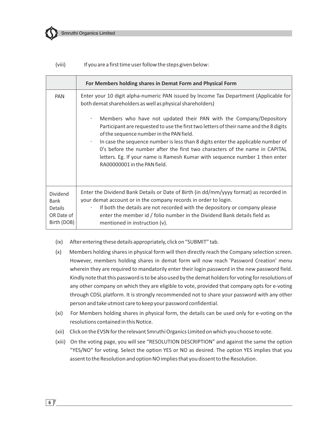#### (viii) If you are a first time user follow the steps given below:

|                                                                 | For Members holding shares in Demat Form and Physical Form                                                                                                                                                                                                                                                                                                                                                                                                                                                                    |
|-----------------------------------------------------------------|-------------------------------------------------------------------------------------------------------------------------------------------------------------------------------------------------------------------------------------------------------------------------------------------------------------------------------------------------------------------------------------------------------------------------------------------------------------------------------------------------------------------------------|
| <b>PAN</b>                                                      | Enter your 10 digit alpha-numeric PAN issued by Income Tax Department (Applicable for<br>both demat shareholders as well as physical shareholders)                                                                                                                                                                                                                                                                                                                                                                            |
|                                                                 | Members who have not updated their PAN with the Company/Depository<br>$\blacksquare$<br>Participant are requested to use the first two letters of their name and the 8 digits<br>of the sequence number in the PAN field.<br>In case the sequence number is less than 8 digits enter the applicable number of<br>$\blacksquare$<br>O's before the number after the first two characters of the name in CAPITAL<br>letters. Eg. If your name is Ramesh Kumar with sequence number 1 then enter<br>RA00000001 in the PAN field. |
| Dividend<br>Bank<br><b>Details</b><br>OR Date of<br>Birth (DOB) | Enter the Dividend Bank Details or Date of Birth (in dd/mm/yyyy format) as recorded in<br>your demat account or in the company records in order to login.<br>If both the details are not recorded with the depository or company please<br>$\blacksquare$<br>enter the member id / folio number in the Dividend Bank details field as<br>mentioned in instruction $(v)$ .                                                                                                                                                     |

- (ix) After entering these details appropriately, click on "SUBMIT" tab.
- (x) Members holding shares in physical form will then directly reach the Company selection screen. However, members holding shares in demat form will now reach 'Password Creation' menu wherein they are required to mandatorily enter their login password in the new password field. Kindly note that this password is to be also used by the demat holders for voting for resolutions of any other company on which they are eligible to vote, provided that company opts for e-voting through CDSL platform. It is strongly recommended not to share your password with any other person and take utmost care to keep your password confidential.
- (xi) For Members holding shares in physical form, the details can be used only for e-voting on the resolutions contained in this Notice.
- (xii) Click on the EVSN for the relevant Smruthi Organics Limited on which you choose to vote.
- (xiii) On the voting page, you will see "RESOLUTION DESCRIPTION" and against the same the option "YES/NO" for voting. Select the option YES or NO as desired. The option YES implies that you assent to the Resolution and option NO implies that you dissent to the Resolution.

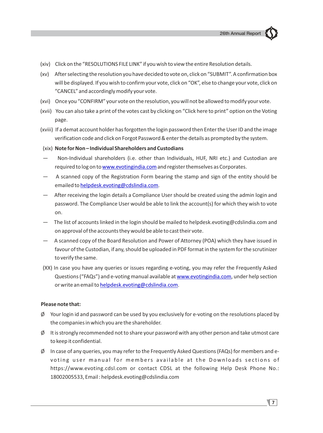- (xiv) Click on the "RESOLUTIONS FILE LINK" if you wish to view the entire Resolution details.
- (xv) After selecting the resolution you have decided to vote on, click on "SUBMIT". A confirmation box will be displayed. If you wish to confirm your vote, click on "OK", else to change your vote, click on "CANCEL" and accordingly modify your vote.
- (xvi) Once you "CONFIRM" your vote on the resolution, you will not be allowed to modify your vote.
- (xvii) You can also take a print of the votes cast by clicking on "Click here to print" option on the Voting page.
- (xviii) If a demat account holder has forgotten the login password then Enter the User ID and the image verification code and click on Forgot Password & enter the details as prompted by the system.
- (xix) **Note for Non Individual Shareholders and Custodians**
- Non-Individual shareholders (i.e. other than Individuals, HUF, NRI etc.) and Custodian are required to log on to [www.evotingindia.com](http://www.evotingindia.com) and register themselves as Corporates.
- A scanned copy of the Registration Form bearing the stamp and sign of the entity should be emailed to [helpdesk.evoting@cdslindia.com](mailto:helpdesk.evoting@cdslindia.com).
- After receiving the login details a Compliance User should be created using the admin login and password. The Compliance User would be able to link the account(s) for which they wish to vote on.
- The list of accounts linked in the login should be mailed to helpdesk.evoting@cdslindia.com and on approval of the accounts they would be able to cast their vote.
- A scanned copy of the Board Resolution and Power of Attorney (POA) which they have issued in favour of the Custodian, if any, should be uploaded in PDF format in the system for the scrutinizer to verify the same.
- (XX) In case you have any queries or issues regarding e-voting, you may refer the Frequently Asked Questions ("FAQs") and e-voting manual available at [www.evotingindia.com](http://www.evotingindia.com), under help section or write an email to [helpdesk.evoting@cdslindia.com](mailto:helpdesk.evoting@cdslindia.com).

#### **Please note that:**

- $\varnothing$  Your login id and password can be used by you exclusively for e-voting on the resolutions placed by the companies in which you are the shareholder.
- $\varnothing$  It is strongly recommended not to share your password with any other person and take utmost care to keep it confidential.
- $\varnothing$  In case of any queries, you may refer to the Frequently Asked Questions (FAQs) for members and evoting user manual for members available at the Downloads sections of https://www.evoting.cdsl.com or contact CDSL at the following Help Desk Phone No.: 18002005533, Email : helpdesk.evoting@cdslindia.com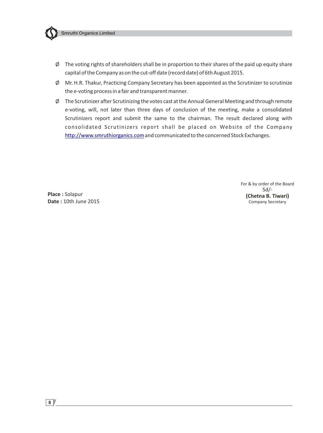- $\emptyset$  The voting rights of shareholders shall be in proportion to their shares of the paid up equity share capital of the Company as on the cut-off date (record date) of 6th August 2015.
- $\emptyset$  Mr. H.R. Thakur, Practicing Company Secretary has been appointed as the Scrutinizer to scrutinize the e-voting process in a fair and transparent manner.
- $\emptyset$  The Scrutinizer after Scrutinizing the votes cast at the Annual General Meeting and through remote e-voting, will, not later than three days of conclusion of the meeting, make a consolidated Scrutinizers report and submit the same to the chairman. The result declared along with consolidated Scrutinizers report shall be placed on Website of the Company <http://www.smruthiorganics.com> and communicated to the concerned Stock Exchanges.

For & by order of the Board Sd/- **(Chetna B. Tiwari)** Company Secretary

**Place :** Solapur **Date :** 10th June 2015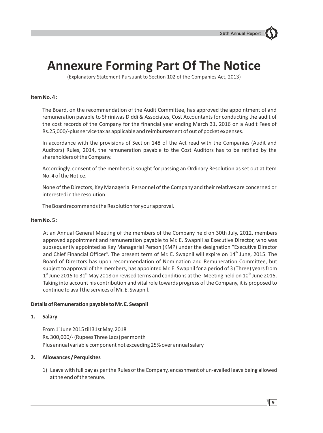

# **Annexure Forming Part Of The Notice**

(Explanatory Statement Pursuant to Section 102 of the Companies Act, 2013)

#### **Item No. 4 :**

The Board, on the recommendation of the Audit Committee, has approved the appointment of and remuneration payable to Shriniwas Diddi & Associates, Cost Accountants for conducting the audit of the cost records of the Company for the financial year ending March 31, 2016 on a Audit Fees of Rs.25,000/-plus service tax as applicable and reimbursement of out of pocket expenses.

In accordance with the provisions of Section 148 of the Act read with the Companies (Audit and Auditors) Rules, 2014, the remuneration payable to the Cost Auditors has to be ratified by the shareholders of the Company.

Accordingly, consent of the members is sought for passing an Ordinary Resolution as set out at Item No. 4 of the Notice.

None of the Directors, Key Managerial Personnel of the Company and their relatives are concerned or interested in the resolution.

The Board recommends the Resolution for your approval.

#### **Item No. 5 :**

At an Annual General Meeting of the members of the Company held on 30th July, 2012, members approved appointment and remuneration payable to Mr. E. Swapnil as Executive Director, who was subsequently appointed as Key Managerial Person (KMP) under the designation "Executive Director and Chief Financial Officer". The present term of Mr. E. Swapnil will expire on  $14<sup>th</sup>$  June, 2015. The Board of Directors has upon recommendation of Nomination and Remuneration Committee, but subject to approval of the members, has appointed Mr. E. Swapnil for a period of 3 (Three) years from  $1<sup>st</sup>$  June 2015 to 31<sup>st</sup> May 2018 on revised terms and conditions at the Meeting held on 10<sup>th</sup> June 2015. Taking into account his contribution and vital role towards progress of the Company, it is proposed to continue to avail the services of Mr. E. Swapnil.

#### **Details of Remuneration payable to Mr. E. Swapnil**

#### **1. Salary**

From  $1<sup>st</sup>$  June 2015 till 31st May, 2018 Rs. 300,000/- (Rupees Three Lacs) per month Plus annual variable component not exceeding 25% over annual salary

#### **2. Allowances / Perquisites**

1) Leave with full pay as per the Rules of the Company, encashment of un-availed leave being allowed at the end of the tenure.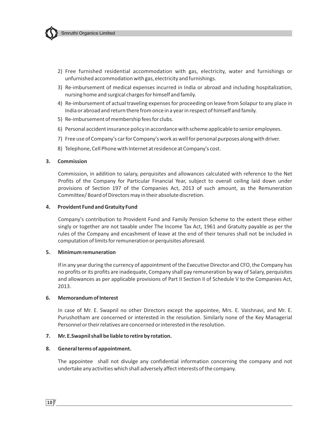- 2) Free furnished residential accommodation with gas, electricity, water and furnishings or unfurnished accommodation with gas, electricity and furnishings.
- 3) Re-imbursement of medical expenses incurred in India or abroad and including hospitalization, nursing home and surgical charges for himself and family.
- 4) Re-imbursement of actual traveling expenses for proceeding on leave from Solapur to any place in India or abroad and return there from once in a year in respect of himself and family.
- 5) Re-imbursement of membership fees for clubs.
- 6) Personal accident insurance policy in accordance with scheme applicable to senior employees.
- 7) Free use of Company's car for Company's work as well for personal purposes along with driver.
- 8) Telephone, Cell Phone with Internet at residence at Company's cost.

#### **3. Commission**

Commission, in addition to salary, perquisites and allowances calculated with reference to the Net Profits of the Company for Particular Financial Year, subject to overall ceiling laid down under provisions of Section 197 of the Companies Act, 2013 of such amount, as the Remuneration Committee/ Board of Directors may in their absolute discretion.

#### **4. Provident Fund and Gratuity Fund**

Company's contribution to Provident Fund and Family Pension Scheme to the extent these either singly or together are not taxable under The Income Tax Act, 1961 and Gratuity payable as per the rules of the Company and encashment of leave at the end of their tenures shall not be included in computation of limits for remuneration or perquisites aforesaid.

#### **5. Minimum remuneration**

If in any year during the currency of appointment of the Executive Director and CFO, the Company has no profits or its profits are inadequate, Company shall pay remuneration by way of Salary, perquisites and allowances as per applicable provisions of Part II Section II of Schedule V to the Companies Act, 2013.

#### **6. Memorandum of Interest**

In case of Mr. E. Swapnil no other Directors except the appointee, Mrs. E. Vaishnavi, and Mr. E. Purushotham are concerned or interested in the resolution. Similarly none of the Key Managerial Personnel or their relatives are concerned or interested in the resolution.

#### **7. Mr. E.Swapnil shall be liable to retire by rotation.**

#### **8. General terms of appointment.**

The appointee shall not divulge any confidential information concerning the company and not undertake any activities which shall adversely affect interests of the company.

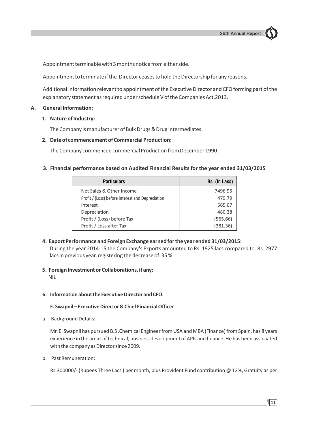Appointment terminable with 3 months notice from either side.

Appointment to terminate if the Director ceases to hold the Directorship for any reasons.

Additional Information relevant to appointment of the Executive Director and CFO forming part of the explanatory statement as required under schedule V of the Companies Act,2013.

#### **A. General Information:**

#### **1. Nature of Industry:**

The Company is manufacturer of Bulk Drugs & Drug Intermediates.

#### **2. Date of commencement of Commercial Production:**

The Company commenced commercial Production from December 1990.

#### **3. Financial performance based on Audited Financial Results for the year ended 31/03/2015**

| <b>Particulars</b>                               | Rs. (In Lacs) |
|--------------------------------------------------|---------------|
| Net Sales & Other Income                         | 7496.95       |
| Profit / (Loss) before Interest and Depreciation | 479.79        |
| Interest                                         | 565.07        |
| Depreciation                                     | 480.38        |
| Profit / (Loss) before Tax                       | (565.66)      |
| Profit / Loss after Tax                          | (381.36)      |

- **4. Export Performance and Foreign Exchange earned for the year ended 31/03/2015:**  During the year 2014-15 the Company's Exports amounted to Rs. 1925 lacs compared to Rs. 2977 lacs in previous year, registering the decrease of 35 %
- **5. Foreign Investment or Collaborations, if any:**  NIL

#### **6. Information about the Executive Director and CFO:**

#### **E. Swapnil – Executive Director & Chief Financial Officer**

a. Background Details:

Mr. E. Swapnil has pursued B.S .Chemical Engineer from USA and MBA (Finance) from Spain, has 8 years experience in the areas of technical, business development of APIs and finance. He has been associated with the company as Director since 2009.

b. Past Remuneration:

Rs.300000/- (Rupees Three Lacs ) per month, plus Provident Fund contribution @ 12%, Gratuity as per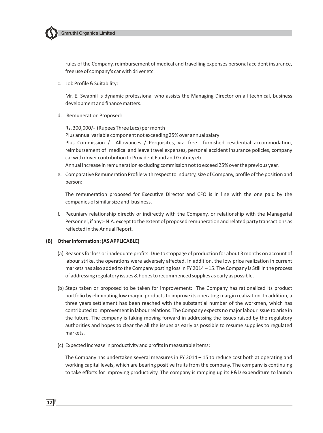

rules of the Company, reimbursement of medical and travelling expenses personal accident insurance, free use of company's car with driver etc.

c. Job Profile & Suitability:

Mr. E. Swapnil is dynamic professional who assists the Managing Director on all technical, business development and finance matters.

d. Remuneration Proposed:

Rs. 300,000/- (Rupees Three Lacs) per month

Plus annual variable component not exceeding 25% over annual salary Plus Commission / Allowances / Perquisites, viz. free furnished residential accommodation, reimbursement of medical and leave travel expenses, personal accident insurance policies, company car with driver contribution to Provident Fund and Gratuity etc.

Annual increase in remuneration excluding commission not to exceed 25% over the previous year.

e. Comparative Remuneration Profile with respect to industry, size of Company, profile of the position and person:

The remuneration proposed for Executive Director and CFO is in line with the one paid by the companies of similar size and business.

f. Pecuniary relationship directly or indirectly with the Company, or relationship with the Managerial Personnel, if any:- N.A. except to the extent of proposed remuneration and related party transactions as reflected in the Annual Report.

#### **(B) Other Information: (AS APPLICABLE)**

- (a) Reasons for loss or inadequate profits: Due to stoppage of production for about 3 months on account of labour strike, the operations were adversely affected. In addition, the low price realization in current markets has also added to the Company posting loss in FY 2014 – 15. The Company is Still in the process of addressing regulatory issues & hopes to recommenced supplies as early as possible.
- (b) Steps taken or proposed to be taken for improvement: The Company has rationalized its product portfolio by eliminating low margin products to improve its operating margin realization. In addition, a three years settlement has been reached with the substantial number of the workmen, which has contributed to improvement in labour relations. The Company expects no major labour issue to arise in the future. The company is taking moving forward in addressing the issues raised by the regulatory authorities and hopes to clear the all the issues as early as possible to resume supplies to regulated markets.
- (c) Expected increase in productivity and profits in measurable items:

The Company has undertaken several measures in FY 2014 – 15 to reduce cost both at operating and working capital levels, which are bearing positive fruits from the company. The company is continuing to take efforts for improving productivity. The company is ramping up its R&D expenditure to launch

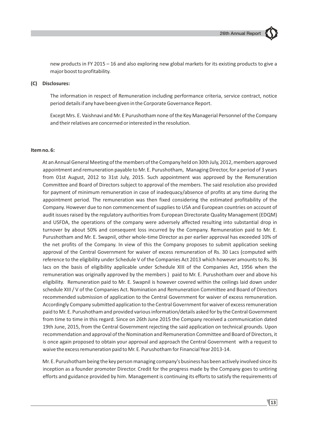new products in FY 2015 – 16 and also exploring new global markets for its existing products to give a major boost to profitability.

#### **(C) Disclosures:**

The information in respect of Remuneration including performance criteria, service contract, notice period details if any have been given in the Corporate Governance Report.

Except Mrs. E. Vaishnavi and Mr. E Purushotham none of the Key Managerial Personnel of the Company and their relatives are concerned or interested in the resolution.

#### **Item no. 6:**

At an Annual General Meeting of the members of the Company held on 30th July, 2012, members approved appointment and remuneration payable to Mr. E. Purushotham, Managing Director, for a period of 3 years from 01st August, 2012 to 31st July, 2015. Such appointment was approved by the Remuneration Committee and Board of Directors subject to approval of the members. The said resolution also provided for payment of minimum remuneration in case of inadequacy/absence of profits at any time during the appointment period. The remuneration was then fixed considering the estimated profitability of the Company. However due to non commencement of supplies to USA and European countries on account of audit issues raised by the regulatory authorities from European Directorate Quality Management (EDQM) and USFDA, the operations of the company were adversely affected resulting into substantial drop in turnover by about 50% and consequent loss incurred by the Company. Remuneration paid to Mr. E. Purushotham and Mr. E. Swapnil, other whole-time Director as per earlier approval has exceeded 10% of the net profits of the Company. In view of this the Company proposes to submit application seeking approval of the Central Government for waiver of excess remuneration of Rs. 30 Lacs (computed with reference to the eligibility under Schedule V of the Companies Act 2013 which however amounts to Rs. 36 lacs on the basis of eligibility applicable under Schedule XIII of the Companies Act, 1956 when the remuneration was originally approved by the members ) paid to Mr. E. Purushotham over and above his eligibility. Remuneration paid to Mr. E. Swapnil is however covered within the ceilings laid down under schedule XIII / V of the Companies Act. Nomination and Remuneration Committee and Board of Directors recommended submission of application to the Central Government for waiver of excess remuneration. Accordingly Company submitted application to the Central Government for waiver of excess remuneration paid to Mr. E. Purushotham and provided various information/details asked for by the Central Government from time to time in this regard. Since on 26th June 2015 the Company received a communication dated 19th June, 2015, from the Central Government rejecting the said application on technical grounds. Upon recommendation and approval of the Nomination and Remuneration Committee and Board of Directors, it is once again proposed to obtain your approval and approach the Central Government with a request to waive the excess remuneration paid to Mr. E. Purushotham for Financial Year 2013-14.

Mr. E. Purushotham being the key person managing company's business has been actively involved since its inception as a founder promoter Director. Credit for the progress made by the Company goes to untiring efforts and guidance provided by him. Management is continuing its efforts to satisfy the requirements of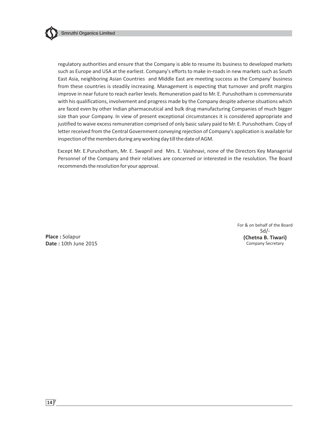regulatory authorities and ensure that the Company is able to resume its business to developed markets such as Europe and USA at the earliest. Company's efforts to make in-roads in new markets such as South East Asia, neighboring Asian Countries and Middle East are meeting success as the Company' business from these countries is steadily increasing. Management is expecting that turnover and profit margins improve in near future to reach earlier levels. Remuneration paid to Mr. E. Purushotham is commensurate with his qualifications, involvement and progress made by the Company despite adverse situations which are faced even by other Indian pharmaceutical and bulk drug manufacturing Companies of much bigger size than your Company. In view of present exceptional circumstances it is considered appropriate and justified to waive excess remuneration comprised of only basic salary paid to Mr. E. Purushotham. Copy of letter received from the Central Government conveying rejection of Company's application is available for inspection of the members during any working day till the date of AGM.

Except Mr. E.Purushotham, Mr. E. Swapnil and Mrs. E. Vaishnavi, none of the Directors Key Managerial Personnel of the Company and their relatives are concerned or interested in the resolution. The Board recommends the resolution for your approval.

> For & on behalf of the Board Sd/- **(Chetna B. Tiwari)** Company Secretary

**Place :** Solapur **Date :** 10th June 2015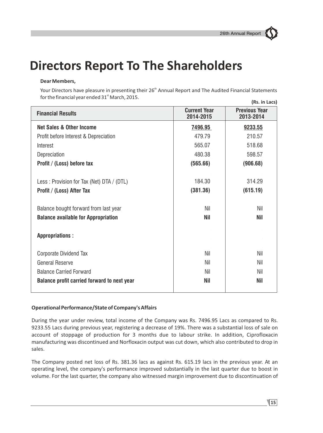# **Directors Report To The Shareholders**

#### **Dear Members,**

**(Rs. in Lacs)** Your Directors have pleasure in presenting their 26<sup>th</sup> Annual Report and The Audited Financial Statements for the financial year ended 31 $^{\rm st}$  March, 2015.

| <b>Financial Results</b>                    | <b>Current Year</b><br>2014-2015 | <b>Previous Year</b><br>2013-2014 |
|---------------------------------------------|----------------------------------|-----------------------------------|
| <b>Net Sales &amp; Other Income</b>         | 7496.95                          | 9233.55                           |
| Profit before Interest & Depreciation       | 479.79                           | 210.57                            |
| Interest                                    | 565.07                           | 518.68                            |
| Depreciation                                | 480.38                           | 598.57                            |
| Profit / (Loss) before tax                  | (565.66)                         | (906.68)                          |
| Less: Provision for Tax (Net) DTA / (DTL)   | 184.30                           | 314.29                            |
| Profit / (Loss) After Tax                   | (381.36)                         | (615.19)                          |
| Balance bought forward from last year       | Nil                              | Nil                               |
| <b>Balance available for Appropriation</b>  | Nil                              | Nil                               |
| <b>Appropriations:</b>                      |                                  |                                   |
| <b>Corporate Dividend Tax</b>               | $\sim$ $\alpha$<br>Nil           | $\sim$<br>Nil                     |
| <b>General Reserve</b>                      | Nil                              | Nil                               |
| <b>Balance Carried Forward</b>              | Nil                              | Nil                               |
| Balance profit carried forward to next year | <b>Nil</b>                       | Nil                               |

#### **Operational Performance/State of Company's Affairs**

During the year under review, total income of the Company was Rs. 7496.95 Lacs as compared to Rs. 9233.55 Lacs during previous year, registering a decrease of 19%. There was a substantial loss of sale on account of stoppage of production for 3 months due to labour strike. In addition, Ciprofloxacin manufacturing was discontinued and Norfloxacin output was cut down, which also contributed to drop in sales.

The Company posted net loss of Rs. 381.36 lacs as against Rs. 615.19 lacs in the previous year. At an operating level, the company's performance improved substantially in the last quarter due to boost in volume. For the last quarter, the company also witnessed margin improvement due to discontinuation of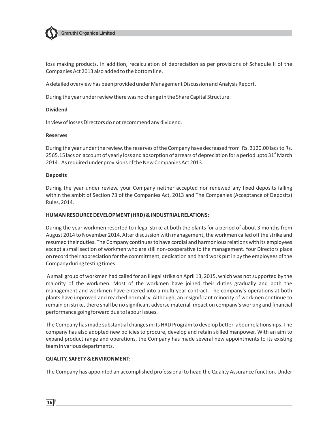

loss making products. In addition, recalculation of depreciation as per provisions of Schedule II of the Companies Act 2013 also added to the bottom line.

A detailed overview has been provided under Management Discussion and Analysis Report.

During the year under review there was no change in the Share Capital Structure.

#### **Dividend**

In view of losses Directors do not recommend any dividend.

#### **Reserves**

During the year under the review, the reserves of the Company have decreased from Rs. 3120.00 lacs to Rs. 2565.15 lacs on account of yearly loss and absorption of arrears of depreciation for a period upto 31 $^{\rm st}$  March 2014. As required under provisions of the New Companies Act 2013.

#### **Deposits**

During the year under review, your Company neither accepted nor renewed any fixed deposits falling within the ambit of Section 73 of the Companies Act, 2013 and The Companies (Acceptance of Deposits) Rules, 2014.

#### **HUMAN RESOURCE DEVELOPMENT (HRD) & INDUSTRIAL RELATIONS:**

During the year workmen resorted to illegal strike at both the plants for a period of about 3 months from August 2014 to November 2014. After discussion with management, the workmen called off the strike and resumed their duties. The Company continues to have cordial and harmonious relations with its employees except a small section of workmen who are still non-cooperative to the management. Your Directors place on record their appreciation for the commitment, dedication and hard work put in by the employees of the Company during testing times.

A small group of workmen had called for an illegal strike on April 13, 2015, which was not supported by the majority of the workmen. Most of the workmen have joined their duties gradually and both the management and workmen have entered into a multi-year contract. The company's operations at both plants have improved and reached normalcy. Although, an insignificant minority of workmen continue to remain on strike, there shall be no significant adverse material impact on company's working and financial performance going forward due to labour issues.

The Company has made substantial changes in its HRD Program to develop better labour relationships. The company has also adopted new policies to procure, develop and retain skilled manpower. With an aim to expand product range and operations, the Company has made several new appointments to its existing team in various departments.

#### **QUALITY, SAFETY & ENVIRONMENT:**

The Company has appointed an accomplished professional to head the Quality Assurance function. Under

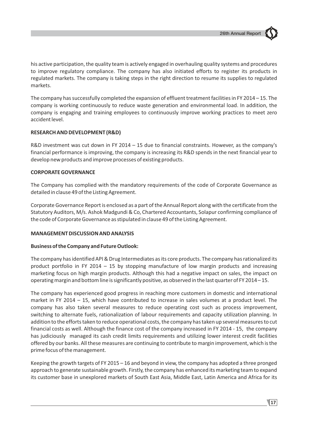his active participation, the quality team is actively engaged in overhauling quality systems and procedures to improve regulatory compliance. The company has also initiated efforts to register its products in regulated markets. The company is taking steps in the right direction to resume its supplies to regulated markets.

The company has successfully completed the expansion of effluent treatment facilities in FY 2014 – 15. The company is working continuously to reduce waste generation and environmental load. In addition, the company is engaging and training employees to continuously improve working practices to meet zero accident level.

#### **RESEARCH AND DEVELOPMENT (R&D)**

R&D investment was cut down in FY 2014 – 15 due to financial constraints. However, as the company's financial performance is improving, the company is increasing its R&D spends in the next financial year to develop new products and improve processes of existing products.

#### **CORPORATE GOVERNANCE**

The Company has complied with the mandatory requirements of the code of Corporate Governance as detailed in clause 49 of the Listing Agreement.

Corporate Governance Report is enclosed as a part of the Annual Report along with the certificate from the Statutory Auditors, M/s. Ashok Madgundi & Co, Chartered Accountants, Solapur confirming compliance of the code of Corporate Governance as stipulated in clause 49 of the Listing Agreement.

#### **MANAGEMENT DISCUSSION AND ANALYSIS**

#### **Business of the Company and Future Outlook:**

The company has identified API & Drug Intermediates as its core products. The company has rationalized its product portfolio in FY 2014 – 15 by stopping manufacture of low margin products and increasing marketing focus on high margin products. Although this had a negative impact on sales, the impact on operating margin and bottom line is significantly positive, as observed in the last quarter of FY 2014 – 15.

The company has experienced good progress in reaching more customers in domestic and international market in FY 2014 – 15, which have contributed to increase in sales volumes at a product level. The company has also taken several measures to reduce operating cost such as process improvement, switching to alternate fuels, rationalization of labour requirements and capacity utilization planning. In addition to the efforts taken to reduce operational costs, the company has taken up several measures to cut financial costs as well. Although the finance cost of the company increased in FY 2014 - 15, the company has judiciously managed its cash credit limits requirements and utilizing lower interest credit facilities offered by our banks. All these measures are continuing to contribute to margin improvement, which is the prime focus of the management.

Keeping the growth targets of FY 2015 – 16 and beyond in view, the company has adopted a three pronged approach to generate sustainable growth. Firstly, the company has enhanced its marketing team to expand its customer base in unexplored markets of South East Asia, Middle East, Latin America and Africa for its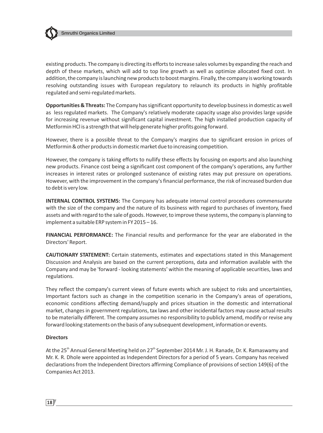existing products. The company is directing its efforts to increase sales volumes by expanding the reach and depth of these markets, which will add to top line growth as well as optimize allocated fixed cost. In addition, the company is launching new products to boost margins. Finally, the company is working towards resolving outstanding issues with European regulatory to relaunch its products in highly profitable regulated and semi-regulated markets.

**Opportunities & Threats:** The Company has significant opportunity to develop business in domestic as well as less regulated markets. The Company's relatively moderate capacity usage also provides large upside for increasing revenue without significant capital investment. The high installed production capacity of Metformin HCl is a strength that will help generate higher profits going forward.

However, there is a possible threat to the Company's margins due to significant erosion in prices of Metformin & other products in domestic market due to increasing competition.

However, the company is taking efforts to nullify these effects by focusing on exports and also launching new products. Finance cost being a significant cost component of the company's operations, any further increases in interest rates or prolonged sustenance of existing rates may put pressure on operations. However, with the improvement in the company's financial performance, the risk of increased burden due to debt is very low.

**INTERNAL CONTROL SYSTEMS:** The Company has adequate internal control procedures commensurate with the size of the company and the nature of its business with regard to purchases of inventory, fixed assets and with regard to the sale of goods. However, to improve these systems, the company is planning to implement a suitable ERP system in FY 2015 – 16.

**FINANCIAL PERFORMANCE:** The Financial results and performance for the year are elaborated in the Directors' Report.

**CAUTIONARY STATEMENT:** Certain statements, estimates and expectations stated in this Management Discussion and Analysis are based on the current perceptions, data and information available with the Company and may be 'forward - looking statements' within the meaning of applicable securities, laws and regulations.

They reflect the company's current views of future events which are subject to risks and uncertainties, Important factors such as change in the competition scenario in the Company's areas of operations, economic conditions affecting demand/supply and prices situation in the domestic and international market, changes in government regulations, tax laws and other incidental factors may cause actual results to be materially different. The company assumes no responsibility to publicly amend, modify or revise any forward looking statements on the basis of any subsequent development, information or events.

#### **Directors**

At the 25<sup>th</sup> Annual General Meeting held on 27<sup>th</sup> September 2014 Mr. J. H. Ranade, Dr. K. Ramaswamy and Mr. K. R. Dhole were appointed as Independent Directors for a period of 5 years. Company has received declarations from the Independent Directors affirming Compliance of provisions of section 149(6) of the Companies Act 2013.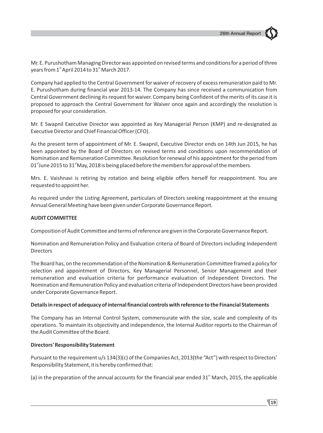Mr. E. Purushotham Managing Director was appointed on revised terms and conditions for a period of three years from  $1<sup>st</sup>$  April 2014 to 31<sup>st</sup> March 2017.

Company had applied to the Central Government for waiver of recovery of excess remuneration paid to Mr. E. Purushotham during financial year 2013-14. The Company has since received a communication from Central Government declining its request for waiver. Company being Confident of the merits of its case it is proposed to approach the Central Government for Waiver once again and accordingly the resolution is proposed for your consideration.

Mr. E Swapnil Executive Director was appointed as Key Managerial Person (KMP) and re-designated as Executive Director and Chief Financial Officer (CFO).

As the present term of appointment of Mr. E. Swapnil, Executive Director ends on 14th Jun 2015, he has been appointed by the Board of Directors on revised terms and conditions upon recommendation of Nomination and Remuneration Committee. Resolution for renewal of his appointment for the period from  $01^{\text{st}}$ June 2015 to 31 $^{\text{st}}$ May, 2018 is being placed before the members for approval of the members.

Mrs. E. Vaishnavi is retiring by rotation and being eligible offers herself for reappointment. You are requested to appoint her.

As required under the Listing Agreement, particulars of Directors seeking reappointment at the ensuing Annual General Meeting have been given under Corporate Governance Report.

#### **AUDIT COMMITTEE**

Composition of Audit Committee and terms of reference are given in the Corporate Governance Report.

Nomination and Remuneration Policy and Evaluation criteria of Board of Directors including Independent **Directors** 

The Board has, on the recommendation of the Nomination & Remuneration Committee framed a policy for selection and appointment of Directors, Key Managerial Personnel, Senior Management and their remuneration and evaluation criteria for performance evaluation of Independent Directors. The Nomination and Remuneration Policy and evaluation criteria of Independent Directors have been provided under Corporate Governance Report.

#### **Details in respect of adequacy of internal financial controls with reference to the Financial Statements**

The Company has an Internal Control System, commensurate with the size, scale and complexity of its operations. To maintain its objectivity and independence, the Internal Auditor reports to the Chairman of the Audit Committee of the Board.

#### **Directors' Responsibility Statement**

Pursuant to the requirement u/s 134(3)(c) of the Companies Act, 2013(the "Act") with respect to Directors' Responsibility Statement, it is hereby confirmed that:

(a) in the preparation of the annual accounts for the financial year ended 31 $^{\text{st}}$  March, 2015, the applicable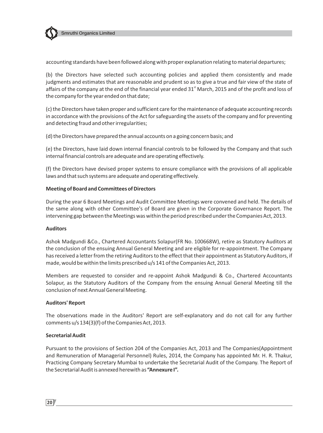accounting standards have been followed along with proper explanation relating to material departures;

(b) the Directors have selected such accounting policies and applied them consistently and made judgments and estimates that are reasonable and prudent so as to give a true and fair view of the state of affairs of the company at the end of the financial year ended 31<sup>st</sup> March, 2015 and of the profit and loss of the company for the year ended on that date;

(c) the Directors have taken proper and sufficient care for the maintenance of adequate accounting records in accordance with the provisions of the Act for safeguarding the assets of the company and for preventing and detecting fraud and other irregularities;

(d) the Directors have prepared the annual accounts on a going concern basis; and

(e) the Directors, have laid down internal financial controls to be followed by the Company and that such internal financial controls are adequate and are operating effectively.

(f) the Directors have devised proper systems to ensure compliance with the provisions of all applicable laws and that such systems are adequate and operating effectively.

#### **Meeting of Board and Committees of Directors**

During the year 6 Board Meetings and Audit Committee Meetings were convened and held. The details of the same along with other Committee's of Board are given in the Corporate Governance Report. The intervening gap between the Meetings was within the period prescribed under the Companies Act, 2013.

#### **Auditors**

Ashok Madgundi &Co., Chartered Accountants Solapur(FR No. 100668W), retire as Statutory Auditors at the conclusion of the ensuing Annual General Meeting and are eligible for re-appointment. The Company has received a letter from the retiring Auditors to the effect that their appointment as Statutory Auditors, if made, would be within the limits prescribed u/s 141 of the Companies Act, 2013.

Members are requested to consider and re-appoint Ashok Madgundi & Co., Chartered Accountants Solapur, as the Statutory Auditors of the Company from the ensuing Annual General Meeting till the conclusion of next Annual General Meeting.

#### **Auditors' Report**

The observations made in the Auditors' Report are self-explanatory and do not call for any further comments u/s 134(3)(f) of the Companies Act, 2013.

#### **Secretarial Audit**

Pursuant to the provisions of Section 204 of the Companies Act, 2013 and The Companies(Appointment and Remuneration of Managerial Personnel) Rules, 2014, the Company has appointed Mr. H. R. Thakur, Practicing Company Secretary Mumbai to undertake the Secretarial Audit of the Company. The Report of the Secretarial Audit is annexed herewith as **"Annexure I".**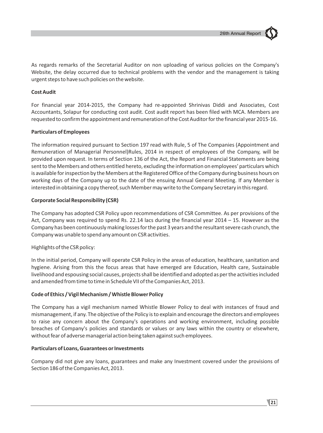As regards remarks of the Secretarial Auditor on non uploading of various policies on the Company's Website, the delay occurred due to technical problems with the vendor and the management is taking urgent steps to have such policies on the website.

#### **Cost Audit**

For financial year 2014-2015, the Company had re-appointed Shrinivas Diddi and Associates, Cost Accountants, Solapur for conducting cost audit. Cost audit report has been filed with MCA. Members are requested to confirm the appointment and remuneration of the Cost Auditor for the financial year 2015-16.

#### **Particulars of Employees**

The information required pursuant to Section 197 read with Rule, 5 of The Companies (Appointment and Remuneration of Managerial Personnel)Rules, 2014 in respect of employees of the Company, will be provided upon request. In terms of Section 136 of the Act, the Report and Financial Statements are being sent to the Members and others entitled hereto, excluding the information on employees' particulars which is available for inspection by the Members at the Registered Office of the Company during business hours on working days of the Company up to the date of the ensuing Annual General Meeting. If any Member is interested in obtaining a copy thereof, such Member may write to the Company Secretary in this regard.

#### **Corporate Social Responsibility (CSR)**

The Company has adopted CSR Policy upon recommendations of CSR Committee. As per provisions of the Act, Company was required to spend Rs. 22.14 lacs during the financial year 2014 – 15. However as the Company has been continuously making losses for the past 3 years and the resultant severe cash crunch, the Company was unable to spend any amount on CSR activities.

#### Highlights of the CSR policy:

In the initial period, Company will operate CSR Policy in the areas of education, healthcare, sanitation and hygiene. Arising from this the focus areas that have emerged are Education, Health care, Sustainable livelihood and espousing social causes, projects shall be identified and adopted as per the activities included and amended from time to time in Schedule VII of the Companies Act, 2013.

#### **Code of Ethics / Vigil Mechanism / Whistle Blower Policy**

The Company has a vigil mechanism named Whistle Blower Policy to deal with instances of fraud and mismanagement, if any. The objective of the Policy is to explain and encourage the directors and employees to raise any concern about the Company's operations and working environment, including possible breaches of Company's policies and standards or values or any laws within the country or elsewhere, without fear of adverse managerial action being taken against such employees.

#### **Particulars of Loans, Guarantees or Investments**

Company did not give any loans, guarantees and make any Investment covered under the provisions of Section 186 of the Companies Act, 2013.

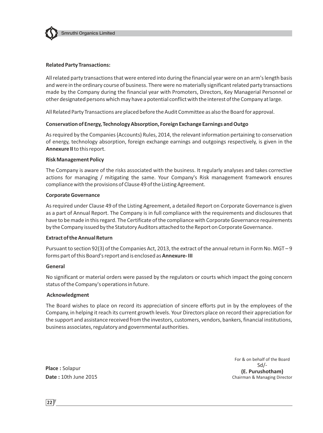#### **Related Party Transactions:**

All related party transactions that were entered into during the financial year were on an arm's length basis and were in the ordinary course of business. There were no materially significant related party transactions made by the Company during the financial year with Promoters, Directors, Key Managerial Personnel or other designated persons which may have a potential conflict with the interest of the Company at large.

All Related Party Transactions are placed before the Audit Committee as also the Board for approval.

#### **Conservation of Energy, Technology Absorption, Foreign Exchange Earnings and Outgo**

As required by the Companies (Accounts) Rules, 2014, the relevant information pertaining to conservation of energy, technology absorption, foreign exchange earnings and outgoings respectively, is given in the **Annexure II** to this report.

#### **Risk Management Policy**

The Company is aware of the risks associated with the business. It regularly analyses and takes corrective actions for managing / mitigating the same. Your Company's Risk management framework ensures compliance with the provisions of Clause 49 of the Listing Agreement.

#### **Corporate Governance**

As required under Clause 49 of the Listing Agreement, a detailed Report on Corporate Governance is given as a part of Annual Report. The Company is in full compliance with the requirements and disclosures that have to be made in this regard. The Certificate of the compliance with Corporate Governance requirements by the Company issued by the Statutory Auditors attached to the Report on Corporate Governance.

#### **Extract of the Annual Return**

Pursuant to section 92(3) of the Companies Act, 2013, the extract of the annual return in Form No. MGT – 9 forms part of this Board's report and is enclosed as **Annexure- III**

#### **General**

No significant or material orders were passed by the regulators or courts which impact the going concern status of the Company's operations in future.

#### **Acknowledgment**

The Board wishes to place on record its appreciation of sincere efforts put in by the employees of the Company, in helping it reach its current growth levels. Your Directors place on record their appreciation for the support and assistance received from the investors, customers, vendors, bankers, financial institutions, business associates, regulatory and governmental authorities.

> For & on behalf of the Board Sd/- **(E. Purushotham)** Chairman & Managing Director

**Place :** Solapur **Date :** 10th June 2015

 $|22|$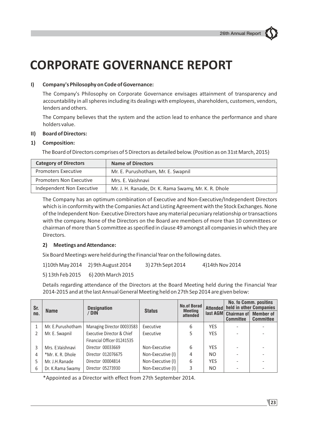

# **CORPORATE GOVERNANCE REPORT**

#### **I) Company's Philosophy on Code of Governance:**

The Company's Philosophy on Corporate Governance envisages attainment of transparency and accountability in all spheres including its dealings with employees, shareholders, customers, vendors, lenders and others.

The Company believes that the system and the action lead to enhance the performance and share holders value.

#### **II) Board of Directors:**

#### **1) Composition:**

The Board of Directors comprises of 5 Directors as detailed below. (Position as on 31st March, 2015)

| <b>Category of Directors</b>   | <b>Name of Directors</b>                             |
|--------------------------------|------------------------------------------------------|
| <b>Promoters Executive</b>     | Mr. E. Purushotham, Mr. E. Swapnil                   |
| <b>Promoters Non Executive</b> | Mrs. E. Vaishnavi                                    |
| Independent Non Executive      | Mr. J. H. Ranade, Dr. K. Rama Swamy, Mr. K. R. Dhole |

The Company has an optimum combination of Executive and Non-Executive/Independent Directors which is in conformity with the Companies Act and Listing Agreement with the Stock Exchanges. None of the Independent Non- Executive Directors have any material pecuniary relationship or transactions with the company. None of the Directors on the Board are members of more than 10 committees or chairman of more than 5 committee as specified in clause 49 amongst all companies in which they are Directors.

#### **2) Meetings and Attendance:**

Six Board Meetings were held during the Financial Year on the following dates.

1)10th May 2014 2) 9th August 2014 3) 27th Sept 2014 4)14th Nov 2014

5) 13th Feb 2015 6) 20th March 2015

Details regarding attendance of the Directors at the Board Meeting held during the Financial Year 2014-2015 and at the last Annual General Meeting held on 27th Sep 2014 are given below:

| Sr. | <b>Designation</b><br><b>Status</b><br><b>Meeting</b><br><b>Name</b> |                            | <b>No.of Borad</b> | <b>Attended</b> | <b>No. fo Comm. positins</b><br>held in other Companies |                                          |                                      |
|-----|----------------------------------------------------------------------|----------------------------|--------------------|-----------------|---------------------------------------------------------|------------------------------------------|--------------------------------------|
| no. |                                                                      | / DIN                      |                    | attended        |                                                         | last AGM Chairman of<br><b>Committee</b> | <b>Member of</b><br><b>Committee</b> |
|     | Mr. E.Purushotham                                                    | Managing Director 00033583 | Executive          | 6               | <b>YES</b>                                              |                                          |                                      |
|     | Mr. E. Swapnil                                                       | Executive Director & Chief | Executive          | 5               | <b>YES</b>                                              |                                          |                                      |
|     |                                                                      | Financial Officer 01241535 |                    |                 |                                                         |                                          |                                      |
|     | Mrs. E.Vaishnavi                                                     | Director 00033669          | Non-Executive      | 6               | <b>YES</b>                                              |                                          |                                      |
| 4   | *Mr. K. R. Dhole                                                     | Director 012076675         | Non-Executive (I)  | 4               | N <sub>O</sub>                                          |                                          |                                      |
| 5   | Mr. J.H.Ranade                                                       | Director 00004814          | Non-Executive (I)  | 6               | <b>YES</b>                                              |                                          |                                      |
| 6   | Dr. K.Rama Swamy                                                     | Director 05273930          | Non-Executive (I)  | 3               | NO                                                      |                                          |                                      |

\*Appointed as a Director with effect from 27th September 2014.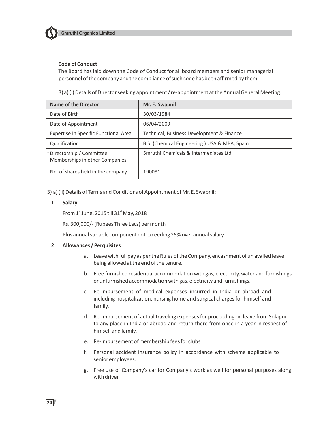#### **Code of Conduct**

The Board has laid down the Code of Conduct for all board members and senior managerial personnel of the company and the compliance of such code has been affirmed by them.

3) a) (i) Details of Director seeking appointment / re-appointment at the Annual General Meeting.

| <b>Name of the Director</b>                                  | Mr. E. Swapnil                               |
|--------------------------------------------------------------|----------------------------------------------|
| Date of Birth                                                | 30/03/1984                                   |
| Date of Appointment                                          | 06/04/2009                                   |
| Expertise in Specific Functional Area                        | Technical, Business Development & Finance    |
| Qualification                                                | B.S. (Chemical Engineering) USA & MBA, Spain |
| * Directorship / Committee<br>Memberships in other Companies | Smruthi Chemicals & Intermediates Ltd.       |
| No. of shares held in the company                            | 190081                                       |

3) a) (ii) Details of Terms and Conditions of Appointment of Mr. E. Swapnil :

#### **1. Salary**

From  $1<sup>st</sup>$  June, 2015 till 31 $<sup>st</sup>$  May, 2018</sup>

Rs. 300,000/- (Rupees Three Lacs) per month

Plus annual variable component not exceeding 25% over annual salary

#### **2. Allowances / Perquisites**

- a. Leave with full pay as per the Rules of the Company, encashment of un availed leave being allowed at the end of the tenure.
- b. Free furnished residential accommodation with gas, electricity, water and furnishings or unfurnished accommodation with gas, electricity and furnishings.
- c. Re-imbursement of medical expenses incurred in India or abroad and including hospitalization, nursing home and surgical charges for himself and family.
- d. Re-imbursement of actual traveling expenses for proceeding on leave from Solapur to any place in India or abroad and return there from once in a year in respect of himself and family.
- e. Re-imbursement of membership fees for clubs.
- f. Personal accident insurance policy in accordance with scheme applicable to senior employees.
- g. Free use of Company's car for Company's work as well for personal purposes along with driver.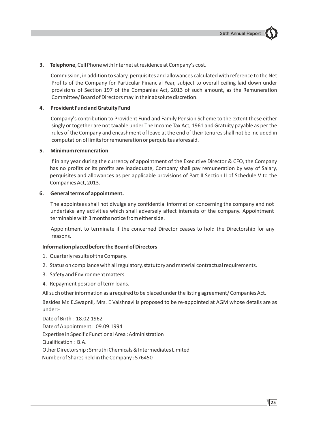**3. Telephone**, Cell Phone with Internet at residence at Company's cost.

Commission, in addition to salary, perquisites and allowances calculated with reference to the Net Profits of the Company for Particular Financial Year, subject to overall ceiling laid down under provisions of Section 197 of the Companies Act, 2013 of such amount, as the Remuneration Committee/ Board of Directors may in their absolute discretion.

#### **4. Provident Fund and Gratuity Fund**

Company's contribution to Provident Fund and Family Pension Scheme to the extent these either singly or together are not taxable under The Income Tax Act, 1961 and Gratuity payable as per the rules of the Company and encashment of leave at the end of their tenures shall not be included in computation of limits for remuneration or perquisites aforesaid.

#### **5. Minimum remuneration**

If in any year during the currency of appointment of the Executive Director & CFO, the Company has no profits or its profits are inadequate, Company shall pay remuneration by way of Salary, perquisites and allowances as per applicable provisions of Part II Section II of Schedule V to the Companies Act, 2013.

#### **6. General terms of appointment.**

The appointees shall not divulge any confidential information concerning the company and not undertake any activities which shall adversely affect interests of the company. Appointment terminable with 3 months notice from either side.

Appointment to terminate if the concerned Director ceases to hold the Directorship for any reasons.

#### **Information placed before the Board of Directors**

- 1. Quarterly results of the Company.
- 2. Status on compliance with all regulatory, statutory and material contractual requirements.
- 3. Safety and Environment matters.
- 4. Repayment position of term loans.
- All such other information as a required to be placed under the listing agreement/ Companies Act.

Besides Mr. E.Swapnil, Mrs. E Vaishnavi is proposed to be re-appointed at AGM whose details are as under:-

Date of Birth : 18.02.1962 Date of Appointment : 09.09.1994 Expertise in Specific Functional Area : Administration Qualification : B.A. Other Directorship : Smruthi Chemicals & Intermediates Limited Number of Shares held in the Company : 576450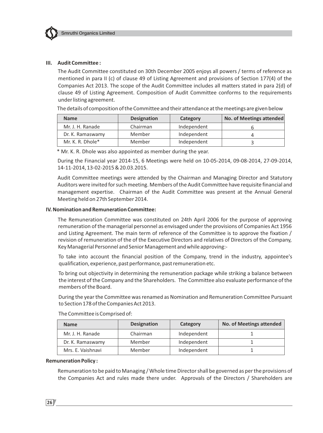#### **III. Audit Committee :**

Mr. K. R. Dhole\*

The Audit Committee constituted on 30th December 2005 enjoys all powers / terms of reference as mentioned in para II (c) of clause 49 of Listing Agreement and provisions of Section 177(4) of the Companies Act 2013. The scope of the Audit Committee includes all matters stated in para 2(d) of clause 49 of Listing Agreement. Composition of Audit Committee conforms to the requirements under listing agreement.

| <b>Name</b>      | <b>Designation</b> | Category    | <b>No. of Meetings attended</b> |
|------------------|--------------------|-------------|---------------------------------|
| Mr. J. H. Ranade | Chairman           | Independent |                                 |
| Dr. K. Ramaswamy | Member             | Independent |                                 |

The details of composition of the Committee and their attendance at the meetings are given below

\* Mr. K. R. Dhole was also appointed as member during the year.

Member

During the Financial year 2014-15, 6 Meetings were held on 10-05-2014, 09-08-2014, 27-09-2014, 14-11-2014, 13-02-2015 & 20.03.2015.

Independent

3

Audit Committee meetings were attended by the Chairman and Managing Director and Statutory Auditors were invited for such meeting. Members of the Audit Committee have requisite financial and management expertise. Chairman of the Audit Committee was present at the Annual General Meeting held on 27th September 2014.

#### **IV. Nomination and Remuneration Committee:**

The Remuneration Committee was constituted on 24th April 2006 for the purpose of approving remuneration of the managerial personnel as envisaged under the provisions of Companies Act 1956 and Listing Agreement. The main term of reference of the Committee is to approve the fixation / revision of remuneration of the of the Executive Directors and relatives of Directors of the Company, Key Managerial Personnel and Senior Management and while approving:-

To take into account the financial position of the Company, trend in the industry, appointee's qualification, experience, past performance, past remuneration etc.

To bring out objectivity in determining the remuneration package while striking a balance between the interest of the Company and the Shareholders. The Committee also evaluate performance of the members of the Board.

During the year the Committee was renamed as Nomination and Remuneration Committee Pursuant to Section 178 of the Companies Act 2013.

| <b>Name</b>       | <b>Designation</b> | Category    | <b>No. of Meetings attended</b> |
|-------------------|--------------------|-------------|---------------------------------|
| Mr. J. H. Ranade  | Chairman           | Independent |                                 |
| Dr. K. Ramaswamy  | Member             | Independent |                                 |
| Mrs. E. Vaishnavi | Member             | Independent |                                 |

The Committee is Comprised of:

#### **Remuneration Policy :**

Remuneration to be paid to Managing / Whole time Director shall be governed as per the provisions of the Companies Act and rules made there under. Approvals of the Directors / Shareholders are

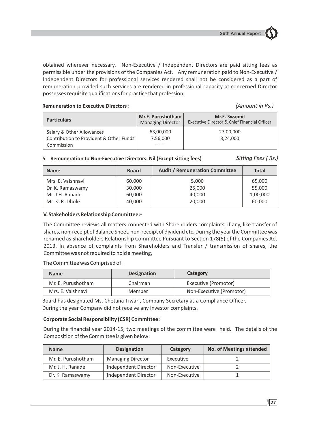obtained wherever necessary. Non-Executive / Independent Directors are paid sitting fees as permissible under the provisions of the Companies Act. Any remuneration paid to Non-Executive / Independent Directors for professional services rendered shall not be considered as a part of remuneration provided such services are rendered in professional capacity at concerned Director possesses requisite qualifications for practice that profession.

#### **Remuneration to Executive Directors :** *(Amount in Rs.)*

| <b>Particulars</b>                      | <b>Mr.E. Purushotham</b><br><b>Managing Director</b> | Mr.E. Swapnil<br>Executive Director & Chief Financial Officer |
|-----------------------------------------|------------------------------------------------------|---------------------------------------------------------------|
| Salary & Other Allowances               | 63,00,000                                            | 27,00,000                                                     |
| Contribution to Provident & Other Funds | 7,56,000                                             | 3,24,000                                                      |
| Commission                              |                                                      |                                                               |

#### **5 Remuneration to Non-Executive Directors: Nil (Except sitting fees)** *Sitting Fees ( Rs.)*

| <b>Name</b>       | <b>Board</b> | <b>Audit / Remuneration Committee</b> | <b>Total</b> |
|-------------------|--------------|---------------------------------------|--------------|
| Mrs. E. Vaishnavi | 60,000       | 5,000                                 | 65,000       |
| Dr. K. Ramaswamy  | 30,000       | 25,000                                | 55,000       |
| Mr. J.H. Ranade   | 60,000       | 40,000                                | 1,00,000     |
| Mr. K. R. Dhole   | 40,000       | 20,000                                | 60,000       |

#### **V. Stakeholders Relationship Committee:-**

The Committee reviews all matters connected with Shareholders complaints, if any, like transfer of shares, non-receipt of Balance Sheet, non-receipt of dividend etc. During the year the Committee was renamed as Shareholders Relationship Committee Pursuant to Section 178(5) of the Companies Act 2013. In absence of complaints from Shareholders and Transfer / transmission of shares, the Committee was not required to hold a meeting,

The Committee was Comprised of:

| <b>Name</b>        | <b>Designation</b> | Category                 |
|--------------------|--------------------|--------------------------|
| Mr. E. Purushotham | Chairman           | Executive (Promotor)     |
| Mrs. E. Vaishnavi  | Member             | Non-Executive (Promotor) |

Board has designated Ms. Chetana Tiwari, Company Secretary as a Compliance Officer. During the year Company did not receive any Investor complaints.

#### **Corporate Social Responsibility (CSR) Committee:**

During the financial year 2014-15, two meetings of the committee were held. The details of the Composition of the Committee is given below:

| <b>Name</b>        | <b>Designation</b>       | Category      | <b>No. of Meetings attended</b> |
|--------------------|--------------------------|---------------|---------------------------------|
| Mr. E. Purushotham | <b>Managing Director</b> | Executive     |                                 |
| Mr. J. H. Ranade   | Independent Director     | Non-Executive |                                 |
| Dr. K. Ramaswamy   | Independent Director     | Non-Executive |                                 |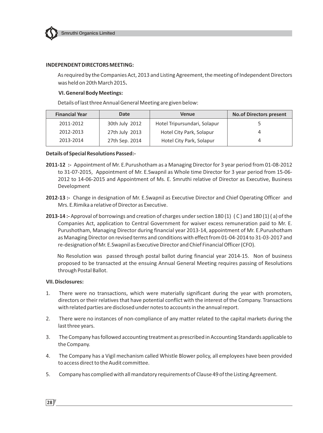#### **INDEPENDENT DIRECTORS MEETING:**

As required by the Companies Act, 2013 and Listing Agreement, the meeting of Independent Directors was held on 20th March 2015**.**

#### **VI. General Body Meetings:**

Details of last three Annual General Meeting are given below:

| <b>Financial Year</b> | Date           | <b>Venue</b>                 | <b>No.of Directors present</b> |
|-----------------------|----------------|------------------------------|--------------------------------|
| 2011-2012             | 30th July 2012 | Hotel Tripursundari, Solapur |                                |
| 2012-2013             | 27th July 2013 | Hotel City Park, Solapur     |                                |
| 2013-2014             | 27th Sep. 2014 | Hotel City Park, Solapur     |                                |

#### **Details of Special Resolutions Passed:-**

- **2011-12 :-** Appointment of Mr. E.Purushotham as a Managing Director for 3 year period from 01-08-2012 to 31-07-2015, Appointment of Mr. E.Swapnil as Whole time Director for 3 year period from 15-06- 2012 to 14-06-2015 and Appointment of Ms. E. Smruthi relative of Director as Executive, Business Development
- **2012-13 :-** Change in designation of Mr. E.Swapnil as Executive Director and Chief Operating Officer and Mrs. E.Rimika a relative of Director as Executive.
- **2013-14 :-** Approval of borrowings and creation of charges under section 180 (1) ( C ) and 180 (1) ( a) of the Companies Act, application to Central Government for waiver excess remuneration paid to Mr. E. Purushotham, Managing Director during financial year 2013-14, appointment of Mr. E.Purushotham as Managing Director on revised terms and conditions with effect from 01-04-2014 to 31-03-2017 and re-designation of Mr. E.Swapnil as Executive Director and Chief Financial Officer (CFO).

No Resolution was passed through postal ballot during financial year 2014-15. Non of business proposed to be transacted at the ensuing Annual General Meeting requires passing of Resolutions through Postal Ballot.

#### **VII. Disclosures:**

- 1. There were no transactions, which were materially significant during the year with promoters, directors or their relatives that have potential conflict with the interest of the Company. Transactions with related parties are disclosed under notes to accounts in the annual report.
- 2. There were no instances of non-compliance of any matter related to the capital markets during the last three years.
- 3. The Company has followed accounting treatment as prescribed in Accounting Standards applicable to the Company.
- 4. The Company has a Vigil mechanism called Whistle Blower policy, all employees have been provided to access direct to the Audit committee.
- 5. Company has complied with all mandatory requirements of Clause 49 of the Listing Agreement.

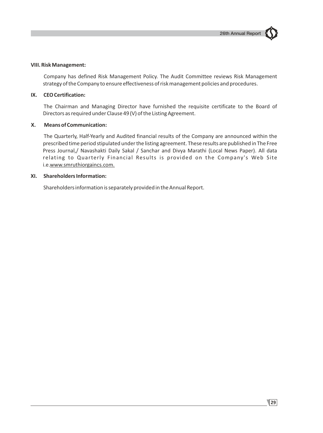#### **VIII. Risk Management:**

Company has defined Risk Management Policy. The Audit Committee reviews Risk Management strategy of the Company to ensure effectiveness of risk management policies and procedures.

#### **IX. CEO Certification:**

The Chairman and Managing Director have furnished the requisite certificate to the Board of Directors as required under Clause 49 (V) of the Listing Agreement.

#### **X. Means of Communication:**

The Quarterly, Half-Yearly and Audited financial results of the Company are announced within the prescribed time period stipulated under the listing agreement. These results are published in The Free Press Journal,/ Navashakti Daily Sakal / Sanchar and Divya Marathi (Local News Paper). All data relating to Quarterly Financial Results is provided on the Company's Web Site i.e.www.smruthiorgaincs.com.

#### **XI. Shareholders Information:**

Shareholders information is separately provided in the Annual Report.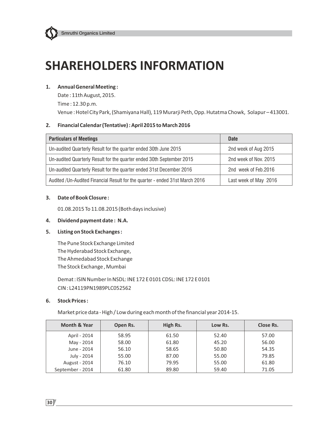# **SHAREHOLDERS INFORMATION**

#### **1. Annual General Meeting :**

Date : 11th August, 2015. Time : 12.30 p.m. Venue : Hotel City Park, (Shamiyana Hall), 119 Murarji Peth, Opp. Hutatma Chowk, Solapur – 413001.

#### **2. Financial Calendar (Tentative) : April 2015 to March 2016**

| <b>Particulars of Meetings</b>                                                | <b>Date</b>           |
|-------------------------------------------------------------------------------|-----------------------|
| Un-audited Quarterly Result for the quarter ended 30th June 2015              | 2nd week of Aug 2015  |
| Un-audited Quarterly Result for the quarter ended 30th September 2015         | 2nd week of Nov. 2015 |
| Un-audited Quarterly Result for the quarter ended 31st December 2016          | 2nd week of Feb. 2016 |
| Audited / Un-Audited Financial Result for the quarter - ended 31st March 2016 | Last week of May 2016 |

#### **3. Date of Book Closure :**

01.08.2015 To 11.08.2015 (Both days inclusive)

#### **4. Dividend payment date : N.A.**

#### **5. Listing on Stock Exchanges :**

The Pune Stock Exchange Limited The Hyderabad Stock Exchange, The Ahmedabad Stock Exchange The Stock Exchange , Mumbai

Demat : ISIN Number In NSDL: INE 172 E 0101 CDSL: INE 172 E 0101 CIN : L24119PN1989PLC052562

#### **6. Stock Prices :**

Market price data - High / Low during each month of the financial year 2014-15.

| Month & Year     | Open Rs. | High Rs. | Low Rs. | Close Rs. |
|------------------|----------|----------|---------|-----------|
| April - 2014     | 58.95    | 61.50    | 52.40   | 57.00     |
| May - 2014       | 58.00    | 61.80    | 45.20   | 56.00     |
| June - 2014      | 56.10    | 58.65    | 50.80   | 54.35     |
| July - 2014      | 55.00    | 87.00    | 55.00   | 79.85     |
| August - 2014    | 76.10    | 79.95    | 55.00   | 61.80     |
| September - 2014 | 61.80    | 89.80    | 59.40   | 71.05     |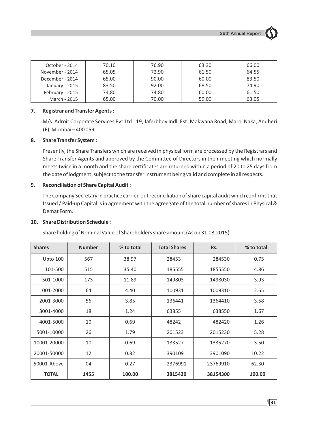| October - 2014  | 70.10 | 76.90 | 63.30 | 66.00 |
|-----------------|-------|-------|-------|-------|
| November - 2014 | 65.05 | 72.90 | 61.50 | 64.55 |
| December - 2014 | 65.00 | 90.00 | 60.00 | 83.50 |
| January - 2015  | 83.50 | 92.00 | 68.50 | 74.90 |
| February - 2015 | 74.80 | 74.80 | 60.00 | 61.50 |
| March - 2015    | 65.00 | 70.00 | 59.00 | 63.05 |

#### **7. Registrar and Transfer Agents :**

M/s. Adroit Corporate Services Pvt.Ltd., 19, Jaferbhoy Indl. Est.,Makwana Road, Marol Naka, Andheri (E), Mumbai – 400 059.

#### **8. Share Transfer System :**

Presently, the Share Transfers which are received in physical form are processed by the Registrars and Share Transfer Agents and approved by the Committee of Directors in their meeting which normally meets twice in a month and the share certificates are returned within a period of 20 to 25 days from the date of lodgment, subject to the transfer instrument being valid and complete in all respects.

#### **9. Reconciliation of Share Capital Audit :**

The Company Secretary in practice carried out reconciliation of share capital audit which confirms that Issued / Paid-up Capital is in agreement with the agreegate of the total number of shares in Physical & Demat Form.

#### **10. Share Distribution Schedule :**

Share holding of Nominal Value of Shareholders share amount (As on 31.03.2015)

| <b>Shares</b> | <b>Number</b> | % to total | <b>Total Shares</b> | Rs.      | % to total |
|---------------|---------------|------------|---------------------|----------|------------|
| Upto 100      | 567           | 38.97      | 28453               | 284530   | 0.75       |
| 101-500       | 515           | 35.40      | 185555              | 1855550  | 4.86       |
| 501-1000      | 173           | 11.89      | 149803              | 1498030  | 3.93       |
| 1001-2000     | 64            | 4.40       | 100931              | 1009310  | 2.65       |
| 2001-3000     | 56            | 3.85       | 136441              | 1364410  | 3.58       |
| 3001-4000     | 18            | 1.24       | 63855               | 638550   | 1.67       |
| 4001-5000     | 10            | 0.69       | 48242               | 482420   | 1.26       |
| 5001-10000    | 26            | 1.79       | 201523              | 2015230  | 5.28       |
| 10001-20000   | 10            | 0.69       | 133527              | 1335270  | 3.50       |
| 20001-50000   | 12            | 0.82       | 390109              | 3901090  | 10.22      |
| 50001-Above   | 04            | 0.27       | 2376991             | 23769910 | 62.30      |
| <b>TOTAL</b>  | 1455          | 100.00     | 3815430             | 38154300 | 100.00     |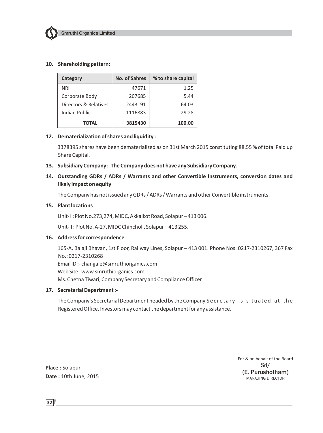#### **10. Shareholding pattern:**

| Category              | <b>No. of Sahres</b> | % to share capital |
|-----------------------|----------------------|--------------------|
| <b>NRI</b>            | 47671                | 1.25               |
| Corporate Body        | 207685               | 5.44               |
| Directors & Relatives | 2443191              | 64.03              |
| Indian Public         | 1116883              | 29.28              |
| TOTAL                 | 3815430              | 100.00             |

#### **12. Dematerialization of shares and liquidity :**

3378395 shares have been dematerialized as on 31st March 2015 constituting 88.55 % of total Paid up Share Capital.

**13. Subsidiary Company : The Company does not have any Subsidiary Company.**

### **14. Outstanding GDRs / ADRs / Warrants and other Convertible Instruments, conversion dates and likely impact on equity**

The Company has not issued any GDRs / ADRs / Warrants and other Convertible instruments.

#### **15. Plant locations**

Unit- I : Plot No.273,274, MIDC, Akkalkot Road, Solapur – 413 006.

Unit-II : Plot No. A-27, MIDC Chincholi, Solapur – 413 255.

#### **16. Address for correspondence**

165-A, Balaji Bhavan, 1st Floor, Railway Lines, Solapur – 413 001. Phone Nos. 0217-2310267, 367 Fax No.: 0217-2310268 Email ID :- changale@smruthiorganics.com Web Site : www.smruthiorganics.com Ms. Chetna Tiwari, Company Secretary and Compliance Officer

#### **17. Secretarial Department :-**

The Company's Secretarial Department headed by the Company Secretary is situated at the Registered Office. Investors may contact the department for any assistance.

> For & on behalf of the Board MANAGING DIRECTOR (E. Purushotham) Sd/

**Place :** Solapur **Date :** 10th June, 2015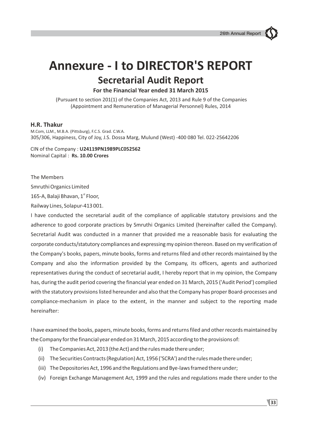# **Annexure - I to DIRECTOR'S REPORT Secretarial Audit Report**

**For the Financial Year ended 31 March 2015** 

 (Pursuant to section 201(1) of the Companies Act, 2013 and Rule 9 of the Companies (Appointment and Remuneration of Managerial Personnel) Rules, 2014

#### **H.R. Thakur**

M.Com, LLM., M.B.A. (Pittsburg), F.C.S. Grad. C.W.A. 305/306, Happiness, City of Joy, J.S. Dossa Marg, Mulund (West) -400 080 Tel. 022-25642206

CIN of the Company : **U24119PN1989PLC052562**  Nominal Capital : **Rs. 10.00 Crores**

The Members

Smruthi Organics Limited

165-A, Balaji Bhavan, 1st Floor,

Railway Lines, Solapur-413 001.

I have conducted the secretarial audit of the compliance of applicable statutory provisions and the adherence to good corporate practices by Smruthi Organics Limited (hereinafter called the Company). Secretarial Audit was conducted in a manner that provided me a reasonable basis for evaluating the corporate conducts/statutory compliances and expressing my opinion thereon. Based on my verification of the Company's books, papers, minute books, forms and returns filed and other records maintained by the Company and also the information provided by the Company, its officers, agents and authorized representatives during the conduct of secretarial audit, I hereby report that in my opinion, the Company has, during the audit period covering the financial year ended on 31 March, 2015 ('Audit Period') complied with the statutory provisions listed hereunder and also that the Company has proper Board-processes and compliance-mechanism in place to the extent, in the manner and subject to the reporting made hereinafter:

I have examined the books, papers, minute books, forms and returns filed and other records maintained by the Company for the financial year ended on 31 March, 2015 according to the provisions of:

- (i) The Companies Act, 2013 (the Act) and the rules made there under;
- (ii) The Securities Contracts (Regulation) Act, 1956 ('SCRA') and the rules made there under;
- (iii) The Depositories Act, 1996 and the Regulations and Bye-laws framed there under;
- (iv) Foreign Exchange Management Act, 1999 and the rules and regulations made there under to the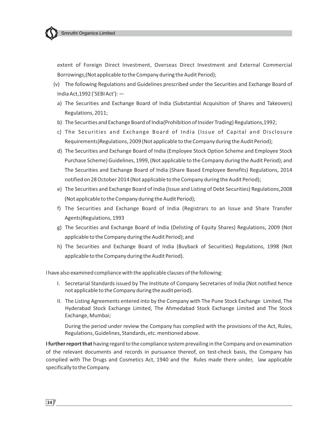

extent of Foreign Direct Investment, Overseas Direct Investment and External Commercial Borrowings;(Not applicable to the Company during the Audit Period);

- (v) The following Regulations and Guidelines prescribed under the Securities and Exchange Board of India Act,1992 ('SEBI Act'): —
- a) The Securities and Exchange Board of India (Substantial Acquisition of Shares and Takeovers) Regulations, 2011;
- b) The Securities and Exchange Board of India(Prohibition of Insider Trading) Regulations,1992;
- c) The Securities and Exchange Board of India (Issue of Capital and Disclosure Requirements)Regulations, 2009 (Not applicable to the Company during the Audit Period);
- d) The Securities and Exchange Board of India (Employee Stock Option Scheme and Employee Stock Purchase Scheme) Guidelines, 1999, (Not applicable to the Company during the Audit Period); and The Securities and Exchange Board of India (Share Based Employee Benefits) Regulations, 2014 notified on 28 October 2014 (Not applicable to the Company during the Audit Period);
- e) The Securities and Exchange Board of India (Issue and Listing of Debt Securities) Regulations,2008 (Not applicable to the Company during the Audit Period);
- f) The Securities and Exchange Board of India (Registrars to an Issue and Share Transfer Agents)Regulations, 1993
- g) The Securities and Exchange Board of India (Delisting of Equity Shares) Regulations, 2009 (Not applicable to the Company during the Audit Period); and
- h) The Securities and Exchange Board of India (Buyback of Securities) Regulations, 1998 (Not applicable to the Company during the Audit Period).

I have also examined compliance with the applicable clauses of the following:

- I. Secretarial Standards issued by The Institute of Company Secretaries of India (Not notified hence not applicable to the Company during the audit period).
- II. The Listing Agreements entered into by the Company with The Pune Stock Exchange Limited, The Hyderabad Stock Exchange Limited, The Ahmedabad Stock Exchange Limited and The Stock Exchange, Mumbai;

During the period under review the Company has complied with the provisions of the Act, Rules, Regulations, Guidelines, Standards, etc. mentioned above.

**I further report that** having regard to the compliance system prevailing in the Company and on examination of the relevant documents and records in pursuance thereof, on test-check basis, the Company has complied with The Drugs and Cosmetics Act, 1940 and the Rules made there under, law applicable specifically to the Company.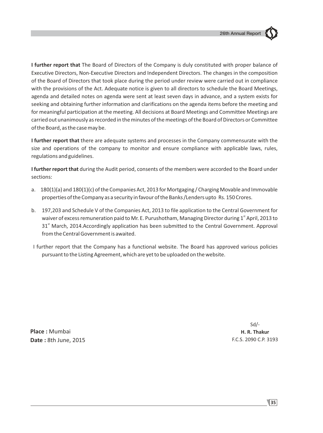**I further report that** The Board of Directors of the Company is duly constituted with proper balance of Executive Directors, Non-Executive Directors and Independent Directors. The changes in the composition of the Board of Directors that took place during the period under review were carried out in compliance with the provisions of the Act. Adequate notice is given to all directors to schedule the Board Meetings, agenda and detailed notes on agenda were sent at least seven days in advance, and a system exists for seeking and obtaining further information and clarifications on the agenda items before the meeting and for meaningful participation at the meeting. All decisions at Board Meetings and Committee Meetings are carried out unanimously as recorded in the minutes of the meetings of the Board of Directors or Committee of the Board, as the case may be.

**I further report that** there are adequate systems and processes in the Company commensurate with the size and operations of the company to monitor and ensure compliance with applicable laws, rules, regulations and guidelines.

**I further report that** during the Audit period, consents of the members were accorded to the Board under sections:

- a. 180(1)(a) and 180(1)(c) of the Companies Act, 2013 for Mortgaging / Charging Movable and Immovable properties of the Company as a security in favour of the Banks /Lenders upto Rs. 150 Crores.
- b. 197,203 and Schedule V of the Companies Act, 2013 to file application to the Central Government for waiver of excess remuneration paid to Mr. E. Purushotham, Managing Director during 1<sup>st</sup> April, 2013 to 31<sup>st</sup> March, 2014.Accordingly application has been submitted to the Central Government. Approval from the Central Government is awaited.
- I further report that the Company has a functional website. The Board has approved various policies pursuant to the Listing Agreement, which are yet to be uploaded on the website.

**Place :** Mumbai **Date :** 8th June, 2015

Sd/- **H. R. Thakur** F.C.S. 2090 C.P. 3193

**35**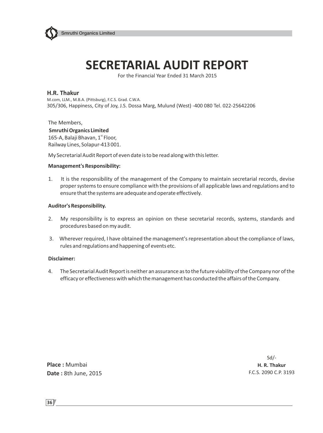

## **SECRETARIAL AUDIT REPORT**

For the Financial Year Ended 31 March 2015

### **H.R. Thakur**

M.com, LLM., M.B.A. (Pittsburg), F.C.S. Grad. C.W.A. 305/306, Happiness, City of Joy, J.S. Dossa Marg, Mulund (West) -400 080 Tel. 022-25642206

The Members, **Smruthi Organics Limited** 165-A, Balaji Bhavan, 1st Floor, Railway Lines, Solapur-413 001.

My Secretarial Audit Report of even date is to be read along with this letter.

#### **Management's Responsibility:**

1. It is the responsibility of the management of the Company to maintain secretarial records, devise proper systems to ensure compliance with the provisions of all applicable laws and regulations and to ensure that the systems are adequate and operate effectively.

#### **Auditor's Responsibility.**

- 2. My responsibility is to express an opinion on these secretarial records, systems, standards and procedures based on my audit.
- 3. Wherever required, I have obtained the management's representation about the compliance of laws, rules and regulations and happening of events etc.

#### **Disclaimer:**

4. The Secretarial Audit Report is neither an assurance as to the future viability of the Company nor of the efficacy or effectiveness with which the management has conducted the affairs of the Company.

**Place :** Mumbai **Date :** 8th June, 2015

Sd/- **H. R. Thakur** F.C.S. 2090 C.P. 3193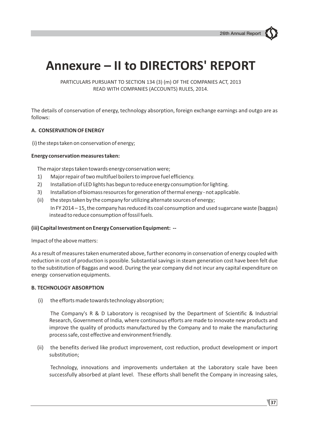

## **Annexure – II to DIRECTORS' REPORT**

PARTICULARS PURSUANT TO SECTION 134 (3) (m) OF THE COMPANIES ACT, 2013 READ WITH COMPANIES (ACCOUNTS) RULES, 2014.

The details of conservation of energy, technology absorption, foreign exchange earnings and outgo are as follows:

#### **A. CONSERVATION OF ENERGY**

(i) the steps taken on conservation of energy;

#### **Energy conservation measures taken:**

The major steps taken towards energy conservation were;

- 1) Major repair of two multifuel boilers to improve fuel efficiency.
- 2) Installation of LED lights has begun to reduce energy consumption for lighting.
- 3) Installation of biomass resources for generation of thermal energy not applicable.
- (ii) the steps taken by the company for utilizing alternate sources of energy; In FY 2014 – 15, the company has reduced its coal consumption and used sugarcane waste (baggas) instead to reduce consumption of fossil fuels.

### **(iii) Capital Investment on Energy Conservation Equipment: --**

Impact of the above matters:

As a result of measures taken enumerated above, further economy in conservation of energy coupled with reduction in cost of production is possible. Substantial savings in steam generation cost have been felt due to the substitution of Baggas and wood. During the year company did not incur any capital expenditure on energy conservation equipments.

### **B. TECHNOLOGY ABSORPTION**

(i) the efforts made towards technology absorption;

The Company's R & D Laboratory is recognised by the Department of Scientific & Industrial Research, Government of India, where continuous efforts are made to innovate new products and improve the quality of products manufactured by the Company and to make the manufacturing process safe, cost effective and environment friendly.

(ii) the benefits derived like product improvement, cost reduction, product development or import substitution;

Technology, innovations and improvements undertaken at the Laboratory scale have been successfully absorbed at plant level. These efforts shall benefit the Company in increasing sales,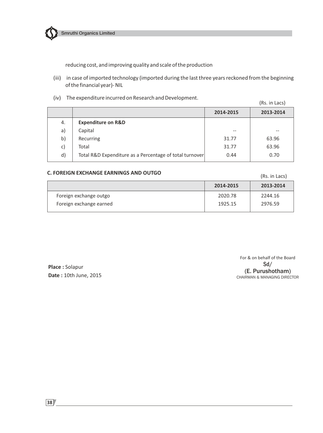

**38**

Smruthi Organics Limited

reducing cost, and improving quality and scale of the production

- (iii) in case of imported technology (imported during the last three years reckoned from the beginning of the financial year)- NIL
- (iv) The expenditure incurred on Research and Development.

|              | THE EXPERIMENTE INCONTECT ON THESE OF THE INTERNATIONAL PERSON IN THE INTERNATIONAL PROPERTY. |           | (Rs. in Lacs) |
|--------------|-----------------------------------------------------------------------------------------------|-----------|---------------|
|              |                                                                                               | 2014-2015 | 2013-2014     |
| 4.           | <b>Expenditure on R&amp;D</b>                                                                 |           |               |
| a)           | Capital                                                                                       | --        |               |
| b)           | Recurring                                                                                     | 31.77     | 63.96         |
| $\mathsf{C}$ | Total                                                                                         | 31.77     | 63.96         |
| d)           | Total R&D Expenditure as a Percentage of total turnover                                       | 0.44      | 0.70          |

### **C. FOREIGN EXCHANGE EARNINGS AND OUTGO** *(Rs. in Lacs) (Rs. in Lacs)*

|                         |           | $(15.11$ Lats |
|-------------------------|-----------|---------------|
|                         | 2014-2015 | 2013-2014     |
| Foreign exchange outgo  | 2020.78   | 2244.16       |
| Foreign exchange earned | 1925.15   | 2976.59       |
|                         |           |               |

**Place :** Solapur

For & on behalf of the Board **Date :** 10th June, 2015 **CHAIRMAN & MANAGING DIRECTOR** (E. Purushotham) Sd/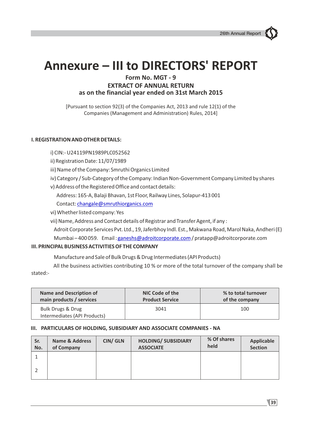## **Annexure – III to DIRECTORS' REPORT**

### **Form No. MGT - 9 EXTRACT OF ANNUAL RETURN as on the financial year ended on 31st March 2015**

[Pursuant to section 92(3) of the Companies Act, 2013 and rule 12(1) of the Companies (Management and Administration) Rules, 2014]

### **I. REGISTRATION AND OTHER DETAILS:**

- i) CIN:- U24119PN1989PLC052562
- ii) Registration Date: 11/07/1989
- iii) Name of the Company: Smruthi Organics Limited
- iv) Category / Sub-Category of the Company: Indian Non-Government Company Limited by shares
- v) Address of the Registered Office and contact details:

Address: 165-A, Balaji Bhavan, 1st Floor, Railway Lines, Solapur-413 001

Contact: [changale@smruthiorganics.com](mailto:changale@smruthiorganics.com)

- vi) Whether listed company: Yes
- vii) Name, Address and Contact details of Registrar and Transfer Agent, if any :

 Adroit Corporate Services Pvt. Ltd., 19, Jaferbhoy Indl. Est., Makwana Road, Marol Naka, Andheri (E) Mumbai-400 059. Email: [ganeshs@adroitcorporate.com](mailto:ganeshs@adroitcorporate.com)/pratapp@adroitcorporate.com

### **III. PRINCIPAL BUSINESS ACTIVITIES OF THE COMPANY**

Manufacture and Sale of Bulk Drugs & Drug Intermediates (API Products)

All the business activities contributing 10 % or more of the total turnover of the company shall be stated:-

| <b>Name and Description of</b>                    | NIC Code of the        | % to total turnover |
|---------------------------------------------------|------------------------|---------------------|
| main products / services                          | <b>Product Service</b> | of the company      |
| Bulk Drugs & Drug<br>Intermediates (API Products) | 3041                   | 100                 |

### **III. PARTICULARS OF HOLDING, SUBSIDIARY AND ASSOCIATE COMPANIES - NA**

| Sr.<br>No. | <b>Name &amp; Address</b><br>of Company | CIN/ GLN | <b>HOLDING/ SUBSIDIARY</b><br><b>ASSOCIATE</b> | % Of shares<br>held | <b>Applicable</b><br><b>Section</b> |
|------------|-----------------------------------------|----------|------------------------------------------------|---------------------|-------------------------------------|
|            |                                         |          |                                                |                     |                                     |
|            |                                         |          |                                                |                     |                                     |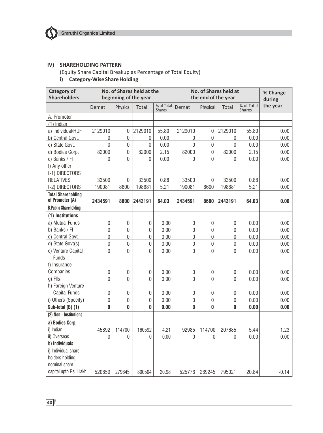### **IV) SHAREHOLDING PATTERN**

(Equity Share Capital Breakup as Percentage of Total Equity)

### **i) Category-Wise Share Holding**

| <b>Category of</b><br><b>Shareholders</b>    | No. of Shares held at the<br><b>No. of Shares held at</b><br>beginning of the year<br>the end of the year |                  |          |                             |                  |                  |                |                             | % Change<br>during |
|----------------------------------------------|-----------------------------------------------------------------------------------------------------------|------------------|----------|-----------------------------|------------------|------------------|----------------|-----------------------------|--------------------|
|                                              | Demat                                                                                                     | Physical         | Total    | % of Total<br><b>Shares</b> | Demat            | Physical         | Total          | % of Total<br><b>Shares</b> | the year           |
| A. Promoter                                  |                                                                                                           |                  |          |                             |                  |                  |                |                             |                    |
| $(1)$ Indian                                 |                                                                                                           |                  |          |                             |                  |                  |                |                             |                    |
| a) Individual/HUF                            | 2129010                                                                                                   | $\mathbf 0$      | 2129010  | 55.80                       | 2129010          | 0                | 2129010        | 55.80                       | 0.00               |
| b) Central Govt.                             | 0                                                                                                         | $\mathbf 0$      | 0        | 0.00                        | $\bf{0}$         | 0                | 0              | 0.00                        | 0.00               |
| c) State Govt.                               | 0                                                                                                         | $\boldsymbol{0}$ | 0        | 0.00                        | $\theta$         | 0                | $\Omega$       | 0.00                        | 0.00               |
| d) Bodies Corp.                              | 82000                                                                                                     | $\mathbf 0$      | 82000    | 2.15                        | 82000            | 0                | 82000          | 2.15                        | 0.00               |
| e) Banks / Fl                                | 0                                                                                                         | $\mathbf 0$      | $\bf{0}$ | 0.00                        | 0                | 0                | $\mathbf 0$    | 0.00                        | 0.00               |
| f) Any other                                 |                                                                                                           |                  |          |                             |                  |                  |                |                             |                    |
| f-1) DIRECTORS                               |                                                                                                           |                  |          |                             |                  |                  |                |                             |                    |
| <b>RELATIVES</b>                             | 33500                                                                                                     | 0                | 33500    | 0.88                        | 33500            | 0                | 33500          | 0.88                        | 0.00               |
| f-2) DIRECTORS                               | 190081                                                                                                    | 8600             | 198681   | 5.21                        | 190081           | 8600             | 198681         | 5.21                        | 0.00               |
| <b>Total Shareholding</b><br>of Promoter (A) | 2434591                                                                                                   | 8600             | 2443191  | 64.03                       | 2434591          | 8600             | 2443191        | 64.03                       | 0.00               |
| <b>B.Public Shareholding</b>                 |                                                                                                           |                  |          |                             |                  |                  |                |                             |                    |
| (1) Institutions                             |                                                                                                           |                  |          |                             |                  |                  |                |                             |                    |
| a) Mutual Funds                              | 0                                                                                                         | $\mathbf 0$      | 0        | 0.00                        | $\boldsymbol{0}$ | 0                | $\mathbf 0$    | 0.00                        | 0.00               |
| b) Banks / Fl                                | 0                                                                                                         | $\mathbf 0$      | 0        | 0.00                        | $\mathbf 0$      | 0                | $\mathbf 0$    | 0.00                        | 0.00               |
| c) Central Govt.                             | 0                                                                                                         | $\overline{0}$   | 0        | 0.00                        | $\overline{0}$   | $\mathbf 0$      | $\overline{0}$ | 0.00                        | 0.00               |
| d) State Govt(s)                             | 0                                                                                                         | $\boldsymbol{0}$ | 0        | 0.00                        | $\boldsymbol{0}$ | $\boldsymbol{0}$ | $\mathbf 0$    | 0.00                        | 0.00               |
| e) Venture Capital                           | 0                                                                                                         | $\overline{0}$   | 0        | 0.00                        | $\Omega$         | $\overline{0}$   | $\overline{0}$ | 0.00                        | 0.00               |
| Funds                                        |                                                                                                           |                  |          |                             |                  |                  |                |                             |                    |
| f) Insurance                                 |                                                                                                           |                  |          |                             |                  |                  |                |                             |                    |
| Companies                                    | 0                                                                                                         | $\boldsymbol{0}$ | 0        | 0.00                        | 0                | 0                | $\mathbf 0$    | 0.00                        | 0.00               |
| g) Flls                                      | 0                                                                                                         | $\mathbf 0$      | 0        | 0.00                        | $\mathbf 0$      | 0                | $\mathbf 0$    | 0.00                        | 0.00               |
| h) Foreign Venture                           |                                                                                                           |                  |          |                             |                  |                  |                |                             |                    |
| <b>Capital Funds</b>                         | 0                                                                                                         | $\boldsymbol{0}$ | 0        | 0.00                        | 0                | 0                | $\mathbf 0$    | 0.00                        | 0.00               |
| i) Others (Specify)                          | $\mathbf 0$                                                                                               | $\overline{0}$   | 0        | 0.00                        | $\overline{0}$   | $\mathbf 0$      | $\overline{0}$ | 0.00                        | 0.00               |
| Sub-total $(B)$ $(1)$                        | $\mathbf{0}$                                                                                              | $\bf{0}$         | 0        | 0.00                        | $\bf{0}$         | 0                | 0              | 0.00                        | 0.00               |
| (2) Non - Institutions                       |                                                                                                           |                  |          |                             |                  |                  |                |                             |                    |
| a) Bodies Corp.                              |                                                                                                           |                  |          |                             |                  |                  |                |                             |                    |
| i) Indian                                    | 45892                                                                                                     | 114700           | 160592   | 4.21                        | 92985            | 114700           | 207685         | 5.44                        | 1.23               |
| ii) Overseas                                 | 0                                                                                                         | $\pmb{0}$        | 0        | 0.00                        | $\boldsymbol{0}$ | $\mathbf 0$      | $\mathbf 0$    | 0.00                        | 0.00               |
| b) Individuals                               |                                                                                                           |                  |          |                             |                  |                  |                |                             |                    |
| i) Individual share-                         |                                                                                                           |                  |          |                             |                  |                  |                |                             |                    |
| holders holding                              |                                                                                                           |                  |          |                             |                  |                  |                |                             |                    |
| nominal share                                |                                                                                                           |                  |          |                             |                  |                  |                |                             |                    |
| capital upto Rs.1 lakh                       | 520859                                                                                                    | 279645           | 800504   | 20.98                       | 525776           | 269245           | 795021         | 20.84                       | $-0.14$            |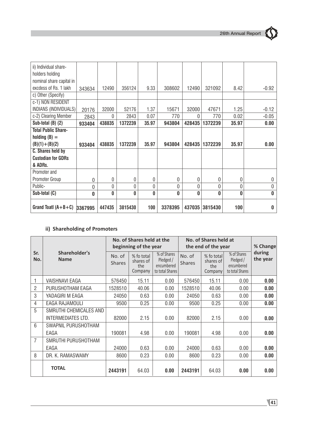| ii) Individual share-      |         |        |              |       |              |        |              |       |              |
|----------------------------|---------|--------|--------------|-------|--------------|--------|--------------|-------|--------------|
| holders holding            |         |        |              |       |              |        |              |       |              |
| nominal share capital in   |         |        |              |       |              |        |              |       |              |
| excdess of Rs. 1 lakh      | 343634  | 12490  | 356124       | 9.33  | 308602       | 12490  | 321092       | 8.42  | $-0.92$      |
| c) Other (Specify)         |         |        |              |       |              |        |              |       |              |
| c-1) NON RESIDENT          |         |        |              |       |              |        |              |       |              |
| INDIANS (INDIVIDUALS)      | 20176   | 32000  | 52176        | 1.37  | 15671        | 32000  | 47671        | 1.25  | $-0.12$      |
| c-2) Clearing Member       | 2843    | 0      | 2843         | 0.07  | 770          | 0      | 770          | 0.02  | $-0.05$      |
| Sub-total $(B)$ $(2)$      | 933404  | 438835 | 1372239      | 35.97 | 943804       | 428435 | 1372239      | 35.97 | 0.00         |
| <b>Total Public Share-</b> |         |        |              |       |              |        |              |       |              |
| holding $(B) =$            |         |        |              |       |              |        |              |       |              |
| $(B)(1)+(B)(2)$            | 933404  | 438835 | 1372239      | 35.97 | 943804       | 428435 | 1372239      | 35.97 | 0.00         |
| <b>C. Shares held by</b>   |         |        |              |       |              |        |              |       |              |
| <b>Custodian for GDRs</b>  |         |        |              |       |              |        |              |       |              |
| & ADRs.                    |         |        |              |       |              |        |              |       |              |
| Promoter and               |         |        |              |       |              |        |              |       |              |
| Promoter Group             | 0       | 0      | $\Omega$     | 0     | $\mathbf{0}$ | 0      | 0            | 0     | $\mathbf{0}$ |
| Public-                    | 0       | 0      | 0            | 0     | 0            | 0      | $\Omega$     | 0     | $\mathbf 0$  |
| Sub-total (C)              | 0       | 0      | $\mathbf{0}$ | 0     | 0            | Λ      | $\mathbf{0}$ | 0     | $\mathbf{0}$ |
| Grand Toatl $(A + B + C)$  | 3367995 | 447435 | 3815430      | 100   | 3378395      | 437035 | 3815430      | 100   | $\mathbf{0}$ |

### **ii) Shareholding of Promoters**

|                |                              | No. of Shares held at the<br>beginning of the year |                                           |                                                           | No. of Shares held at<br>the end of the year | % Change                                  |                                                           |                    |
|----------------|------------------------------|----------------------------------------------------|-------------------------------------------|-----------------------------------------------------------|----------------------------------------------|-------------------------------------------|-----------------------------------------------------------|--------------------|
| Sr.<br>No.     | Shareholder's<br><b>Name</b> | No. of<br><b>Shares</b>                            | % fo total<br>shares of<br>the<br>Company | % of Shares<br>Pledged /<br>encumbered<br>to total Shares | No. of<br><b>Shares</b>                      | % fo total<br>shares of<br>the<br>Company | % of Shares<br>Pledged /<br>encumbered<br>to total Shares | during<br>the year |
|                | <b>VAISHNAVI EAGA</b>        | 576450                                             | 15.11                                     | 0.00                                                      | 576450                                       | 15.11                                     | 0.00                                                      | 0.00               |
| $\overline{2}$ | PURUSHOTHAM EAGA             | 1528510                                            | 40.06                                     | 0.00                                                      | 1528510                                      | 40.06                                     | 0.00                                                      | 0.00               |
| 3              | YADAGIRI M EAGA              | 24050                                              | 0.63                                      | 0.00                                                      | 24050                                        | 0.63                                      | 0.00                                                      | 0.00               |
| 4              | EAGA RAJAMOULI               | 9500                                               | 0.25                                      | 0.00                                                      | 9500                                         | 0.25                                      | 0.00                                                      | 0.00               |
| 5              | SMRUTHI CHEMICALES AND       |                                                    |                                           |                                                           |                                              |                                           |                                                           |                    |
|                | INTERMEDIATES LTD.           | 82000                                              | 2.15                                      | 0.00                                                      | 82000                                        | 2.15                                      | 0.00                                                      | 0.00               |
| 6              | SWAPNIL PURUSHOTHAM          |                                                    |                                           |                                                           |                                              |                                           |                                                           |                    |
|                | EAGA                         | 190081                                             | 4.98                                      | 0.00                                                      | 190081                                       | 4.98                                      | 0.00                                                      | 0.00               |
| $\overline{7}$ | SMRUTHI PURUSHOTHAM          |                                                    |                                           |                                                           |                                              |                                           |                                                           |                    |
|                | EAGA                         | 24000                                              | 0.63                                      | 0.00                                                      | 24000                                        | 0.63                                      | 0.00                                                      | 0.00               |
| 8              | DR. K. RAMASWAMY             | 8600                                               | 0.23                                      | 0.00                                                      | 8600                                         | 0.23                                      | 0.00                                                      | 0.00               |
|                | <b>TOTAL</b>                 | 2443191                                            | 64.03                                     | 0.00                                                      | 2443191                                      | 64.03                                     | 0.00                                                      | 0.00               |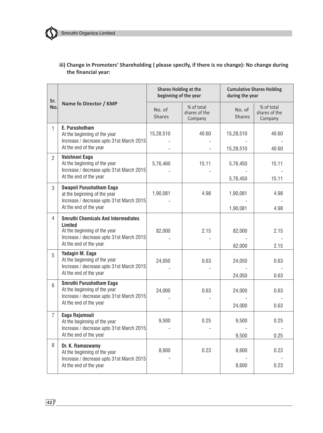| Sr.            |                                                                                                                                                                    | <b>Shares Holding at the</b><br>beginning of the year |                                        | <b>Cumulative Shares Holding</b><br>during the year |                                        |  |
|----------------|--------------------------------------------------------------------------------------------------------------------------------------------------------------------|-------------------------------------------------------|----------------------------------------|-----------------------------------------------------|----------------------------------------|--|
| No.            | Name fo Director / KMP                                                                                                                                             | No. of<br><b>Shares</b>                               | % of total<br>shares of the<br>Company | No. of<br><b>Shares</b>                             | % of total<br>shares of the<br>Company |  |
| 1              | E. Purushotham<br>At the beginning of the year<br>Increase / decrease upto 31st March 2015<br>At the end of the year                                               | 15,28,510                                             | 40.60                                  | 15,28,510<br>15,28,510                              | 40.60<br>40.60                         |  |
| $\overline{2}$ | Vaishnavi Eaga<br>At the beginning of the year<br>Increase / decrease upto 31st March 2015<br>At the end of the year                                               | 5,76,460                                              | 15.11                                  | 5,76,450<br>5,76,450                                | 15.11<br>15.11                         |  |
| 3              | <b>Swapnil Purushotham Eaga</b><br>at the beginning of the year<br>Increase / decrease upto 31st March 2015<br>At the end of the year                              | 1,90,081                                              | 4.98                                   | 1,90,081<br>1,90,081                                | 4.98<br>4.98                           |  |
| 4              | <b>Smruthi Chemicals And Intermediates</b><br><b>Limited</b><br>At the beginning of the year<br>Increase / decrease upto 31st March 2015<br>At the end of the year | 82,000                                                | 2.15                                   | 82,000<br>82,000                                    | 2.15<br>2.15                           |  |
| 5              | Yadagiri M. Eaga<br>At the beginning of the year<br>Increase / decrease upto 31st March 2015<br>At the end of the year                                             | 24,050                                                | 0.63                                   | 24,050<br>24,050                                    | 0.63<br>0.63                           |  |
| $6\phantom{1}$ | Smruthi Purushotham Eaga<br>At the beginning of the year<br>Increase / decrease upto 31st March 2015<br>At the end of the year                                     | 24,000                                                | 0.63                                   | 24,000<br>24,000                                    | 0.63<br>0.63                           |  |
| $\overline{7}$ | Eaga Rajamouli<br>At the beginning of the year<br>Increase / decrease upto 31st March 2015<br>At the end of the year                                               | 9,500                                                 | 0.25                                   | 9,500<br>9,500                                      | 0.25<br>0.25                           |  |
| 8              | Dr. K. Ramaswamy<br>At the beginning of the year<br>Increase / decrease upto 31st March 2015<br>At the end of the year                                             | 8,600                                                 | 0.23                                   | 8,600<br>8,600                                      | 0.23<br>0.23                           |  |

**iii) Change in Promoters' Shareholding ( please specify, if there is no change): No change during the financial year:**

**42**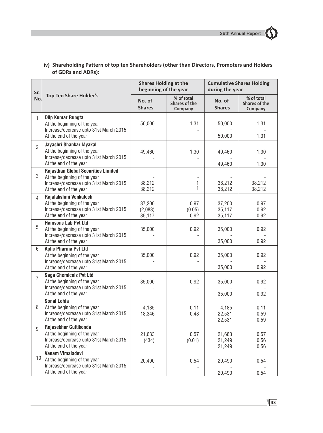| Sr.            |                                                                                                                                                | <b>Shares Holding at the</b><br>beginning of the year |                                        | <b>Cumulative Shares Holding</b><br>during the year |                                        |  |
|----------------|------------------------------------------------------------------------------------------------------------------------------------------------|-------------------------------------------------------|----------------------------------------|-----------------------------------------------------|----------------------------------------|--|
| No.            | <b>Top Ten Share Holder's</b>                                                                                                                  | No. of<br><b>Shares</b>                               | % of total<br>Shares of the<br>Company | No. of<br><b>Shares</b>                             | % of total<br>Shares of the<br>Company |  |
| 1              | Dilp Kumar Rungta<br>At the beginning of the year<br>Increase/decrease upto 31st March 2015<br>At the end of the year                          | 50,000                                                | 1.31                                   | 50,000<br>50,000                                    | 1.31<br>1.31                           |  |
| $\overline{2}$ | Jayashri Shankar Myakal<br>At the beginning of the year<br>Increase/decrease upto 31st March 2015<br>At the end of the year                    | 49,460                                                | 1.30                                   | 49,460<br>49,460                                    | 1.30<br>1.30                           |  |
| 3              | <b>Rajasthan Global Securities Limited</b><br>At the beginning of the year<br>Increase/decrease upto 31st March 2015<br>At the end of the year | 38,212<br>38,212                                      | 1<br>1                                 | 38,212<br>38,212                                    | 38,212<br>38,212                       |  |
| $\overline{4}$ | Rajalakshmi Venkatesh<br>At the beginning of the year<br>Increase/decrease upto 31st March 2015<br>At the end of the year                      | 37,200<br>(2,083)<br>35,117                           | 0.97<br>(0.05)<br>0.92                 | 37,200<br>35,117<br>35,117                          | 0.97<br>0.92<br>0.92                   |  |
| 5              | <b>Hamsons Lab Pvt Ltd</b><br>At the beginning of the year<br>Increase/decrease upto 31st March 2015<br>At the end of the year                 | 35,000                                                | 0.92                                   | 35,000<br>35,000                                    | 0.92<br>0.92                           |  |
| 6              | <b>Aplic Pharma Pvt Ltd</b><br>At the beginning of the year<br>Increase/decrease upto 31st March 2015<br>At the end of the year                | 35,000                                                | 0.92                                   | 35,000<br>35,000                                    | 0.92<br>0.92                           |  |
| $\overline{7}$ | <b>Saga Chemicals Pvt Ltd</b><br>At the beginning of the year<br>Increase/decrease upto 31st March 2015<br>At the end of the year              | 35,000                                                | 0.92                                   | 35,000<br>35,000                                    | 0.92<br>0.92                           |  |
| 8              | <b>Sonal Lohia</b><br>At the beginning of the year<br>Increase/decrease upto 31st March 2015<br>At the end of the year                         | 4,185<br>18,346                                       | 0.11<br>0.48                           | 4,185<br>22,531<br>22,531                           | 0.11<br>0.59<br>0.59                   |  |
| 9              | Rajasekhar Guttikonda<br>At the beginning of the year<br>Increase/decrease upto 31st March 2015<br>At the end of the year                      | 21,683<br>(434)                                       | 0.57<br>(0.01)                         | 21,683<br>21,249<br>21,249                          | 0.57<br>0.56<br>0.56                   |  |
| 10             | <b>Vanam Vimaladevi</b><br>At the beginning of the year<br>Increase/decrease upto 31st March 2015<br>At the end of the year                    | 20,490                                                | 0.54                                   | 20,490<br>20,490                                    | 0.54<br>0.54                           |  |

### **iv) Shareholding Pattern of top ten Shareholders (other than Directors, Promoters and Holders of GDRs and ADRs):**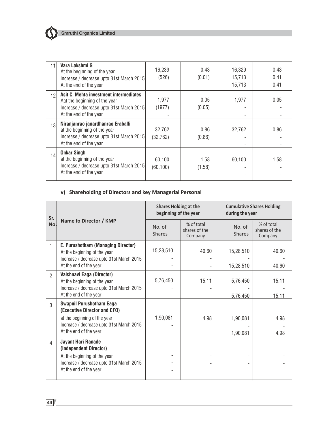| 11 | Vara Lakshmi G<br>At the beginning of the year<br>Increase / decrease upto 31st March 2015<br>At the end of the year                          | 16,239<br>(526)     | 0.43<br>(0.01) | 16,329<br>15,713<br>15,713 | 0.43<br>0.41<br>0.41 |
|----|-----------------------------------------------------------------------------------------------------------------------------------------------|---------------------|----------------|----------------------------|----------------------|
| 12 | Asit C. Mehta investment intermediates<br>Aat the beginning of the year<br>Increase / decrease upto 31st March 2015<br>At the end of the year | 1,977<br>(1977)     | 0.05<br>(0.05) | 1,977                      | 0.05                 |
| 13 | Niranjanrao janardhanrao Eraballi<br>at the beginning of the year<br>Increase / decrease upto 31st March 2015<br>At the end of the year       | 32,762<br>(32, 762) | 0.86<br>(0.86) | 32,762                     | 0.86                 |
| 14 | <b>Onkar Singh</b><br>at the beginning of the year<br>Increase / decrease upto 31st March 2015<br>At the end of the year                      | 60,100<br>(60, 100) | 1.58<br>(1.58) | 60,100                     | 1.58                 |

### **v) Shareholding of Directors and key Managerial Personal**

| Sr.            |                                                                                                                                                                       | <b>Shares Holding at the</b><br>beginning of the year |                                        | <b>Cumulative Shares Holding</b><br>during the year |                                        |  |
|----------------|-----------------------------------------------------------------------------------------------------------------------------------------------------------------------|-------------------------------------------------------|----------------------------------------|-----------------------------------------------------|----------------------------------------|--|
| No.            | Name fo Director / KMP                                                                                                                                                | No. of<br><b>Shares</b>                               | % of total<br>shares of the<br>Company | No. of<br><b>Shares</b>                             | % of total<br>shares of the<br>Company |  |
| 1              | E. Purushotham (Managing Director)<br>At the beginning of the year<br>Increase / decrease upto 31st March 2015<br>At the end of the year                              | 15,28,510                                             | 40.60                                  | 15,28,510<br>15,28,510                              | 40.60<br>40.60                         |  |
| $\overline{2}$ | Vaishnavi Eaga (Director)<br>At the beginning of the year<br>Increase / decrease upto 31st March 2015<br>At the end of the year                                       | 5,76,450                                              | 15.11                                  | 5,76,450<br>5,76,450                                | 15.11<br>15.11                         |  |
| 3              | <b>Swapnil Purushotham Eaga</b><br>(Executive Director and CFO)<br>at the beginning of the year<br>Increase / decrease upto 31st March 2015<br>At the end of the year | 1,90,081                                              | 4.98                                   | 1,90,081<br>1,90,081                                | 4.98<br>4.98                           |  |
| $\overline{4}$ | Jayant Hari Ranade<br>(Independent Director)<br>At the beginning of the year<br>Increase / decrease upto 31st March 2015<br>At the end of the year                    |                                                       |                                        |                                                     |                                        |  |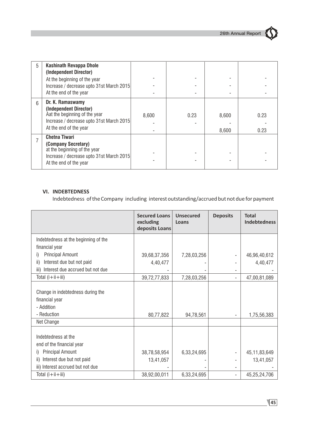| 5 | <b>Kashinath Revappa Dhole</b><br>(Independent Director)                                                                                          |       |      |       |      |
|---|---------------------------------------------------------------------------------------------------------------------------------------------------|-------|------|-------|------|
|   | At the beginning of the year                                                                                                                      |       |      |       |      |
|   | Increase / decrease upto 31st March 2015                                                                                                          |       |      |       |      |
|   | At the end of the year                                                                                                                            |       |      |       |      |
| 6 | Dr. K. Ramaswamy<br>(Independent Director)                                                                                                        |       |      |       |      |
|   | Aat the beginning of the year                                                                                                                     | 8,600 | 0.23 | 8,600 | 0.23 |
|   | Increase / decrease upto 31st March 2015                                                                                                          |       |      |       |      |
|   | At the end of the year                                                                                                                            |       |      | 8,600 | 0.23 |
|   | <b>Chetna Tiwari</b><br>(Company Secretary)<br>at the beginning of the year<br>Increase / decrease upto 31st March 2015<br>At the end of the year |       |      |       |      |

### **VI. INDEBTEDNESS**

Indebtedness of the Company including interest outstanding/accrued but not due for payment

|                                                                                  | <b>Secured Loans</b><br>excluding<br>deposits Loans | <b>Unsecured</b><br>Loans | <b>Deposits</b> | <b>Total</b><br><b>Indebtedness</b> |
|----------------------------------------------------------------------------------|-----------------------------------------------------|---------------------------|-----------------|-------------------------------------|
| Indebtedness at the beginning of the                                             |                                                     |                           |                 |                                     |
| financial year                                                                   |                                                     |                           |                 |                                     |
| <b>Principal Amount</b><br>I)                                                    | 39,68,37,356                                        | 7,28,03,256               |                 | 46,96,40,612                        |
| Interest due but not paid<br>ii)                                                 | 4,40,477                                            |                           |                 | 4,40,477                            |
| Interest due accrued but not due<br>iii)                                         |                                                     |                           |                 |                                     |
| Total $(i+ii+iii)$                                                               | 39,72,77,833                                        | 7,28,03,256               | ۰               | 47,00,81,089                        |
| Change in indebtedness during the<br>financial year<br>- Addition<br>- Reduction | 80,77,822                                           | 94,78,561                 |                 | 1,75,56,383                         |
| Net Change                                                                       |                                                     |                           |                 |                                     |
| Indebtedness at the<br>end of the financial year                                 |                                                     |                           |                 |                                     |
| <b>Principal Amount</b>                                                          | 38,78,58,954                                        | 6,33,24,695               |                 | 45, 11, 83, 649                     |
| Interest due but not paid<br>ii)                                                 | 13,41,057                                           |                           |                 | 13,41,057                           |
| iii) Interest accrued but not due                                                |                                                     |                           |                 |                                     |
| Total $(i+ii+iii)$                                                               | 38,92,00,011                                        | 6,33,24,695               | ٠               | 45,25,24,706                        |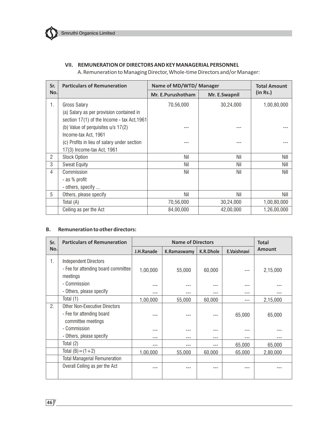### **VII. REMUNERATION OF DIRECTORS AND KEY MANAGERIAL PERSONNEL**

A. Remuneration to Managing Director, Whole-time Directors and/or Manager:

| Sr.            | <b>Particulars of Remuneration</b>          |                   | Name of MD/WTD/ Manager |             |  |
|----------------|---------------------------------------------|-------------------|-------------------------|-------------|--|
| No.            |                                             | Mr. E.Purushotham | Mr. E.Swapnil           | (in Rs.)    |  |
| 1.             | <b>Gross Salary</b>                         | 70,56,000         | 30,24,000               | 1,00,80,000 |  |
|                | (a) Salary as per provision contained in    |                   |                         |             |  |
|                | section 17(1) of the Income - tax Act, 1961 |                   |                         |             |  |
|                | (b) Value of perquisites $u/s$ 17(2)        |                   |                         |             |  |
|                | Income-tax Act, 1961                        |                   |                         |             |  |
|                | (c) Profits in lieu of salary under section |                   |                         |             |  |
|                | 17(3) Income-tax Act, 1961                  |                   |                         |             |  |
| $\overline{2}$ | <b>Stock Option</b>                         | Nil               | Nil                     | Nill        |  |
| 3              | <b>Sweat Equity</b>                         | Nil               | Nil                     | Nill        |  |
| 4              | Commission                                  | Nil               | Nil                     | Nill        |  |
|                | - as % profit                               |                   |                         |             |  |
|                | - others, specify                           |                   |                         |             |  |
| 5              | Others, please specify                      | Nil               | Nil                     | Nill        |  |
|                | Total (A)                                   | 70,56,000         | 30,24,000               | 1,00,80,000 |  |
|                | Ceiling as per the Act                      | 84,00,000         | 42,00,000               | 1,26,00,000 |  |

### **B. Remuneration to other directors:**

| Sr. | <b>Particulars of Remuneration</b><br><b>Name of Directors</b> |            |             |           | <b>Total</b> |               |
|-----|----------------------------------------------------------------|------------|-------------|-----------|--------------|---------------|
| No. |                                                                | J.H.Ranade | K.Ramaswamy | K.R.Dhole | E.Vaishnavi  | <b>Amount</b> |
| 1.  | <b>Independent Directors</b>                                   |            |             |           |              |               |
|     | - Fee for attending board committee                            | 1,00,000   | 55,000      | 60,000    |              | 2,15,000      |
|     | meetings                                                       |            |             |           |              |               |
|     | - Commission                                                   |            |             |           |              |               |
|     | - Others, please specify                                       | ---        | ---         | ---       | $- - -$      |               |
|     | Total (1)                                                      | 1,00,000   | 55,000      | 60,000    | $- - -$      | 2,15,000      |
| 2.  | <b>Other Non-Executive Directors</b>                           |            |             |           |              |               |
|     | - Fee for attending board                                      |            | ---         |           | 65,000       | 65,000        |
|     | committee meetings                                             |            |             |           |              |               |
|     | - Commission                                                   | ---        | ---         | ---       |              |               |
|     | - Others, please specify                                       | ---        | ---         | ---       | ---          |               |
|     | Total (2)                                                      | ---        | ---         | ---       | 65,000       | 65,000        |
|     | Total $(B) = (1 + 2)$                                          | 1,00,000   | 55,000      | 60,000    | 65,000       | 2,80,000      |
|     | <b>Total Managerial Remuneration</b>                           |            |             |           |              |               |
|     | Overall Ceiling as per the Act                                 |            |             |           |              |               |
|     |                                                                |            |             |           |              |               |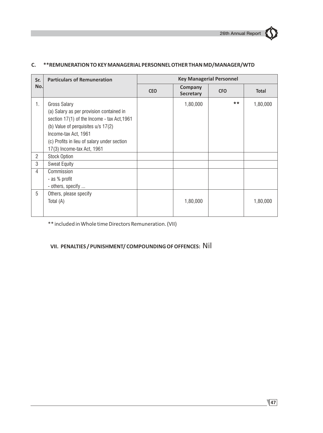| Sr.            | <b>Particulars of Remuneration</b>                                                                                                                                                                                                                          |            |                                    |            |              |
|----------------|-------------------------------------------------------------------------------------------------------------------------------------------------------------------------------------------------------------------------------------------------------------|------------|------------------------------------|------------|--------------|
| No.            |                                                                                                                                                                                                                                                             | <b>CEO</b> | <b>Company</b><br><b>Secretary</b> | <b>CFO</b> | <b>Total</b> |
| 1.             | <b>Gross Salary</b><br>(a) Salary as per provision contained in<br>section 17(1) of the Income - tax Act, 1961<br>(b) Value of perquisites $u/s$ 17(2)<br>Income-tax Act, 1961<br>(c) Profits in lieu of salary under section<br>17(3) Income-tax Act, 1961 |            | 1,80,000                           | $***$      | 1,80,000     |
| $\overline{2}$ | <b>Stock Option</b>                                                                                                                                                                                                                                         |            |                                    |            |              |
| 3              | <b>Sweat Equity</b>                                                                                                                                                                                                                                         |            |                                    |            |              |
| 4              | Commission<br>- as % profit<br>- others, specify                                                                                                                                                                                                            |            |                                    |            |              |
| 5              | Others, please specify<br>Total (A)                                                                                                                                                                                                                         |            | 1,80,000                           |            | 1,80,000     |

### **C. \*\*REMUNERATION TO KEY MANAGERIAL PERSONNEL OTHER THAN MD/MANAGER/WTD**

\*\* included in Whole time Directors Remuneration. (VII)

### **VII. PENALTIES / PUNISHMENT/ COMPOUNDING OF OFFENCES:** Nil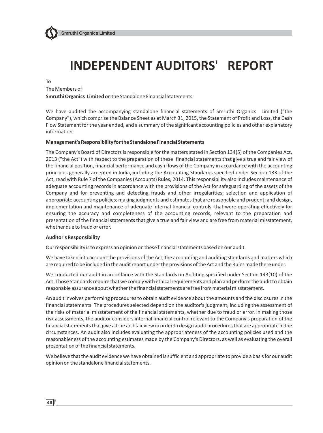# **INDEPENDENT AUDITORS' REPORT**

To The Members of

**Smruthi Organics Limited** on the Standalone Financial Statements

We have audited the accompanying standalone financial statements of Smruthi Organics Limited ("the Company"), which comprise the Balance Sheet as at March 31, 2015, the Statement of Profit and Loss, the Cash Flow Statement for the year ended, and a summary of the significant accounting policies and other explanatory information.

#### **Management's Responsibility for the Standalone Financial Statements**

The Company's Board of Directors is responsible for the matters stated in Section 134(5) of the Companies Act, 2013 ("the Act") with respect to the preparation of these financial statements that give a true and fair view of the financial position, financial performance and cash flows of the Company in accordance with the accounting principles generally accepted in India, including the Accounting Standards specified under Section 133 of the Act, read with Rule 7 of the Companies (Accounts) Rules, 2014. This responsibility also includes maintenance of adequate accounting records in accordance with the provisions of the Act for safeguarding of the assets of the Company and for preventing and detecting frauds and other irregularities; selection and application of appropriate accounting policies; making judgments and estimates that are reasonable and prudent; and design, implementation and maintenance of adequate internal financial controls, that were operating effectively for ensuring the accuracy and completeness of the accounting records, relevant to the preparation and presentation of the financial statements that give a true and fair view and are free from material misstatement, whether due to fraud or error.

#### **Auditor's Responsibility**

Our responsibility is to express an opinion on these financial statements based on our audit.

We have taken into account the provisions of the Act, the accounting and auditing standards and matters which are required to be included in the audit report under the provisions of the Act and the Rules made there under.

We conducted our audit in accordance with the Standards on Auditing specified under Section 143(10) of the Act. Those Standards require that we comply with ethical requirements and plan and perform the audit to obtain reasonable assurance about whether the financial statements are free from material misstatement.

An audit involves performing procedures to obtain audit evidence about the amounts and the disclosures in the financial statements. The procedures selected depend on the auditor's judgment, including the assessment of the risks of material misstatement of the financial statements, whether due to fraud or error. In making those risk assessments, the auditor considers internal financial control relevant to the Company's preparation of the financial statements that give a true and fair view in order to design audit procedures that are appropriate in the circumstances. An audit also includes evaluating the appropriateness of the accounting policies used and the reasonableness of the accounting estimates made by the Company's Directors, as well as evaluating the overall presentation of the financial statements.

We believe that the audit evidence we have obtained is sufficient and appropriate to provide a basis for our audit opinion on the standalone financial statements.

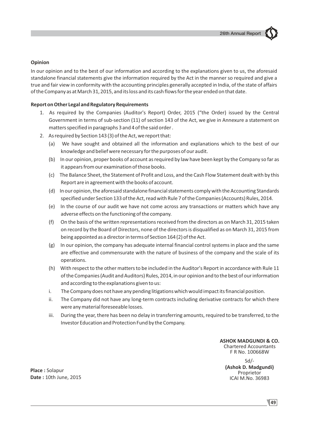### **Opinion**

In our opinion and to the best of our information and according to the explanations given to us, the aforesaid standalone financial statements give the information required by the Act in the manner so required and give a true and fair view in conformity with the accounting principles generally accepted in India, of the state of affairs of the Company as at March 31, 2015, and its loss and its cash flows for the year ended on that date.

### **Report on Other Legal and Regulatory Requirements**

- 1. As required by the Companies (Auditor's Report) Order, 2015 ("the Order) issued by the Central Government in terms of sub-section (11) of section 143 of the Act, we give in Annexure a statement on matters specified in paragraphs 3 and 4 of the said order .
- 2. As required by Section 143 (3) of the Act, we report that:
	- (a) We have sought and obtained all the information and explanations which to the best of our knowledge and belief were necessary for the purposes of our audit.
	- (b) In our opinion, proper books of account as required by law have been kept by the Company so far as it appears from our examination of those books.
	- (c) The Balance Sheet, the Statement of Profit and Loss, and the Cash Flow Statement dealt with by this Report are in agreement with the books of account.
	- (d) In our opinion, the aforesaid standalone financial statements comply with the Accounting Standards specified under Section 133 of the Act, read with Rule 7 of the Companies (Accounts) Rules, 2014.
	- (e) In the course of our audit we have not come across any transactions or matters which have any adverse effects on the functioning of the company.
	- (f) On the basis of the written representations received from the directors as on March 31, 2015 taken on record by the Board of Directors, none of the directors is disqualified as on March 31, 2015 from being appointed as a director in terms of Section 164 (2) of the Act.
	- (g) In our opinion, the company has adequate internal financial control systems in place and the same are effective and commensurate with the nature of business of the company and the scale of its operations.
	- (h) With respect to the other matters to be included in the Auditor's Report in accordance with Rule 11 of the Companies (Audit and Auditors) Rules, 2014, in our opinion and to the best of our information and according to the explanations given to us:
	- i. The Company does not have any pending litigations which would impact its financial position.
	- ii. The Company did not have any long-term contracts including derivative contracts for which there were any material foreseeable losses.
	- iii. During the year, there has been no delay in transferring amounts, required to be transferred, to the Investor Education and Protection Fund by the Company.

**ASHOK MADGUNDI & CO.** Chartered Accountants F R No. 100668W

**(Ashok D. Madgundi)** Proprietor ICAI M.No. 36983 Sd/-

**Place :** Solapur **Date :** 10th June, 2015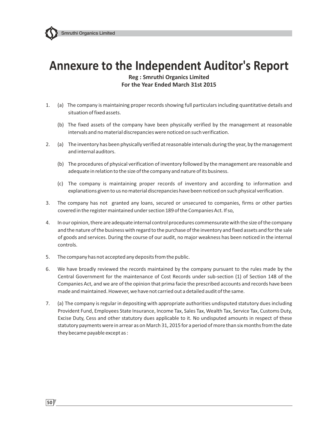## **Annexure to the Independent Auditor's Report**

**Reg : Smruthi Organics Limited For the Year Ended March 31st 2015** 

- 1. (a) The company is maintaining proper records showing full particulars including quantitative details and situation of fixed assets.
	- (b) The fixed assets of the company have been physically verified by the management at reasonable intervals and no material discrepancies were noticed on such verification.
- 2. (a) The inventory has been physically verified at reasonable intervals during the year, by the management and internal auditors.
	- (b) The procedures of physical verification of inventory followed by the management are reasonable and adequate in relation to the size of the company and nature of its business.
	- (c) The company is maintaining proper records of inventory and according to information and explanations given to us no material discrepancies have been noticed on such physical verification.
- 3. The company has not granted any loans, secured or unsecured to companies, firms or other parties covered in the register maintained under section 189 of the Companies Act. If so,
- 4. In our opinion, there are adequate internal control procedures commensurate with the size of the company and the nature of the business with regard to the purchase of the inventory and fixed assets and for the sale of goods and services. During the course of our audit, no major weakness has been noticed in the internal controls.
- 5. The company has not accepted any deposits from the public.
- 6. We have broadly reviewed the records maintained by the company pursuant to the rules made by the Central Government for the maintenance of Cost Records under sub-section (1) of Section 148 of the Companies Act, and we are of the opinion that prima facie the prescribed accounts and records have been made and maintained. However, we have not carried out a detailed audit of the same.
- 7. (a) The company is regular in depositing with appropriate authorities undisputed statutory dues including Provident Fund, Employees State Insurance, Income Tax, Sales Tax, Wealth Tax, Service Tax, Customs Duty, Excise Duty, Cess and other statutory dues applicable to it. No undisputed amounts in respect of these statutory payments were in arrear as on March 31, 2015 for a period of more than six months from the date they became payable except as :

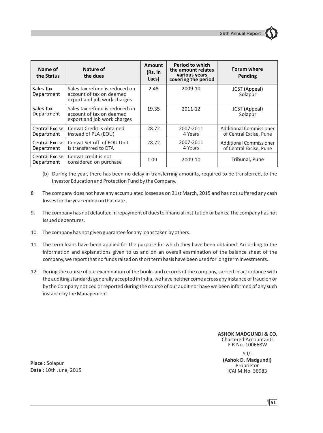| Name of<br>the Status               | Nature of<br>the dues                                                                     | Amount<br>(Rs. in<br>Lacs) | <b>Period to which</b><br>the amount relates<br>various years<br>covering the period | <b>Forum where</b><br>Pending                             |
|-------------------------------------|-------------------------------------------------------------------------------------------|----------------------------|--------------------------------------------------------------------------------------|-----------------------------------------------------------|
| Sales Tax<br>Department             | Sales tax refund is reduced on<br>account of tax on deemed<br>export and job work charges | 2.48                       | 2009-10                                                                              | <b>JCST</b> (Appeal)<br>Solapur                           |
| Sales Tax<br>Department             | Sales tax refund is reduced on<br>account of tax on deemed<br>export and job work charges | 19.35                      | 2011-12                                                                              | JCST (Appeal)<br>Solapur                                  |
| Central Excise<br>Department        | Cenvat Credit is obtained<br>instead of PLA (EOU)                                         | 28.72                      | 2007-2011<br>4 Years                                                                 | <b>Additional Commissioner</b><br>of Central Excise, Pune |
| <b>Central Excise</b><br>Department | Cenvat Set off of EOU Unit<br>is transferred to DTA                                       | 28.72                      | 2007-2011<br>4 Years                                                                 | <b>Additional Commissioner</b><br>of Central Excise, Pune |
| <b>Central Excise</b><br>Department | Cenvat credit is not<br>considered on purchase                                            | 1.09                       | 2009-10                                                                              | Tribunal, Pune                                            |

- (b) During the year, there has been no delay in transferring amounts, required to be transferred, to the Investor Education and Protection Fund by the Company.
- 8 The company does not have any accumulated losses as on 31st March, 2015 and has not suffered any cash losses for the year ended on that date.
- 9. The company has not defaulted in repayment of dues to financial institution or banks. The company has not issued debentures.
- 10. The company has not given guarantee for any loans taken by others.
- 11. The term loans have been applied for the purpose for which they have been obtained. According to the information and explanations given to us and on an overall examination of the balance sheet of the company, we report that no funds raised on short term basis have been used for long term investments.
- 12. During the course of our examination of the books and records of the company, carried in accordance with the auditing standards generally accepted in India, we have neither come across any instance of fraud on or by the Company noticed or reported during the course of our audit nor have we been informed of any such instance by the Management

**ASHOK MADGUNDI & CO.** Chartered Accountants

F R No. 100668W

**(Ashok D. Madgundi)** Proprietor ICAI M.No. 36983 Sd/-

**Place :** Solapur **Date :** 10th June, 2015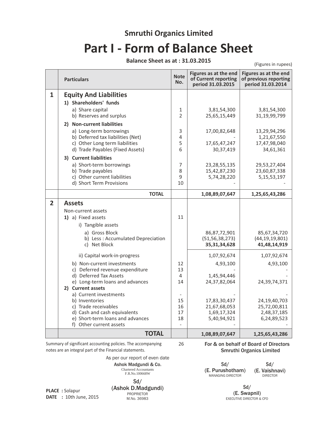### **Smruthi Organics Limited**

## **Part I - Form of Balance Sheet**

**Balance Sheet as at : 31.03.2015** (Figures in rupees)

|                | <b>Particulars</b>                                                                                                                                                                                                                                                                                                                                 | <b>Note</b><br>No.                                            | Figures as at the end<br>of Current reporting<br>period 31.03.2015                                                   | Figures as at the end<br>of previous reporting<br>period 31.03.2014                                   |
|----------------|----------------------------------------------------------------------------------------------------------------------------------------------------------------------------------------------------------------------------------------------------------------------------------------------------------------------------------------------------|---------------------------------------------------------------|----------------------------------------------------------------------------------------------------------------------|-------------------------------------------------------------------------------------------------------|
| 1              | <b>Equity And Liabilities</b><br>1) Shareholders' funds<br>a) Share capital<br>b) Reserves and surplus<br>2) Non-current liabilities<br>a) Long-term borrowings<br>b) Deferred tax liabilities (Net)<br>c) Other Long term liabilities<br>d) Trade Payables (Fixed Assets)                                                                         | 1<br>$\mathcal{P}$<br>3<br>4<br>5<br>6                        | 3,81,54,300<br>25,65,15,449<br>17,00,82,648<br>17,65,47,247<br>30, 37, 419                                           | 3,81,54,300<br>31,19,99,799<br>13,29,94,296<br>1,21,67,550<br>17,47,98,040<br>34,61,361               |
|                | 3) Current liabilities<br>a) Short-term borrowings<br>b) Trade payables<br>c) Other current liabilities<br>d) Short Term Provisions                                                                                                                                                                                                                | 7<br>8<br>9<br>10                                             | 23, 28, 55, 135<br>15,42,87,230<br>5,74,28,220                                                                       | 29,53,27,404<br>23,60,87,338<br>5, 15, 53, 197                                                        |
|                | <b>TOTAL</b>                                                                                                                                                                                                                                                                                                                                       |                                                               | 1,08,89,07,647                                                                                                       | 1,25,65,43,286                                                                                        |
| $\overline{2}$ | <b>Assets</b><br>Non-current assets<br>1) a) Fixed assets<br>i) Tangible assets<br>a) Gross Block<br>b) Less: Accumulated Depreciation<br>c) Net Block                                                                                                                                                                                             | 11                                                            | 86,87,72,901<br>(51, 56, 38, 273)<br>35, 31, 34, 628                                                                 | 85,67,34,720<br>(44, 19, 19, 801)<br>41,48,14,919                                                     |
|                | ii) Capital work-in-progress<br>b) Non-current investments<br>c) Deferred revenue expenditure<br>d) Deferred Tax Assets<br>e) Long-term loans and advances<br>2) Current assets<br>a) Current investments<br>b) Inventories<br>c) Trade receivables<br>d) Cash and cash equivalents<br>e) Short-term loans and advances<br>f) Other current assets | 12<br>13<br>4<br>14<br>15<br>16<br>17<br>18<br>$\overline{a}$ | 1,07,92,674<br>4,93,100<br>1,45,94,446<br>24,37,82,064<br>17,83,30,437<br>21,67,68,053<br>1,69,17,324<br>5,40,94,921 | 1,07,92,674<br>4,93,100<br>24,39,74,371<br>24,19,40,703<br>25,72,00,811<br>2,48,37,185<br>6,24,89,523 |
|                | <b>TOTAL</b>                                                                                                                                                                                                                                                                                                                                       |                                                               | 1,08,89,07,647                                                                                                       | 1,25,65,43,286                                                                                        |

26

Summary of significant accounting policies. The accompanying notes are an integral part of the Financial statements.

As per our report of even date

Ashok Madgundi & Co.

Chartered Accountants F.R.No.100668W

**PLACE :** Solapur **DATE :** 10th June, 2015 (Ashok D.Madgundi) PROPRIETOR M.No. 36983 Sd/

 For & on behalf of Board of Directors Smruthi Organics Limited

| Sd/                      | Sd/             |
|--------------------------|-----------------|
| (E. Purushotham)         | (E. Vaishnavi)  |
| <b>MANAGING DIRECTOR</b> | <b>DIRECTOR</b> |

(E. Swapnil) EXECUTIVE DIRECTOR & CFO Sd/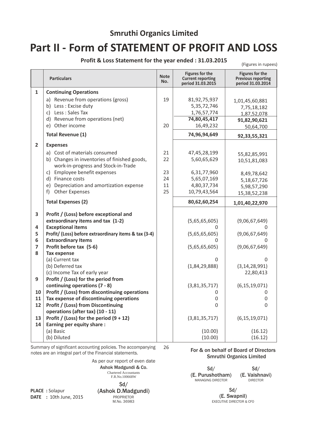### **Smruthi Organics Limited**

## **Part II - Form of STATEMENT OF PROFIT AND LOSS**

#### a) Revenue from operations (gross) b) Less : Excise duty c) Less : Sales Tax d) Revenue from operations (net) e) Other income **1 Continuing Operations** 19 20 Cost of materials consumed Changes in inventories of finished goods, work-in-progress and Stock-in-Trade **Particulars Note No. Figures for the Current reporting period 31.03.2015** 21 22 **Figures for the Previous reporting period 31.03.2014** 1,01,45,60,881 7,75,18,182 1,87,52,078 **91,82,90,621** 50,64,700 81,92,75,937 5,35,72,746 1,76,57,774 **74,80,45,417** 16,49,232 **74,96,94,649** 47,45,28,199 5,60,65,629

#### **Profit & Loss Statement for the year ended : 31.03.2015**

(Figures in rupees)

|                         | <b>Total Revenue (1)</b>                                                                                             |          | 74,96,94,649                | 92,33,55,321                 |  |  |  |
|-------------------------|----------------------------------------------------------------------------------------------------------------------|----------|-----------------------------|------------------------------|--|--|--|
| $\overline{\mathbf{c}}$ | <b>Expenses</b>                                                                                                      |          |                             |                              |  |  |  |
|                         | a) Cost of materials consumed<br>b) Changes in inventories of finished goods,<br>work-in-progress and Stock-in-Trade | 21<br>22 | 47,45,28,199<br>5,60,65,629 | 55,82,85,991<br>10,51,81,083 |  |  |  |
|                         | Employee benefit expenses<br>c)                                                                                      | 23       | 6,31,77,960                 | 8,49,78,642                  |  |  |  |
|                         | d) Finance costs                                                                                                     | 24       | 5,65,07,169                 | 5,18,67,726                  |  |  |  |
|                         | Depreciation and amortization expense<br>e)                                                                          | 11       | 4,80,37,734                 | 5,98,57,290                  |  |  |  |
|                         | f)<br><b>Other Expenses</b>                                                                                          | 25       | 10,79,43,564                | 15,38,52,238                 |  |  |  |
|                         | <b>Total Expenses (2)</b>                                                                                            |          | 80,62,60,254                | 1,01,40,22,970               |  |  |  |
| 3                       | Profit / (Loss) before exceptional and                                                                               |          |                             |                              |  |  |  |
| 4                       | extraordinary items and tax (1-2)<br><b>Exceptional items</b>                                                        |          | (5,65,65,605)               | (9,06,67,649)                |  |  |  |
| 5                       | Profit/ (Loss) before extraordinary items & tax (3-4)                                                                |          | (5,65,65,605)               | (9,06,67,649)                |  |  |  |
| 6                       | <b>Extraordinary Items</b>                                                                                           |          | 0                           | $\Omega$                     |  |  |  |
| 7                       | Profit before tax (5-6)                                                                                              |          | (5,65,65,605)               | (9,06,67,649)                |  |  |  |
| 8                       | <b>Tax expense</b>                                                                                                   |          |                             |                              |  |  |  |
|                         | (a) Current tax                                                                                                      |          | 0                           | 0                            |  |  |  |
|                         | (b) Deferred tax                                                                                                     |          | (1,84,29,888)               | (3, 14, 28, 991)             |  |  |  |
|                         | (c) Income Tax of early year                                                                                         |          |                             | 22,80,413                    |  |  |  |
| 9                       | Profit / (Loss) for the period from                                                                                  |          |                             |                              |  |  |  |
|                         | continuing operations (7 - 8)                                                                                        |          | (3,81,35,717)               | (6, 15, 19, 071)             |  |  |  |
| 10                      | Profit / (Loss) from discontinuing operations                                                                        |          | 0                           |                              |  |  |  |
| 11                      | Tax expense of discontinuing operations                                                                              |          | $\mathbf{0}$                | 0                            |  |  |  |
| 12                      | <b>Profit / (Loss) from Discontinuing</b>                                                                            |          | $\Omega$                    | $\overline{0}$               |  |  |  |
|                         | operations (after tax) (10 - 11)                                                                                     |          |                             |                              |  |  |  |
| 13                      | Profit / (Loss) for the period $(9 + 12)$                                                                            |          | (3,81,35,717)               | (6, 15, 19, 071)             |  |  |  |
| 14                      | Earning per equity share:                                                                                            |          | (10.00)                     |                              |  |  |  |
|                         | (a) Basic<br>(b) Diluted                                                                                             |          | (10.00)                     | (16.12)<br>(16.12)           |  |  |  |
|                         |                                                                                                                      |          |                             |                              |  |  |  |
|                         | immary of significant accounting policies. The accompanying<br>26                                                    |          |                             |                              |  |  |  |

Summary of significant accounting policies. The accompanying notes are an integral part of the Financial statements.

As per our report of even date

Ashok Madgundi & Co. Chartered Accountants F.R.No.100668W

**PLACE :** Solapur **DATE :** 10th June, 2015

**3**

**9**

**10 11 12**

**13 14**

> (Ashok D.Madgundi) PROPRIETOR M.No. 36983 Sd/

 For & on behalf of Board of Directors Smruthi Organics Limited

DIRECTOR (E. Vaishnavi) Sd/ MANAGING DIRECTOR (E. Purushotham) Sd/

> (E. Swapnil) EXECUTIVE DIRECTOR & CFO Sd/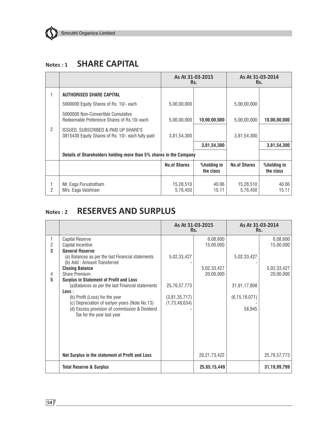### **Notes : 1 SHARE CAPITAL**

|                |                                                                                           | As At 31-03-2015<br>Rs. |                          | As At 31-03-2014<br>Rs. |                          |
|----------------|-------------------------------------------------------------------------------------------|-------------------------|--------------------------|-------------------------|--------------------------|
|                | <b>AUTHORISED SHARE CAPITAL</b>                                                           |                         |                          |                         |                          |
|                | 5000000 Equity Shares of Rs. 10/- each                                                    | 5,00,00,000             |                          | 5,00,00,000             |                          |
|                | 5000000 Non-Convertible Cumulative<br>Redeemable Preference Shares of Rs.10/-each         | 5,00,00,000             | 10,00,00,000             | 5,00,00,000             | 10,00,00,000             |
| $\overline{2}$ | ISSUED, SUBSCRIBED & PAID UP SHARE'S<br>3815430 Equity Shares of Rs. 10/- each fully paid | 3,81,54,300             |                          | 3,81,54,300             |                          |
|                |                                                                                           |                         | 3,81,54,300              |                         | 3,81,54,300              |
|                | Details of Shareholders holding more than 5% shares in the Company                        |                         |                          |                         |                          |
|                |                                                                                           | <b>No.of Shares</b>     | %holding in<br>the class | <b>No.of Shares</b>     | %holding in<br>the class |
| 2              | Mr. Eaga Purushotham<br>Mrs. Eaga Vaishnavi                                               | 15,28,510<br>5,76,450   | 40.06<br>15.11           | 15,28,510<br>5,76,450   | 40.06<br>15.11           |

### **Notes : 2 RESERVES AND SURPLUS**

|                     |                                                                                                                                   | As At 31-03-2015<br>Rs.        |                       | As At 31-03-2014<br>Rs.    |                          |
|---------------------|-----------------------------------------------------------------------------------------------------------------------------------|--------------------------------|-----------------------|----------------------------|--------------------------|
| $\overline{2}$<br>3 | <b>Capital Reserve</b><br>Capital Incentive<br><b>General Reserve</b>                                                             |                                | 6,08,600<br>15,00,000 |                            | 6,08,600<br>15,00,000    |
|                     | (a) Balances as per the last Financial statements<br>(b) Add : Amount Transferred<br><b>Closing Balance</b>                       | 5,02,33,427                    | 5,02,33,427           | 5,02,33,427                |                          |
| 4<br>5              | <b>Share Premium</b><br><b>Surplus in Statement of Profit and Loss</b>                                                            |                                | 20,00,000             |                            | 5,02,33,427<br>20,00,000 |
|                     | (a) Balances as per the last Financial statements<br>Less:                                                                        | 25,76,57,773                   |                       | 31,91,17,898               |                          |
|                     | (b) Profit (Loss) for the year<br>(c) Depreciation of earlyer years (Note No.13)<br>(d) Excess provision of commission & Dividend | (3,81,35,717)<br>(1,73,48,634) |                       | (6, 15, 19, 071)<br>58,945 |                          |
|                     | Tax for the year last year                                                                                                        |                                |                       |                            |                          |
|                     |                                                                                                                                   |                                |                       |                            |                          |
|                     |                                                                                                                                   |                                |                       |                            |                          |
|                     | Net Surplus in the statement of Profit and Loss                                                                                   |                                | 20,21,73,422          |                            | 25,76,57,773             |
|                     | <b>Total Reserve &amp; Surplus</b>                                                                                                |                                | 25,65,15,449          |                            | 31,19,99,799             |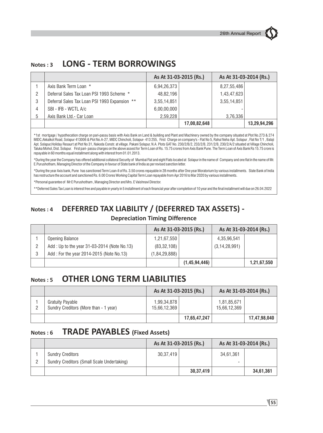### **Notes : 3 LONG - TERM BORROWINGS**

|               |                                               | As At 31-03-2015 (Rs.) |              | As At 31-03-2014 (Rs.) |              |
|---------------|-----------------------------------------------|------------------------|--------------|------------------------|--------------|
|               | Axis Bank Term Loan *                         | 6,94,26,373            |              | 8,27,55,486            |              |
| $\mathcal{D}$ | Deferral Sales Tax Loan PSI 1993 Scheme *     | 48,82,196              |              | 1,43,47,623            |              |
| 3             | Deferral Sales Tax Loan PSI 1993 Expansion ** | 3,55,14,851            |              | 3,55,14,851            |              |
| 4             | SBI - IFB - WCTL A/c                          | 6,00,00,000            |              |                        |              |
|               | Axis Bank Ltd.- Car Loan                      | 2,59,228               |              | 3,76,336               |              |
|               |                                               |                        | 17,00,82,648 |                        | 13,29,94,296 |

\*1st mortgage / hypothecation charge on pari-passu basis with Axis Bank on Land & building and Plant and Machinery owned by the company situated at Plot No.273 & 274 MIDC,Akkalkot Road, Solapur 413006 & Plot No.A-27, MIDC Chincholi, Solapur- 413 255, First Charge on company's - Flat No 5, Rahul Neha Apt. Solapur , Flat No T/1 , Balaji Apt. Solapur,Holiday Resaurt at Plot No 31, Nakoda Constr. at village. Pakani Solapur, N.A. Plots GAT No. 230/2/B/2, 233/2/B, 231/2/B, 230/2/A/2 situated at Village Chincholi, Taluka Mohol, Dist. Solapur. First pari- passu charges on the above assest for Term Loan of Rs. 15.75 crores from Axis Bank Pune. The Term Loan of Axis Bank Rs 15.75 crore is repayable in 60 months equal installment along with interest from 01.01.2013.

\*During the year the Company has offered additional collatoral Security of Mumbai Flat and eight Flats located at Solapur in the name of Company and one flat in the name of Mr. E.Purushotham, Managing Director of the Company in favour of State bank of India as per revised sanction letter.

\*During the year Axis bank, Pune has sanctioned Term Loan-II of Rs. 3.50 crores repayable in 28 months after One year Moratorium by various installments. State Bank of India has restructure the account and sanctioned Rs. 6.00 Crores Working Capital Term Loan repayable from Apr 2016 to Mar 2020 by various installments.

\*Personal guarantee of Mr E Purushotham , Managing Director and Mrs. E Vaishnavi Director.

\*\*Deferred Sales Tax Loan is interest free and payable in yearly in 5 installment of each financial year after completion of 10 year and the final installment will due on 26.04.2022

#### **DEFERRED TAX LIABILITY / (DEFERRED TAX ASSETS) - Notes : 4**

### **Depreciation Timing Difference**

|                                             | As At 31-03-2015 (Rs.) |               | As At 31-03-2014 (Rs.) |             |
|---------------------------------------------|------------------------|---------------|------------------------|-------------|
| <b>Opening Balance</b>                      | 1,21,67,550            |               | 4,35,96,541            |             |
| Add: Up to the year 31-03-2014 (Note No.13) | (83, 32, 108)          |               | (3, 14, 28, 991)       |             |
| Add: For the year 2014-2015 (Note No.13)    | (1, 84, 29, 888)       |               |                        |             |
|                                             |                        | (1,45,94,446) |                        | 1,21,67,550 |

### **Notes : 5 OTHER LONG TERM LIABILITIES**

|                                                                  | As At 31-03-2015 (Rs.)      |              |                             | As At 31-03-2014 (Rs.) |
|------------------------------------------------------------------|-----------------------------|--------------|-----------------------------|------------------------|
| <b>Gratuity Payable</b><br>Sundry Creditors (More than - 1 year) | 1,99,34,878<br>15,66,12,369 |              | 1,81,85,671<br>15.66.12.369 |                        |
|                                                                  |                             | 17,65,47,247 |                             | 17,47,98,040           |

### **Notes : 6 TRADE PAYABLES (Fixed Assets)**

|                                                                       | As At 31-03-2015 (Rs.) |           |           | As At 31-03-2014 (Rs.) |
|-----------------------------------------------------------------------|------------------------|-----------|-----------|------------------------|
| <b>Sundry Creditors</b><br>Sundry Creditors (Small Scale Undertaking) | 30.37.419              |           | 34,61,361 |                        |
|                                                                       |                        | 30,37,419 |           | 34,61,361              |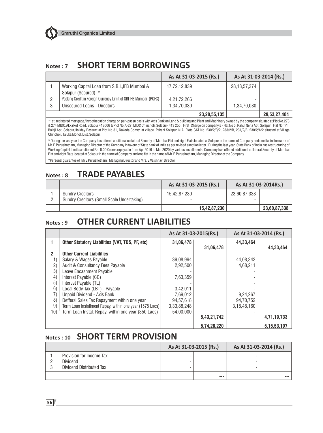### **Notes : 7 SHORT TERM BORROWINGS**

|   |                                                                                          | As At 31-03-2015 (Rs.) |                 | As At 31-03-2014 (Rs.) |              |
|---|------------------------------------------------------------------------------------------|------------------------|-----------------|------------------------|--------------|
|   | Working Capital Loan from S.B.I., IFB Mumbai &                                           | 17,72,12,839           |                 | 28, 18, 57, 374        |              |
|   | Solapur (Secured) *<br>Packing Credit in Foreign Currency Limit of SBI IFB Mumbai (PCFC) | 4,21,72,266            |                 | -                      |              |
| ≘ | Unsecured Loans - Directors                                                              | 1,34,70,030            |                 | 1,34,70,030            |              |
|   |                                                                                          |                        | 23, 28, 55, 135 |                        | 29,53,27,404 |

\*1st registered mortgage / hypothecation charge on pari-passu basis with Axis Bank on Land & building and Plant and Machinery owned by the company situated at Plot No.273 & 274 MIDC,Akkalkot Road, Solapur 413006 & Plot No.A-27, MIDC Chincholi, Solapur- 413 255, First Charge on company's - Flat No 5, Rahul Neha Apt. Solapur , Flat No T/1 , Balaji Apt. Solapur,Holiday Resaurt at Plot No 31, Nakoda Constr. at village. Pakani Solapur, N.A. Plots GAT No. 230/2/B/2, 233/2/B, 231/2/B, 230/2/A/2 situated at Village Chincholi, Taluka Mohol, Dist. Solapur.

\* During the last year the Company has offered additional collatoral Security of Mumbai Flat and eight Flats located at Solapur in the name of Company and one flat in the name of Mr. E.Purushotham, Managing Director of the Company in favour of State bank of India as per revised sanction letter. During the last year State Bank of India has restructuring of Working Capital Limit sanctioned Rs. 6.00 Crores repayable from Apr 2016 to Mar 2020 by various installments. Company has offered additional collatoral Security of Mumbai Flat and eight Flats located at Solapur in the name of Company and one flat in the name of Mr. E.Purushotham, Managing Director of the Company.

\*Personal guarantee of Mr E Purushotham , Managing Director and Mrs. E Vaishnavi Director.

### **Notes : 8 TRADE PAYABLES**

|                                                                       | As At 31-03-2015 (Rs.) |              | As At 31-03-2014Rs.) |              |
|-----------------------------------------------------------------------|------------------------|--------------|----------------------|--------------|
| <b>Sundry Creditors</b><br>Sundry Creditors (Small Scale Undertaking) | 15,42,87,230           |              | 23,60,87,338         |              |
|                                                                       |                        | 15,42,87,230 |                      | 23,60,87,338 |

### **Notes : 9 OTHER CURRENT LIABILITIES**

|     |                                                          | As At 31-03-2015(Rs.) |             | As At 31-03-2014 (Rs.) |                |
|-----|----------------------------------------------------------|-----------------------|-------------|------------------------|----------------|
|     | Other Statutory Liabilities (VAT, TDS, PF, etc)          | 31,06,478             | 31,06,478   | 44,33,464              | 44,33,464      |
| 2   | <b>Other Current Liabilities</b>                         |                       |             |                        |                |
| 1)  | Salary & Wages Payable                                   | 39,08,994             |             | 44,08,343              |                |
| 2)  | Audit & Consultancy Fees Payable                         | 2,92,500              |             | 4,68,211               |                |
| 3)  | Leave Encashment Payable                                 |                       |             |                        |                |
| 4)  | Interest Payable (CC)                                    | 7,63,359              |             |                        |                |
| 5)  | Interest Payable (TL)                                    |                       |             |                        |                |
| 6)  | Local Body Tax (LBT) - Payable                           | 3.42.011              |             |                        |                |
| 7)  | Unpaid Dividend - Axis Bank                              | 7,69,012              |             | 9,24,267               |                |
| 8)  | Defferal Sales Tax Repayment within one year             | 94,57,618             |             | 94,70,752              |                |
| 9)  | Term Loan Installment Repay. within one year (1575 Lacs) | 3,33,88,248           |             | 3,18,48,160            |                |
| 10) | Term Loan Instal. Repay. within one year (350 Lacs)      | 54,00,000             |             |                        |                |
|     |                                                          |                       | 5,43,21,742 |                        | 4,71,19,733    |
|     |                                                          |                       | 5,74,28,220 |                        | 5, 15, 53, 197 |

### **Notes : 10 SHORT TERM PROVISION**

|                                                                  |             | As At 31-03-2015 (Rs.) | As At 31-03-2014 (Rs.) |     |
|------------------------------------------------------------------|-------------|------------------------|------------------------|-----|
| Provision for Income Tax<br>Dividend<br>Dividend Distributed Tax | -<br>-<br>- |                        |                        |     |
|                                                                  |             | $- - -$                |                        | --- |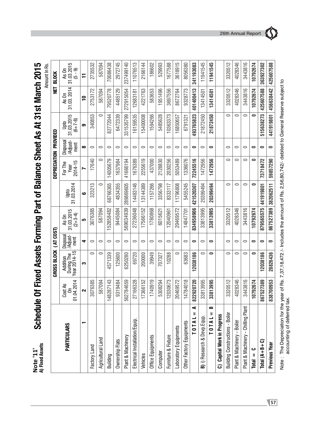Note '11'<br>A) Fixed Assets

**Schedule Of Fixed Assets Forming Part of Balance Sheet As At 31st March 2015** Note '11' **Schedule Of Fixed Assets Forming Part of Balance Sheet As At 31st March 2015** A) Fixed Assets

|                                      |                               |                                        |                              |                                  |                        |                                |                              |                                            |                          | Amount In Rs                         |  |
|--------------------------------------|-------------------------------|----------------------------------------|------------------------------|----------------------------------|------------------------|--------------------------------|------------------------------|--------------------------------------------|--------------------------|--------------------------------------|--|
|                                      |                               | GROSS BLOCK                            | (AT COST)                    |                                  |                        | DEPRECIATION PROVIDED          |                              |                                            | 逗                        | <b>BLOCK</b>                         |  |
| <b>PARTICULARS</b>                   | .04.2014<br>Cost As<br>ă<br>5 | Addition<br>During The<br>Year 2014-15 | Disposal<br>/Adjust-<br>ment | 31.03.2015<br>$(2+3-4)$<br>As On | 31.03.2014<br>g<br>Dup | $2014 - 15$<br>For The<br>Year | Disposal<br>/Adjust-<br>ment | 31.03.2015<br>$(6 + 7 - 8)$<br><b>upto</b> | 31.03.2014<br>As On      | 5<br>31.03.201<br>As On<br>$(5 - 9)$ |  |
|                                      | 2                             | က                                      | 4                            | မာ                               | ဖ                      | N                              | ∞                            | ග                                          | $\overline{\phantom{0}}$ | $\mathbf{r}$                         |  |
| Factory Land                         | 3076385                       | 0                                      | $\circ$                      | 3076385                          | 323213                 | 17640                          | $\circ$                      | 340853                                     | 2753172                  | 2735532                              |  |
| Agricultural Land                    | 587094                        | 0                                      | $\circ$                      | 587094                           | $\circ$                | 0                              | 0                            | 0                                          | 587094                   | 587094                               |  |
| Building                             | 8287143<br>$\overline{4}$     | 4571339                                | $\circ$                      | 52858482                         | 68766365               | 14005679                       | $\circ$                      | 82772044                                   | 79520778                 | 70086438                             |  |
| Ownership Flats                      | 9319484                       | 125600                                 | $\circ$                      | 9445084                          | 4834355                | 1637984                        | 0                            | 6472339                                    | 4485129                  | 2972745                              |  |
| Plant & Machinery                    | 2784659<br>95                 | 6250280                                | $\circ$                      | 569034939                        | 289869605              | 41666194                       | $\circ$                      | 331535799                                  | 272915054                | 237499140                            |  |
| Electrical Installation/Equip.       | 7166328<br>N                  | 69720                                  | $\circ$                      | 27236048                         | 14483146               | 1676389                        | 0                            | 6159535                                    | 12683181                 | 11076513                             |  |
| <b>Vehicles</b>                      | 7366152                       | 200000                                 | $\circ$                      | 17566152                         | 13144389               | 2255619                        | 0                            | 5400008                                    | 4221763                  | 2166144                              |  |
| Office Equipments                    | 1740919                       | 39949                                  | $\circ$                      | 1780868                          | 1157266                | 437000                         | $\circ$                      | 1594266                                    | 583653                   | 186602                               |  |
| Computer                             | 5308294                       | 707327                                 | $\circ$                      | 6015621                          | 3356798                | 2128830                        | 0                            | 5485628                                    | 1951496                  | 529993                               |  |
| Furniture & Fixture                  | 2030673                       | 10288                                  | $\circ$                      | 12040961                         | 8333117                | 2030256                        | $\circ$                      | 10363373                                   | 3697556                  | 1677588                              |  |
| Laboratory Equipments                | 0469572                       | 0                                      | $\circ$                      | 20469572                         | 11796808               | 5053489                        | 0                            | 6850657                                    | 8672764                  | 3618915                              |  |
| Other Factory Equipments             | 4784018                       | 63683                                  | $\circ$                      | 14847701                         | 5455245                | 1336076                        | 0                            | 6791321                                    | 9328773                  | 8056380                              |  |
| ⋖<br>Ш<br><b>TOTAL</b>               | 2920720<br>82                 | 12038186                               | $\bullet$                    | 834958906                        | 421520307              | 72245516                       | $\bullet$                    | 493765823                                  | 401400413                | 341193083                            |  |
| <b>B</b> ) i) Research & Devp. Equp. | 3813995<br>က                  | 0                                      | $\circ$                      | 33813995                         | 20399494               | 1472956                        | $\circ$                      | 21872450                                   | 13414501                 | 11941545                             |  |
| ≃<br>Ш<br><b>TOTAL</b>               | 3813995                       | 0                                      | $\bullet$                    | 33813995                         | 20399494               | 1472956                        | 0                            | 21872450                                   | 13414501                 | 11941545                             |  |
| C) Capital Work in Progress          |                               |                                        |                              |                                  |                        |                                |                              |                                            |                          |                                      |  |
| Building Constructions - Boiler      | 3320512                       | 0                                      | $\circ$                      | 3320512                          | $\circ$                | 0                              | 0                            | 0                                          | 3320512                  | 3320512                              |  |
| Plant & Machinery - Boiler           | 4028346                       | 0                                      | $\circ$                      | 4028346                          | $\circ$                | 0                              | 0                            | 0                                          | 4028346                  | 4028346                              |  |
| Plant & Machinery - Chilling Plant   | 3443816                       | 0                                      | $\circ$                      | 3443816                          | $\circ$                | 0                              | 0                            | 0                                          | 3443816                  | 3443816                              |  |
| ت<br>$Total =$                       | 0792674                       | 0                                      | $\bullet$                    | 10792674                         | 0                      | 0                              | $\bullet$                    | 0                                          | 10792674                 | 10792674                             |  |
| Total $(A+B+C)$                      | 7527389<br>86                 | 12038186                               | $\bullet$                    | 879565575                        | 441919801              | 73718472                       | 0                            | 515638273                                  | 425607588                | 363927302                            |  |
| <b>Previous Year</b>                 | 838700953                     | 28826436                               | $\bullet$                    | 867527389 382062511              |                        | 59857290                       | $\bullet$                    | 441919801                                  | 456638442                | 425607588                            |  |

Note : The Depreciation for the year of Rs. 7,37,18,472 /- Includes the amount of Rs. 2,56,80,742/- debited to General Reserve subject to<br>accounting of deferred tax. Note : The Depreciation for the year of Rs. 7,37,18,472 /- Includes the amount of Rs. 2,56,80,742/- debited to General Reserve subject to accounting of deferred tax.

**7**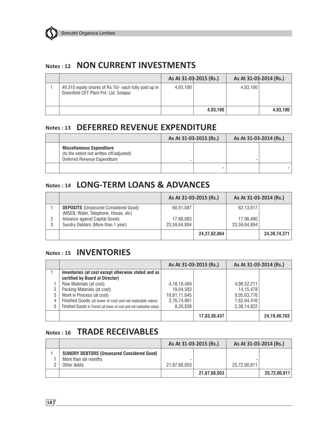### **Notes : 12 NON CURRENT INVESTMENTS**

|                                                                                                 |          | As At 31-03-2015 (Rs.) | As At 31-03-2014 (Rs.) |          |
|-------------------------------------------------------------------------------------------------|----------|------------------------|------------------------|----------|
| 49,310 equity shares of Rs.10/- each fully paid up in<br>Greenfield CET Plant Pvt. Ltd. Solapur | 4.93.100 |                        | 4.93.100               |          |
|                                                                                                 |          | 4,93,100               |                        | 4,93,100 |

### **Notes : 13 DEFERRED REVENUE EXPENDITURE**

|                                                                                                              |   | As At 31-03-2015 (Rs.) | As At 31-03-2014 (Rs.) |
|--------------------------------------------------------------------------------------------------------------|---|------------------------|------------------------|
| <b>Miscellaneous Expenditure</b><br>(to the extent not written off/adjusted)<br>Deferred Revenue Expenditure | - |                        |                        |
|                                                                                                              |   |                        |                        |

### **Notes : 14 LONG-TERM LOANS & ADVANCES**

|   |                                                                                     | As At 31-03-2015 (Rs.) |              | As At 31-03-2014 (Rs.) |              |
|---|-------------------------------------------------------------------------------------|------------------------|--------------|------------------------|--------------|
|   | <b>DEPOSITS</b> (Unsecured Considered Good)<br>(MSEB, Water, Telephone, House, etc) | 60,51,087              |              | 62,13,017              |              |
| ŋ | Advance against Capital Goods                                                       | 17,66,083              |              | 17,96,460              |              |
| 3 | Sundry Debtors (More than 1 year)                                                   | 23,59,64,894           |              | 23,59,64,894           |              |
|   |                                                                                     |                        | 24,37,82,064 |                        | 24,39,74,371 |

### **Notes : 15 INVENTORIES**

|   |                                                                                        | As At 31-03-2015 (Rs.) |              | As At 31-03-2014 (Rs.) |              |
|---|----------------------------------------------------------------------------------------|------------------------|--------------|------------------------|--------------|
|   | Inventories (at cost except otherwise stated and as<br>certified by Board of Director) |                        |              |                        |              |
|   | Raw Materials (at cost)                                                                | 4,18,18,469            |              | 4,98,52,211            |              |
|   | Packing Materials (at cost)                                                            | 19,04,583              |              | 14, 15, 478            |              |
| 3 | Work in Process (at cost)                                                              | 10,61,11,645           |              | 9,05,63,776            |              |
| 4 | Finished Goods (at lower of cost and net realisable value)                             | 2,76,74,901            |              | 7,62,94,416            |              |
| 5 | Finished Goods In Transit (at lower of cost and net realisable value)                  | 8.20.839               |              | 2,38,14,822            |              |
|   |                                                                                        |                        | 17,83,30,437 |                        | 24,19,40,703 |

### **Notes : 16 TRADE RECEIVABLES**

|                                                                                          | As At 31-03-2015 (Rs.) |              | As At 31-03-2014 (Rs.) |              |
|------------------------------------------------------------------------------------------|------------------------|--------------|------------------------|--------------|
| <b>SUNDRY DEBTORS (Unsecured Considered Good)</b><br>More than six months<br>Other debts | 21,67,68,053           |              | 25,72,00,811           |              |
|                                                                                          |                        | 21,67,68,053 |                        | 25,72,00,811 |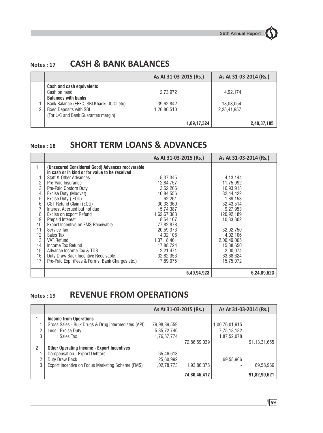### **Notes : 17 CASH & BANK BALANCES**

|                                                                                                                                                   | As At 31-03-2015 (Rs.)   |             | As At 31-03-2014 (Rs.)   |             |
|---------------------------------------------------------------------------------------------------------------------------------------------------|--------------------------|-------------|--------------------------|-------------|
| <b>Cash and cash equivalents</b><br>Cash on hand                                                                                                  | 2,73,972                 |             | 4,92,174                 |             |
| <b>Balances with banks</b><br>Bank Balance (EEFC, SBI Khadki, ICICI etc)<br><b>Fixed Deposits with SBI</b><br>(For L/C and Bank Guarantee margin) | 39,62,842<br>1,26,80,510 |             | 18,03,054<br>2,25,41,957 |             |
|                                                                                                                                                   |                          | 1,69,17,324 |                          | 2,48,37,185 |

### **Notes : 18 SHORT TERM LOANS & ADVANCES**

|    |                                                  | As At 31-03-2015 (Rs.) |             | As At 31-03-2014 (Rs.) |             |
|----|--------------------------------------------------|------------------------|-------------|------------------------|-------------|
| 1  | (Unsecured Considered Good) Advances recoverable |                        |             |                        |             |
|    | in cash or in kind or for value to be received   |                        |             |                        |             |
|    | <b>Staff &amp; Other Advances</b>                | 5,37,345               |             | 4, 13, 144             |             |
| 2  | Pre-Paid Insurance                               | 12,84,757              |             | 11,75,092              |             |
| 3  | Pre-Paid Costom Duty                             | 3,52,266               |             | 16,93,913              |             |
| 4  | Excise Duty (Modvat)                             | 10,84,556              |             | 82,44,422              |             |
| 5  | Excise Duty (EOU)                                | 62,261                 |             | 1,89,153               |             |
| 6  | CST Refund Claim (EOU)                           | 30,33,360              |             | 32,43,514              |             |
|    | Interest Accrued but not due                     | 5,74,387               |             | 9,27,953               |             |
| 8  | Excise on export Refund                          | 1,62,67,383            |             | 120,92,189             |             |
| 9  | Prepaid Interest                                 | 8,54,167               |             | 10,33,802              |             |
| 10 | Export Incentive on FMS Receivable               | 77,82,878              |             |                        |             |
| 11 | Service Tax                                      | 20,59,373              |             | 32,92,750              |             |
| 12 | Sales Tax                                        | 4,02,106               |             | 4,02,106               |             |
| 13 | <b>VAT Refund</b>                                | 1,37,18,461            |             | 2,00,49,065            |             |
| 14 | Income Tax Refund                                | 17,88,724              |             | 15,88,650              |             |
| 15 | Advance Income Tax & TDS                         | 2,21,471               |             | 2,00,074               |             |
| 16 | Duty Draw Back Incentive Receivable              | 32,82,353              |             | 63,68,624              |             |
| 17 | Pre-Paid Exp. (Fees & Forms, Bank Charges etc.)  | 7,89,075               |             | 15,75,072              |             |
|    |                                                  |                        |             |                        |             |
|    |                                                  |                        | 5,40,94,923 |                        | 6,24,89,523 |

### **Notes : 19 REVENUE FROM OPERATIONS**

|   |                                                     | As At 31-03-2015 (Rs.) |              | As At 31-03-2014 (Rs.) |                 |
|---|-----------------------------------------------------|------------------------|--------------|------------------------|-----------------|
|   | <b>Income from Operations</b>                       |                        |              |                        |                 |
|   | Gross Sales - Bulk Drugs & Drug Intermediates (API) | 79,98,89,559           |              | 1,00,76,01,915         |                 |
| 2 | Less: Excise Duty                                   | 5.35,72,746            |              | 7,75,18,182            |                 |
| 3 | : Sales Tax                                         | 1,76,57,774            |              | 1,87,52,078            |                 |
|   |                                                     |                        | 72,86,59,039 |                        | 91, 13, 31, 655 |
| 2 | <b>Other Operating Income - Export Incentives</b>   |                        |              |                        |                 |
|   | <b>Compensation - Export Debtors</b>                | 65,46,613              |              |                        |                 |
| 2 | Duty Draw Back                                      | 25,60,992              |              | 69,58,966              |                 |
| 3 | Export Incentive on Focus Marketing Scheme (FMS)    | 1,02,78,773            | 1,93,86,378  |                        | 69,58,966       |
|   |                                                     |                        | 74,80,45,417 |                        | 91,82,90,621    |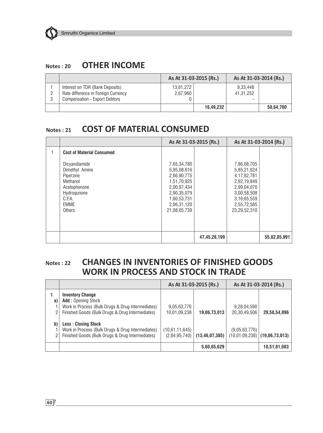

### **Notes : 20 OTHER INCOME**

|   |                                                                                                                | As At 31-03-2015 (Rs.) |           | As At 31-03-2014 (Rs.) |           |
|---|----------------------------------------------------------------------------------------------------------------|------------------------|-----------|------------------------|-----------|
| ≘ | Interest on TDR (Bank Deposits)<br>Rate difference in Foreign Currency<br><b>Compensation - Export Debtors</b> | 13,81,272<br>2,67,960  |           | 9.33.448<br>41,31,252  |           |
|   |                                                                                                                |                        | 16.49.232 |                        | 50,64,700 |

### **Notes : 21 COST OF MATERIAL CONSUMED**

|                                                                                                                                   | As At 31-03-2015 (Rs.)                                                                                                               |              | As At 31-03-2014 (Rs.)                                                                                                               |              |
|-----------------------------------------------------------------------------------------------------------------------------------|--------------------------------------------------------------------------------------------------------------------------------------|--------------|--------------------------------------------------------------------------------------------------------------------------------------|--------------|
| <b>Cost of Material Consumed</b>                                                                                                  |                                                                                                                                      |              |                                                                                                                                      |              |
| Dicyandiamide<br>Dimethyl Amine<br>Piperzine<br>Methanol<br>Acetophenone<br>Hydrogunone<br>C.F.A.<br><b>EMME</b><br><b>Others</b> | 7,65,34,780<br>5,95,08,616<br>2,66,90,775<br>1,51,70,925<br>2,00,97,434<br>2,90,35,079<br>1,60,53,731<br>2,06,31,120<br>21,08,05,739 |              | 7,86,08,705<br>5,85,21,624<br>4,17,82,781<br>2,92,19,849<br>2,99,04,070<br>3,00,58,508<br>3,16,65,559<br>2,55,72,585<br>23,29,52,310 |              |
|                                                                                                                                   |                                                                                                                                      | 47,45,28,199 |                                                                                                                                      | 55,82,85,991 |

### **CHANGES IN INVENTORIES OF FINISHED GOODS Notes : 22 WORK IN PROCESS AND STOCK IN TRADE**

|         |                                                                                                                                     | As At 31-03-2015 (Rs.)          |                   | As At 31-03-2014 (Rs.) |                                 |
|---------|-------------------------------------------------------------------------------------------------------------------------------------|---------------------------------|-------------------|------------------------|---------------------------------|
|         | <b>Inventory Change</b>                                                                                                             |                                 |                   |                        |                                 |
| a)      | <b>Add: Opening Stock</b>                                                                                                           |                                 |                   |                        |                                 |
|         | Work in Process (Bulk Drugs & Drug Intermediates)                                                                                   | 9,05,63,776                     |                   | 9,28,04,590            |                                 |
|         | Finished Goods (Bulk Drugs & Drug Intermediates)                                                                                    | 10,01,09,238                    | 19,06,73,013      | 20,30,49,506           | 29,58,54,096                    |
| b)<br>2 | <b>Less: Closing Stock</b><br>Work in Process (Bulk Drugs & Drug Intermediates)<br>Finished Goods (Bulk Drugs & Drug Intermediates) | (10,61,11,645)<br>(2,84,95,740) | (13, 46, 07, 385) | (9,05,63,776)          | $(10,01,09,238)$ (19,06,73,013) |
|         |                                                                                                                                     |                                 | 5,60,65,629       |                        | 10,51,81,083                    |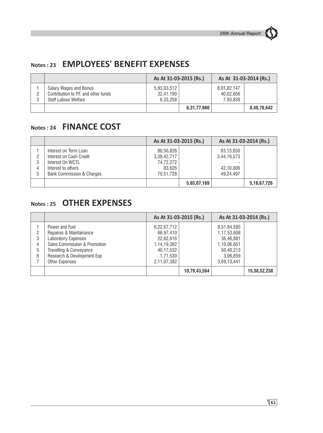### **Notes : 23 EMPLOYEES' BENEFIT EXPENSES**

|   |                                                                                               | As At 31-03-2015 (Rs.)               |             | As At 31-03-2014 (Rs.)               |             |
|---|-----------------------------------------------------------------------------------------------|--------------------------------------|-------------|--------------------------------------|-------------|
| O | Salary Wages and Bonus<br>Contribution to P.F. and other funds<br><b>Staff Labour Welfare</b> | 5.93.03.512<br>32,41,190<br>6.33.258 |             | 8.01.82.147<br>40.02.656<br>7,93,839 |             |
|   |                                                                                               |                                      | 6,31,77,960 |                                      | 8.49.78.642 |

### **Notes : 24 FINANCE COST**

|        |                                                                                            | As At 31-03-2015 (Rs.)                          |             | As At 31-03-2014 (Rs.)                |                |
|--------|--------------------------------------------------------------------------------------------|-------------------------------------------------|-------------|---------------------------------------|----------------|
| 3<br>4 | Interest on Term Loan<br>Interest on Cash Credit<br>Interest On WCTL<br>Interest to others | 80,56,826<br>3,38,42,717<br>74,72,272<br>83,626 |             | 83,13,650<br>3,44,19,573<br>42,10,006 |                |
| 5      | <b>Bank Commission &amp; Charges</b>                                                       | 70,51,728                                       |             | 49.24.497                             |                |
|        |                                                                                            |                                                 | 5,65,07,169 |                                       | 5, 18, 67, 726 |

### **Notes : 25 OTHER EXPENSES**

|                       |                                                                                                                                                                                           | As At 31-03-2015 (Rs.)                                                                       |              | As At 31-03-2014 (Rs.)                                                                         |              |
|-----------------------|-------------------------------------------------------------------------------------------------------------------------------------------------------------------------------------------|----------------------------------------------------------------------------------------------|--------------|------------------------------------------------------------------------------------------------|--------------|
| 2<br>3<br>4<br>5<br>6 | Power and Fuel<br>Repaires & Maintainance<br><b>Laboratory Expenses</b><br>Sales Commission & Promotion<br>Travelling & Conveyance<br>Research & Development Exp<br><b>Other Expenses</b> | 6,22,67,712<br>66,97,410<br>22,62,616<br>1,14,19,382<br>40,17,532<br>1,71,530<br>2,11,07,382 |              | 8,51,84,585<br>1,17,53,608<br>36,46,881<br>1,10,06,651<br>50,40,213<br>3,06,859<br>3,69,13,441 |              |
|                       |                                                                                                                                                                                           |                                                                                              | 10,79,43,564 |                                                                                                | 15,38,52,238 |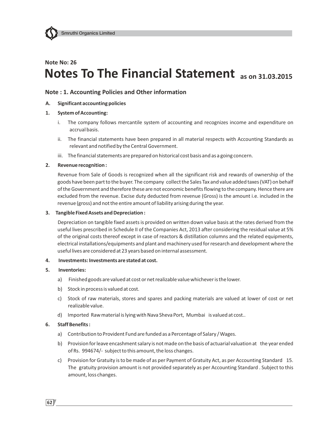### **Note No: 26 Notes To The Financial Statement as on 31.03.2015**

### **Note : 1. Accounting Policies and Other information**

**A. Significant accounting policies** 

#### **1. System of Accounting:**

- i. The company follows mercantile system of accounting and recognizes income and expenditure on accrual basis.
- ii. The financial statements have been prepared in all material respects with Accounting Standards as relevant and notified by the Central Government.
- iii. The financial statements are prepared on historical cost basis and as a going concern.

#### **2. Revenue recognition :**

Revenue from Sale of Goods is recognized when all the significant risk and rewards of ownership of the goods have been part to the buyer. The company collect the Sales Tax and value added taxes (VAT) on behalf of the Government and therefore these are not economic benefits flowing to the company. Hence there are excluded from the revenue. Excise duty deducted from revenue (Gross) is the amount i.e. included in the revenue (gross) and not the entire amount of liability arising during the year.

#### **3. Tangible Fixed Assets and Depreciation :**

Depreciation on tangible fixed assets is provided on written down value basis at the rates derived from the useful lives prescribed in Schedule II of the Companies Act, 2013 after considering the residual value at 5% of the original costs thereof except in case of reactors & distillation columns and the related equipments, electrical installations/equipments and plant and machinery used for research and development where the useful lives are considered at 23 years based on internal assessment.

### **4. Investments: Investments are stated at cost.**

#### **5. Inventories:**

- a) Finished goods are valued at cost or net realizable value whichever is the lower.
- b) Stock in process is valued at cost.
- c) Stock of raw materials, stores and spares and packing materials are valued at lower of cost or net realizable value.
- d) Imported Raw material is lying with Nava Sheva Port, Mumbai is valued at cost..

#### **6. Staff Benefits :**

- a) Contribution to Provident Fund are funded as a Percentage of Salary / Wages.
- b) Provision for leave encashment salary is not made on the basis of actuarial valuation at the year ended of Rs. 994674/- subject to this amount, the loss changes.
- c) Provision for Gratuity is to be made of as per Payment of Gratuity Act, as per Accounting Standard 15. The gratuity provision amount is not provided separately as per Accounting Standard . Subject to this amount, loss changes.

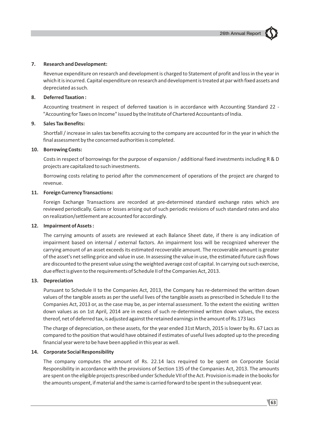#### **7. Research and Development:**

Revenue expenditure on research and development is charged to Statement of profit and loss in the year in which it is incurred. Capital expenditure on research and development is treated at par with fixed assets and depreciated as such.

#### **8. Deferred Taxation :**

Accounting treatment in respect of deferred taxation is in accordance with Accounting Standard 22 - "Accounting for Taxes on Income" issued by the Institute of Chartered Accountants of India.

#### **9. Sales Tax Benefits:**

Shortfall / increase in sales tax benefits accruing to the company are accounted for in the year in which the final assessment by the concerned authorities is completed.

#### **10. Borrowing Costs:**

Costs in respect of borrowings for the purpose of expansion / additional fixed investments including R & D projects are capitalized to such investments.

Borrowing costs relating to period after the commencement of operations of the project are charged to revenue.

#### **11. Foreign Currency Transactions:**

Foreign Exchange Transactions are recorded at pre-determined standard exchange rates which are reviewed periodically. Gains or losses arising out of such periodic revisions of such standard rates and also on realization/settlement are accounted for accordingly.

#### **12. Impairment of Assets :**

The carrying amounts of assets are reviewed at each Balance Sheet date, if there is any indication of impairment based on internal / external factors. An impairment loss will be recognized wherever the carrying amount of an asset exceeds its estimated recoverable amount. The recoverable amount is greater of the asset's net selling price and value in use. In assessing the value in use, the estimated future cash flows are discounted to the present value using the weighted average cost of capital. In carrying out such exercise, due effect is given to the requirements of Schedule II of the Companies Act, 2013.

#### **13. Depreciation**

Pursuant to Schedule II to the Companies Act, 2013, the Company has re-determined the written down values of the tangible assets as per the useful lives of the tangible assets as prescribed in Schedule II to the Companies Act, 2013 or, as the case may be, as per internal assessment. To the extent the existing written down values as on 1st April, 2014 are in excess of such re-determined written down values, the excess thereof, net of deferred tax, is adjusted against the retained earnings in the amount of Rs.173 lacs

The charge of depreciation, on these assets, for the year ended 31st March, 2015 is lower by Rs. 67 Lacs as compared to the position that would have obtained if estimates of useful lives adopted up to the preceding financial year were to be have been applied in this year as well.

#### **14. Corporate Social Responsibility**

The company computes the amount of Rs. 22.14 lacs required to be spent on Corporate Social Responsibility in accordance with the provisions of Section 135 of the Companies Act, 2013. The amounts are spent on the eligible projects prescribed under Schedule VII of the Act. Provision is made in the books for the amounts unspent, if material and the same is carried forward to be spent in the subsequent year.

**63**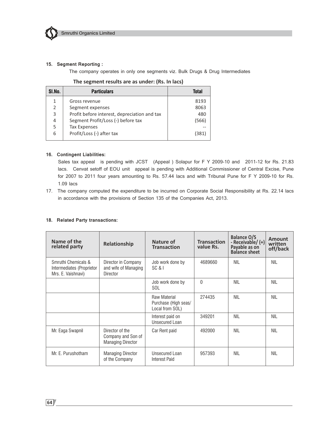#### **15. Segment Reporting :**

The company operates in only one segments viz. Bulk Drugs & Drug Intermediates

| SI.No. | <b>Particulars</b>                           | <b>Total</b> |
|--------|----------------------------------------------|--------------|
| 1      | Gross revenue                                | 8193         |
| 2      | Segment expenses                             | 8063         |
| 3      | Profit before interest, depreciation and tax | 480          |
| 4      | Segment Profit/Loss (-) before tax           | (566)        |
| 5      | <b>Tax Expenses</b>                          |              |
| 6      | Profit/Loss (-) after tax                    | (381)        |

#### **The segment results are as under: (Rs. In lacs)**

#### **16. Contingent Liabilities:**

Sales tax appeal is pending with JCST (Appeal ) Solapur for F Y 2009-10 and 2011-12 for Rs. 21.83 lacs. Cenvat setoff of EOU unit appeal is pending with Additional Commissioner of Central Excise, Pune for 2007 to 2011 four years amounting to Rs. 57.44 lacs and with Tribunal Pune for F Y 2009-10 for Rs. 1.09 lacs

17. The company computed the expenditure to be incurred on Corporate Social Responsibility at Rs. 22.14 lacs in accordance with the provisions of Section 135 of the Companies Act, 2013.

#### **18. Related Party transactions:**

| Name of the<br>related party                                           | <b>Relationship</b>                                               | Nature of<br><b>Transaction</b>                                | <b>Transaction</b><br>value Rs. | <b>Balance O/S</b><br>- Receivable/ (+)<br>Payable as on<br><b>Balance sheet</b> | <b>Amount</b><br>written<br>off/back |
|------------------------------------------------------------------------|-------------------------------------------------------------------|----------------------------------------------------------------|---------------------------------|----------------------------------------------------------------------------------|--------------------------------------|
| Smruthi Chemicals &<br>Intermediates (Proprietor<br>Mrs. E. Vaishnavi) | Director in Company<br>and wife of Managing<br><b>Director</b>    | Job work done by<br>SC & I                                     | 4689660                         | NIL                                                                              | <b>NIL</b>                           |
|                                                                        |                                                                   | Job work done by<br>SOL.                                       | $\Omega$                        | NIL                                                                              | <b>NIL</b>                           |
|                                                                        |                                                                   | <b>Raw Material</b><br>Purchase (High seas/<br>Local from SOL) | 274435                          | <b>NIL</b>                                                                       | <b>NIL</b>                           |
|                                                                        |                                                                   | Interest paid on<br><b>Unsecured Loan</b>                      | 349201                          | <b>NIL</b>                                                                       | <b>NIL</b>                           |
| Mr. Eaga Swapnil                                                       | Director of the<br>Company and Son of<br><b>Managing Director</b> | Car Rent paid                                                  | 492000                          | <b>NIL</b>                                                                       | <b>NIL</b>                           |
| Mr. E. Purushotham                                                     | <b>Managing Director</b><br>of the Company                        | Unsecured Loan<br>Interest Paid                                | 957393                          | NIL                                                                              | <b>NIL</b>                           |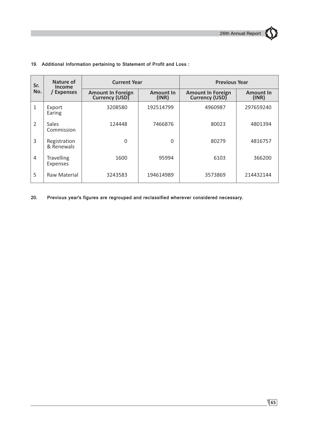| Sr. | Nature of                     | <b>Current Year</b><br><b>Income</b>       |                           | <b>Previous Year</b>                       |                           |  |
|-----|-------------------------------|--------------------------------------------|---------------------------|--------------------------------------------|---------------------------|--|
| No. | / Expenses                    | <b>Amount In Foreign</b><br>Currency (USD) | <b>Amount In</b><br>(INR) | <b>Amount In Foreign</b><br>Currency (USD) | <b>Amount In</b><br>(INR) |  |
| 1   | Export<br>Earing              | 3208580                                    | 192514799                 | 4960987                                    | 297659240                 |  |
| 2   | <b>Sales</b><br>Commission    | 124448                                     | 7466876                   | 80023                                      | 4801394                   |  |
| 3   | Registration<br>& Renewals    | $\Omega$                                   | $\Omega$                  | 80279                                      | 4816757                   |  |
| 4   | <b>Travelling</b><br>Expenses | 1600                                       | 95994                     | 6103                                       | 366200                    |  |
| 5   | <b>Raw Material</b>           | 3243583                                    | 194614989                 | 3573869                                    | 214432144                 |  |

### **19. Additional Information pertaining to Statement of Profit and Loss :**

**20. Previous year's figures are regrouped and reclassified wherever considered necessary.**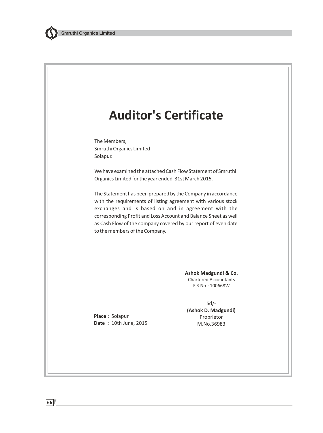

**66**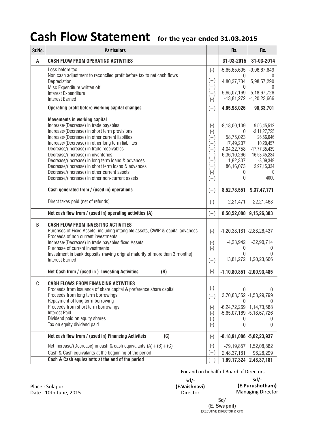## **Cash Flow Statement for the year ended 31.03.2015**

| Sr.No. | <b>Particulars</b>                                                                                                                                                                                                                                                                                                                                                                                                                                                                                                                  |                                                                                               | Rs.                                                                                                                       | Rs.                                                                                                                                           |
|--------|-------------------------------------------------------------------------------------------------------------------------------------------------------------------------------------------------------------------------------------------------------------------------------------------------------------------------------------------------------------------------------------------------------------------------------------------------------------------------------------------------------------------------------------|-----------------------------------------------------------------------------------------------|---------------------------------------------------------------------------------------------------------------------------|-----------------------------------------------------------------------------------------------------------------------------------------------|
| A      | <b>CASH FLOW FROM OPERATING ACTIVITIES</b>                                                                                                                                                                                                                                                                                                                                                                                                                                                                                          |                                                                                               | 31-03-2015                                                                                                                | 31-03-2014                                                                                                                                    |
|        | Loss before tax<br>Non cash adjustment to reconciled profit before tax to net cash flows<br>Depreciation<br>Misc Expenditure written off<br><b>Interest Expenditure</b><br><b>Interest Earned</b>                                                                                                                                                                                                                                                                                                                                   | $(-)$<br>$(+)$<br>$(+)$<br>$(+)$<br>$(-)$                                                     | $-5,65,65,605$<br>$\left( \right)$<br>4,80,37,734<br>$\left( \right)$<br>5,65,07,169                                      | $-9,06,67,649$<br>$\mathbf{U}$<br>5,98,57,290<br>0<br>5, 18, 67, 726<br>$-13,81,272$ $-1,20,23,666$                                           |
|        | Operating profit before working capital changes                                                                                                                                                                                                                                                                                                                                                                                                                                                                                     | $(+)$                                                                                         | 4,65,98,026                                                                                                               | 90,33,701                                                                                                                                     |
|        | <b>Movements in working capital</b><br>Increase/(Decrease) in trade payables<br>Increase/(Decrease) in short term provisions<br>Increase/(Decrease) in other current liabilites<br>Increase/(Decrease) in other long term liabilites<br>Decrease/(Increase) in trade receivables<br>Decrease/(Increase) in inventories<br>Decrease/(Increase) in long term loans & advances<br>Decrease/(Increase) in short term loans & advances<br>Decrease/(Increase) in other current assets<br>Decrease/(Increase) in other non-current assets | $(\text{-})$<br>$(-)$<br>$(+)$<br>$(+)$<br>$(+)$<br>$(+)$<br>$(+)$<br>$(+)$<br>$(-)$<br>$(+)$ | $-8,18,00,109$<br>0<br>58,75,023<br>17,49,207<br>4,04,32,758<br>6,36,10,266<br>1,92,307<br>86,16,073<br>$\mathbf{0}$<br>0 | 9,56,45,512<br>$-3, 11, 27, 725$<br>26,56,046<br>10,20,457<br>$-17,77,35,439$<br>16,53,45,234<br>$-8,09,349$<br>2,97,15,334<br>$\Box$<br>4000 |
|        | Cash generated from / (used in) operations                                                                                                                                                                                                                                                                                                                                                                                                                                                                                          | $(+)$                                                                                         | 8,52,73,551                                                                                                               | 9,37,47,771                                                                                                                                   |
|        | Direct taxes paid (net of refunds)                                                                                                                                                                                                                                                                                                                                                                                                                                                                                                  | $(-)$                                                                                         | $-2,21,471$                                                                                                               | $-22,21,468$                                                                                                                                  |
|        | Net cash flow from / (used in) operating activities (A)                                                                                                                                                                                                                                                                                                                                                                                                                                                                             | $(+)$                                                                                         |                                                                                                                           | $8,50,52,080$   9,15,26,303                                                                                                                   |
| B      | <b>CASH FLOW FROM INVESTING ACTIVITIES</b><br>Purchses of Fixed Assets, including intangible assets, CWIP & capital advances<br>Proceeds of non current investments<br>Increase/(Decrease) in trade payables fixed Assets<br>Purchase of current investments<br>Investment in bank deposits (having orignal maturity of more than 3 months)<br><b>Interest Earned</b>                                                                                                                                                               | $(-)$<br>$\begin{pmatrix} - \ 1 \end{pmatrix}$<br>$(+)$                                       | $-1,20,38,181$ -2,88,26,437<br>$-4,23,942$<br>$\mathbf{0}$<br>$\Omega$                                                    | $-32,90,714$<br>$\theta$<br>N<br>13,81,272   1,20,23,666                                                                                      |
|        | Net Cash from / (used in ) Investing Activities<br>(B)                                                                                                                                                                                                                                                                                                                                                                                                                                                                              | $(-)$                                                                                         | $-1,10,80,851$ -2,00,93,485                                                                                               |                                                                                                                                               |
| C      | <b>CASH FLOWS FROM FINANCING ACTIVITIES</b><br>Proceeds from issuance of share capital & preference share capital<br>Proceeds from long term borrowings<br>Repayment of long term borrowing<br>Proceeds from short term borrowings<br><b>Interest Paid</b><br>Dividend paid on equity shares<br>Tax on equity dividend paid                                                                                                                                                                                                         | $(-)$<br>$(+)$<br>$(\textnormal{-})$<br>$(\textnormal{-})$<br>$(\text{-})$<br>$(-)$           | $\mathbf{0}$<br>$\Omega$<br>$-6,24,72,269$   1,14,73,588<br>$-5,65,07,169$ $-5,18,67,726$<br>$\bf{0}$<br>0                | 0<br>3,70,88,352   1,58,29,799<br>$\Omega$<br>0<br>0                                                                                          |
|        | Net cash flow from / (used in) Financing Activiteis<br>(C)                                                                                                                                                                                                                                                                                                                                                                                                                                                                          | $(-)$                                                                                         | $-8,18,91,086$ $-5,62,23,937$                                                                                             |                                                                                                                                               |
|        | Net Increase/(Decrease) in cash & cash equivalants $(A) + (B) + (C)$<br>Cash & Cash equivalants at the beginning of the period<br>Cash & Cash equivalants at the end of the period                                                                                                                                                                                                                                                                                                                                                  | $(-)$<br>$(+)$<br>$(+)$                                                                       | $-79, 19, 857$<br>2,48,37,181<br>1,69,17,324                                                                              | 1,52,08,882<br>96,28,299<br>2,48,37,181                                                                                                       |

For and on behalf of Board of Directors

Place : Solapur Date : 10th June, 2015

Sd/- **(E.Vaishnavi)** Director

Sd/- **(E.Purushotham)** Managing Director

(E. Swapnil) EXECUTIVE DIRECTOR & CFO Sd/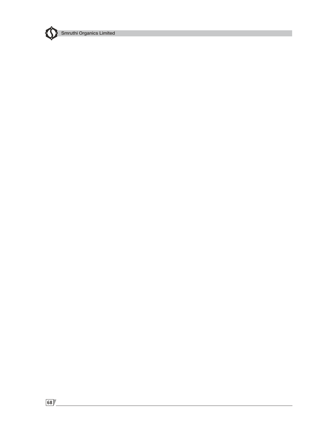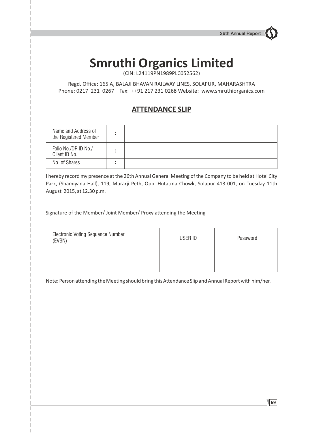

# **Smruthi Organics Limited**

(CIN: L24119PN1989PLC052562)

Regd. Office: 165 A, BALAJI BHAVAN RAILWAY LINES, SOLAPUR, MAHARASHTRA Phone: 0217 231 0267 Fax: ++91 217 231 0268 Website: www.smruthiorganics.com

### **ATTENDANCE SLIP**

| Name and Address of<br>the Registered Member |   |  |
|----------------------------------------------|---|--|
| Folio No./DP ID No./<br>Client ID No.        |   |  |
| No. of Shares                                | ٠ |  |

I hereby record my presence at the 26th Annual General Meeting of the Company to be held at Hotel City Park, (Shamiyana Hall), 119, Murarji Peth, Opp. Hutatma Chowk, Solapur 413 001, on Tuesday 11th August 2015, at 12.30 p.m.

Signature of the Member/ Joint Member/ Proxy attending the Meeting

| <b>Electronic Voting Sequence Number</b><br>(EVSN) | USER ID | Password |
|----------------------------------------------------|---------|----------|
|                                                    |         |          |

Note: Person attending the Meeting should bring this Attendance Slip and Annual Report with him/her.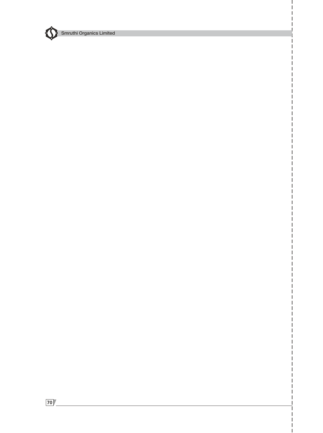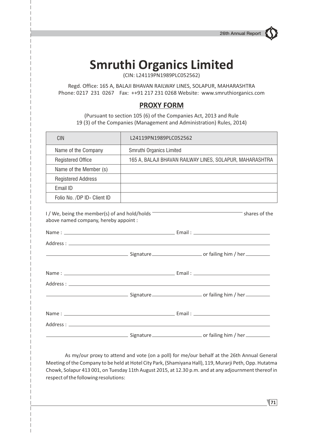# **Smruthi Organics Limited**

(CIN: L24119PN1989PLC052562)

Regd. Office: 165 A, BALAJI BHAVAN RAILWAY LINES, SOLAPUR, MAHARASHTRA Phone: 0217 231 0267 Fax: ++91 217 231 0268 Website: www.smruthiorganics.com

### **PROXY FORM**

(Pursuant to section 105 (6) of the Companies Act, 2013 and Rule 19 (3) of the Companies (Management and Administration) Rules, 2014)

| <b>CIN</b>                                                                                                 | L24119PN1989PLC052562                                    |  |                                                                                                                                                                                                                                |  |
|------------------------------------------------------------------------------------------------------------|----------------------------------------------------------|--|--------------------------------------------------------------------------------------------------------------------------------------------------------------------------------------------------------------------------------|--|
| Name of the Company                                                                                        | Smruthi Organics Limited                                 |  |                                                                                                                                                                                                                                |  |
| <b>Registered Office</b>                                                                                   | 165 A, BALAJI BHAVAN RAILWAY LINES, SOLAPUR, MAHARASHTRA |  |                                                                                                                                                                                                                                |  |
| Name of the Member (s)                                                                                     |                                                          |  |                                                                                                                                                                                                                                |  |
| <b>Registered Address</b>                                                                                  |                                                          |  |                                                                                                                                                                                                                                |  |
| Email ID                                                                                                   |                                                          |  |                                                                                                                                                                                                                                |  |
| Folio No. /DP ID- Client ID                                                                                |                                                          |  |                                                                                                                                                                                                                                |  |
| I/We, being the member(s) of and hold/holds<br>$^-$ shares of the<br>above named company, hereby appoint : |                                                          |  |                                                                                                                                                                                                                                |  |
|                                                                                                            |                                                          |  |                                                                                                                                                                                                                                |  |
|                                                                                                            |                                                          |  |                                                                                                                                                                                                                                |  |
|                                                                                                            |                                                          |  |                                                                                                                                                                                                                                |  |
|                                                                                                            |                                                          |  |                                                                                                                                                                                                                                |  |
|                                                                                                            |                                                          |  |                                                                                                                                                                                                                                |  |
|                                                                                                            |                                                          |  | example and the state of signature signature state of sailing him / her state of sailing him / her state of sai                                                                                                                |  |
|                                                                                                            |                                                          |  |                                                                                                                                                                                                                                |  |
|                                                                                                            |                                                          |  |                                                                                                                                                                                                                                |  |
|                                                                                                            |                                                          |  | and the state of the Signature Contract of Signature Contract of the Signature Contract of the Signature Contract of the Signature Contract of the Signature Contract of the Signature Contract of the Signature Contract of t |  |

As my/our proxy to attend and vote (on a poll) for me/our behalf at the 26th Annual General Meeting of the Company to be held at Hotel City Park, (Shamiyana Hall), 119, Murarji Peth, Opp. Hutatma Chowk, Solapur 413 001, on Tuesday 11th August 2015, at 12.30 p.m. and at any adjournment thereof in respect of the following resolutions:

**71**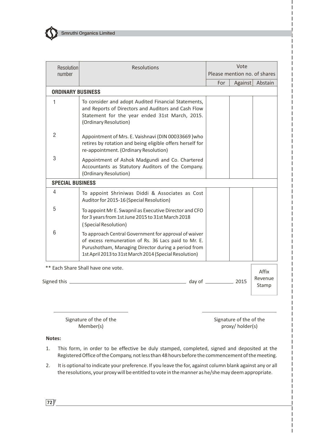| Resolution<br>number               | <b>Resolutions</b>                                                                                                                                                                                                             | Vote<br>Please mention no. of shares |         |                  |
|------------------------------------|--------------------------------------------------------------------------------------------------------------------------------------------------------------------------------------------------------------------------------|--------------------------------------|---------|------------------|
|                                    |                                                                                                                                                                                                                                | For                                  | Against | Abstain          |
| <b>ORDINARY BUSINESS</b>           |                                                                                                                                                                                                                                |                                      |         |                  |
| $\mathbf{1}$                       | To consider and adopt Audited Financial Statements,<br>and Reports of Directors and Auditors and Cash Flow<br>Statement for the year ended 31st March, 2015.<br>(Ordinary Resolution)                                          |                                      |         |                  |
| $\overline{2}$                     | Appointment of Mrs. E. Vaishnavi (DIN 00033669 )who<br>retires by rotation and being eligible offers herself for<br>re-appointment. (Ordinary Resolution)                                                                      |                                      |         |                  |
| 3                                  | Appointment of Ashok Madgundi and Co. Chartered<br>Accountants as Statutory Auditors of the Company.<br>(Ordinary Resolution)                                                                                                  |                                      |         |                  |
| <b>SPECIAL BUSINESS</b>            |                                                                                                                                                                                                                                |                                      |         |                  |
| $\overline{4}$                     | To appoint Shriniwas Diddi & Associates as Cost<br>Auditor for 2015-16 (Special Resolution)                                                                                                                                    |                                      |         |                  |
| 5                                  | To appoint Mr E. Swapnil as Executive Director and CFO<br>for 3 years from 1st June 2015 to 31st March 2018<br>(Special Resolution)                                                                                            |                                      |         |                  |
| 6                                  | To approach Central Government for approval of waiver<br>of excess remuneration of Rs. 36 Lacs paid to Mr. E.<br>Purushotham, Managing Director during a period from<br>1st April 2013 to 31st March 2014 (Special Resolution) |                                      |         |                  |
| ** Each Share Shall have one vote. |                                                                                                                                                                                                                                |                                      |         | Affix            |
|                                    |                                                                                                                                                                                                                                |                                      |         | Revenue<br>Stamp |
|                                    |                                                                                                                                                                                                                                |                                      |         |                  |

Signature of the of the Member(s)

Signature of the of the proxy/ holder(s)

## **Notes:**

- 1. This form, in order to be effective be duly stamped, completed, signed and deposited at the Registered Office of the Company, not less than 48 hours before the commencement of the meeting.
- 2. It is optional to indicate your preference. If you leave the for, against column blank against any or all the resolutions, your proxy will be entitled to vote in the manner as he/she may deem appropriate.

**72**